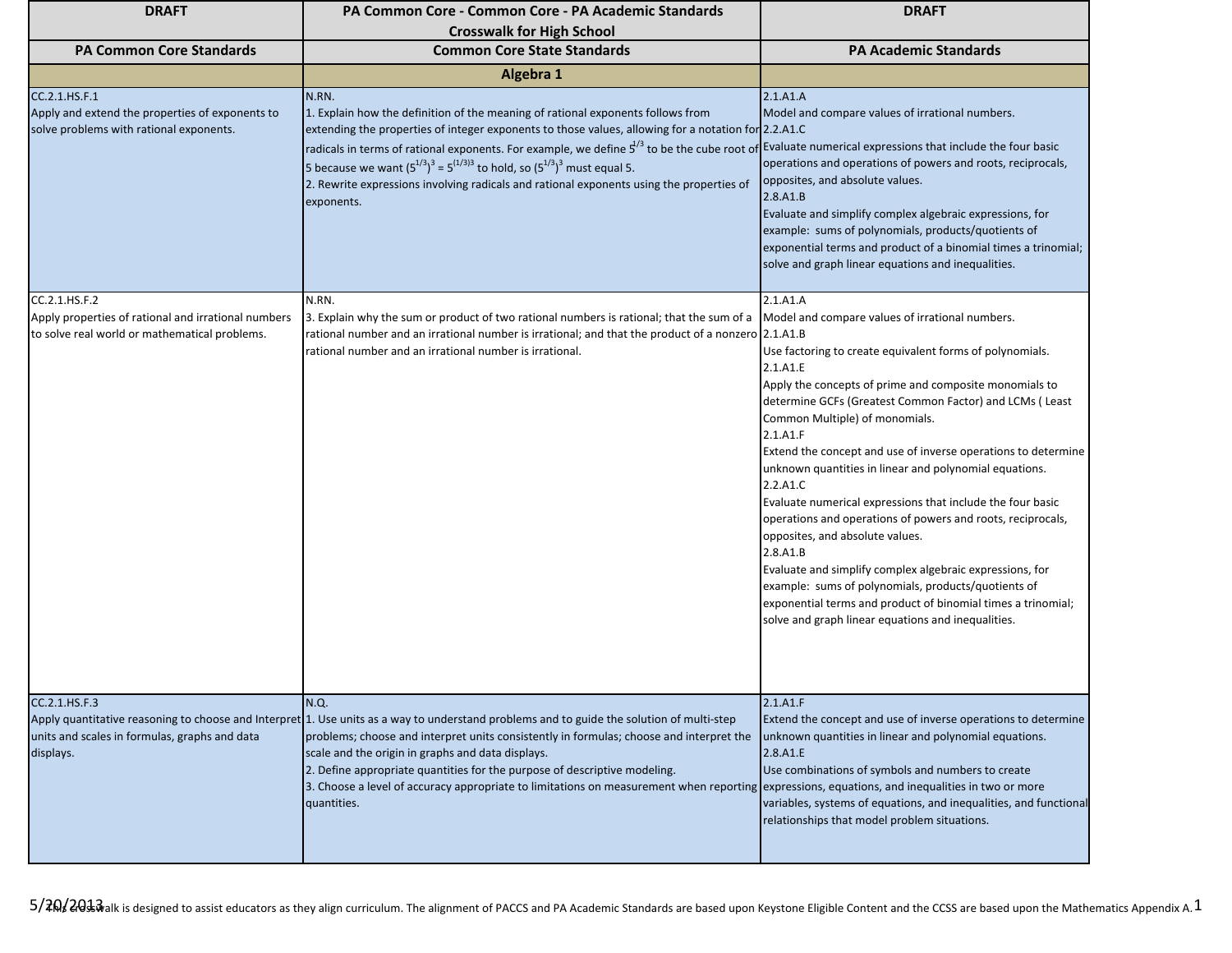| <b>DRAFT</b>                                                                                                          | <b>PA Common Core - Common Core - PA Academic Standards</b><br><b>Crosswalk for High School</b>                                                                                                                                                                                                                                                                                                                                                                                                                                                                  | <b>DRAFT</b>                                                                                                                                                                                                                                                                                                                                                                                                                                                                                                                                                                                                                                                                                                                                                                                                                                                       |
|-----------------------------------------------------------------------------------------------------------------------|------------------------------------------------------------------------------------------------------------------------------------------------------------------------------------------------------------------------------------------------------------------------------------------------------------------------------------------------------------------------------------------------------------------------------------------------------------------------------------------------------------------------------------------------------------------|--------------------------------------------------------------------------------------------------------------------------------------------------------------------------------------------------------------------------------------------------------------------------------------------------------------------------------------------------------------------------------------------------------------------------------------------------------------------------------------------------------------------------------------------------------------------------------------------------------------------------------------------------------------------------------------------------------------------------------------------------------------------------------------------------------------------------------------------------------------------|
| <b>PA Common Core Standards</b>                                                                                       | <b>Common Core State Standards</b>                                                                                                                                                                                                                                                                                                                                                                                                                                                                                                                               | <b>PA Academic Standards</b>                                                                                                                                                                                                                                                                                                                                                                                                                                                                                                                                                                                                                                                                                                                                                                                                                                       |
|                                                                                                                       | Algebra 1                                                                                                                                                                                                                                                                                                                                                                                                                                                                                                                                                        |                                                                                                                                                                                                                                                                                                                                                                                                                                                                                                                                                                                                                                                                                                                                                                                                                                                                    |
| CC.2.1.HS.F.1<br>Apply and extend the properties of exponents to<br>solve problems with rational exponents.           | N.RN.<br>1. Explain how the definition of the meaning of rational exponents follows from<br>extending the properties of integer exponents to those values, allowing for a notation for 2.2.A1.C<br>radicals in terms of rational exponents. For example, we define $5^{1/3}$ to be the cube root of Evaluate numerical expressions that include the four basic<br>5 because we want $(5^{1/3})^3 = 5^{(1/3)3}$ to hold, so $(5^{1/3})^3$ must equal 5.<br>2. Rewrite expressions involving radicals and rational exponents using the properties of<br>exponents. | 2.1.A1.A<br>Model and compare values of irrational numbers.<br>operations and operations of powers and roots, reciprocals,<br>opposites, and absolute values.<br>2.8.A1.B<br>Evaluate and simplify complex algebraic expressions, for<br>example: sums of polynomials, products/quotients of<br>exponential terms and product of a binomial times a trinomial;<br>solve and graph linear equations and inequalities.                                                                                                                                                                                                                                                                                                                                                                                                                                               |
| CC.2.1.HS.F.2<br>Apply properties of rational and irrational numbers<br>to solve real world or mathematical problems. | N.RN.<br>3. Explain why the sum or product of two rational numbers is rational; that the sum of a<br>rational number and an irrational number is irrational; and that the product of a nonzero 2.1.A1.B<br>rational number and an irrational number is irrational.                                                                                                                                                                                                                                                                                               | 2.1.A1.A<br>Model and compare values of irrational numbers.<br>Use factoring to create equivalent forms of polynomials.<br>2.1.A1.E<br>Apply the concepts of prime and composite monomials to<br>determine GCFs (Greatest Common Factor) and LCMs (Least<br>Common Multiple) of monomials.<br>2.1.A1.F<br>Extend the concept and use of inverse operations to determine<br>unknown quantities in linear and polynomial equations.<br>2.2.A1.C<br>Evaluate numerical expressions that include the four basic<br>operations and operations of powers and roots, reciprocals,<br>opposites, and absolute values.<br>2.8.A1.B<br>Evaluate and simplify complex algebraic expressions, for<br>example: sums of polynomials, products/quotients of<br>exponential terms and product of binomial times a trinomial;<br>solve and graph linear equations and inequalities. |
| CC.2.1.HS.F.3<br>units and scales in formulas, graphs and data<br>displays.                                           | N.Q.<br>Apply quantitative reasoning to choose and Interpret 1. Use units as a way to understand problems and to guide the solution of multi-step<br>problems; choose and interpret units consistently in formulas; choose and interpret the<br>scale and the origin in graphs and data displays.<br>2. Define appropriate quantities for the purpose of descriptive modeling.<br>3. Choose a level of accuracy appropriate to limitations on measurement when reporting expressions, equations, and inequalities in two or more<br>quantities.                  | 2.1.A1.F<br>Extend the concept and use of inverse operations to determine<br>unknown quantities in linear and polynomial equations.<br>2.8.A1.E<br>Use combinations of symbols and numbers to create<br>variables, systems of equations, and inequalities, and functional<br>relationships that model problem situations.                                                                                                                                                                                                                                                                                                                                                                                                                                                                                                                                          |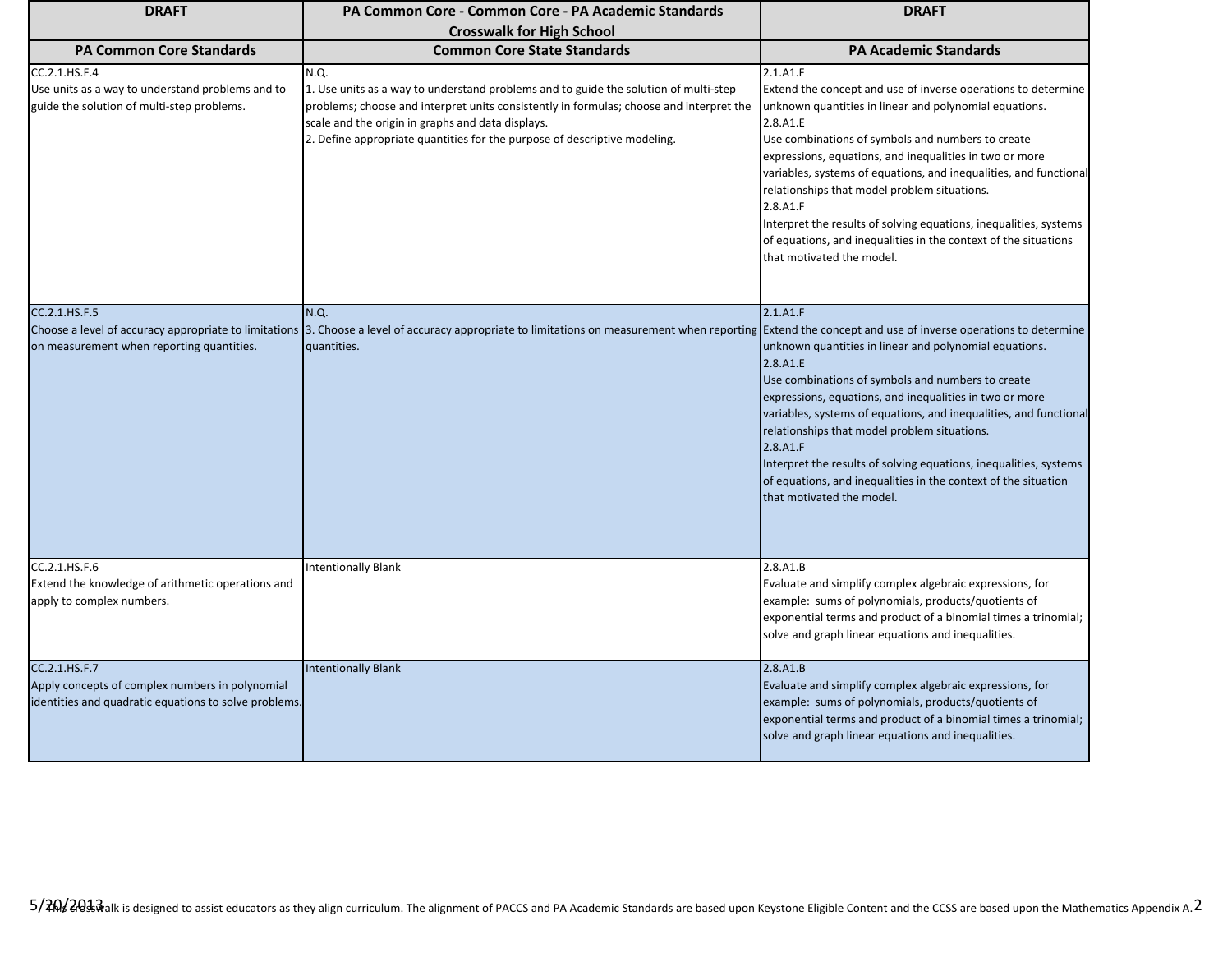| <b>DRAFT</b>                                                                                                              | PA Common Core - Common Core - PA Academic Standards                                                                                                                                                                                                                                                                      | <b>DRAFT</b>                                                                                                                                                                                                                                                                                                                                                                                                                                                                                                                                                          |
|---------------------------------------------------------------------------------------------------------------------------|---------------------------------------------------------------------------------------------------------------------------------------------------------------------------------------------------------------------------------------------------------------------------------------------------------------------------|-----------------------------------------------------------------------------------------------------------------------------------------------------------------------------------------------------------------------------------------------------------------------------------------------------------------------------------------------------------------------------------------------------------------------------------------------------------------------------------------------------------------------------------------------------------------------|
|                                                                                                                           | <b>Crosswalk for High School</b>                                                                                                                                                                                                                                                                                          |                                                                                                                                                                                                                                                                                                                                                                                                                                                                                                                                                                       |
| <b>PA Common Core Standards</b>                                                                                           | <b>Common Core State Standards</b>                                                                                                                                                                                                                                                                                        | <b>PA Academic Standards</b>                                                                                                                                                                                                                                                                                                                                                                                                                                                                                                                                          |
| CC.2.1.HS.F.4<br>Use units as a way to understand problems and to<br>guide the solution of multi-step problems.           | N.Q.<br>1. Use units as a way to understand problems and to guide the solution of multi-step<br>problems; choose and interpret units consistently in formulas; choose and interpret the<br>scale and the origin in graphs and data displays.<br>2. Define appropriate quantities for the purpose of descriptive modeling. | 2.1.A1.F<br>Extend the concept and use of inverse operations to determine<br>unknown quantities in linear and polynomial equations.<br>2.8.A1.E<br>Use combinations of symbols and numbers to create<br>expressions, equations, and inequalities in two or more<br>variables, systems of equations, and inequalities, and functional<br>relationships that model problem situations.<br>2.8.A1.F<br>Interpret the results of solving equations, inequalities, systems<br>of equations, and inequalities in the context of the situations<br>that motivated the model. |
| CC.2.1.HS.F.5                                                                                                             | N.Q.                                                                                                                                                                                                                                                                                                                      | 2.1.A1.F                                                                                                                                                                                                                                                                                                                                                                                                                                                                                                                                                              |
| Choose a level of accuracy appropriate to limitations<br>on measurement when reporting quantities.                        | 3. Choose a level of accuracy appropriate to limitations on measurement when reporting Extend the concept and use of inverse operations to determine<br>quantities.                                                                                                                                                       | unknown quantities in linear and polynomial equations.<br>2.8.A1.E<br>Use combinations of symbols and numbers to create<br>expressions, equations, and inequalities in two or more<br>variables, systems of equations, and inequalities, and functional<br>relationships that model problem situations.<br>2.8.A1.F<br>Interpret the results of solving equations, inequalities, systems<br>of equations, and inequalities in the context of the situation<br>that motivated the model.                                                                               |
| CC.2.1.HS.F.6<br>Extend the knowledge of arithmetic operations and<br>apply to complex numbers.                           | <b>Intentionally Blank</b>                                                                                                                                                                                                                                                                                                | 2.8.A1.B<br>Evaluate and simplify complex algebraic expressions, for<br>example: sums of polynomials, products/quotients of<br>exponential terms and product of a binomial times a trinomial;<br>solve and graph linear equations and inequalities.                                                                                                                                                                                                                                                                                                                   |
| CC.2.1.HS.F.7<br>Apply concepts of complex numbers in polynomial<br>identities and quadratic equations to solve problems. | <b>Intentionally Blank</b>                                                                                                                                                                                                                                                                                                | 2.8.A1.B<br>Evaluate and simplify complex algebraic expressions, for<br>example: sums of polynomials, products/quotients of<br>exponential terms and product of a binomial times a trinomial;<br>solve and graph linear equations and inequalities.                                                                                                                                                                                                                                                                                                                   |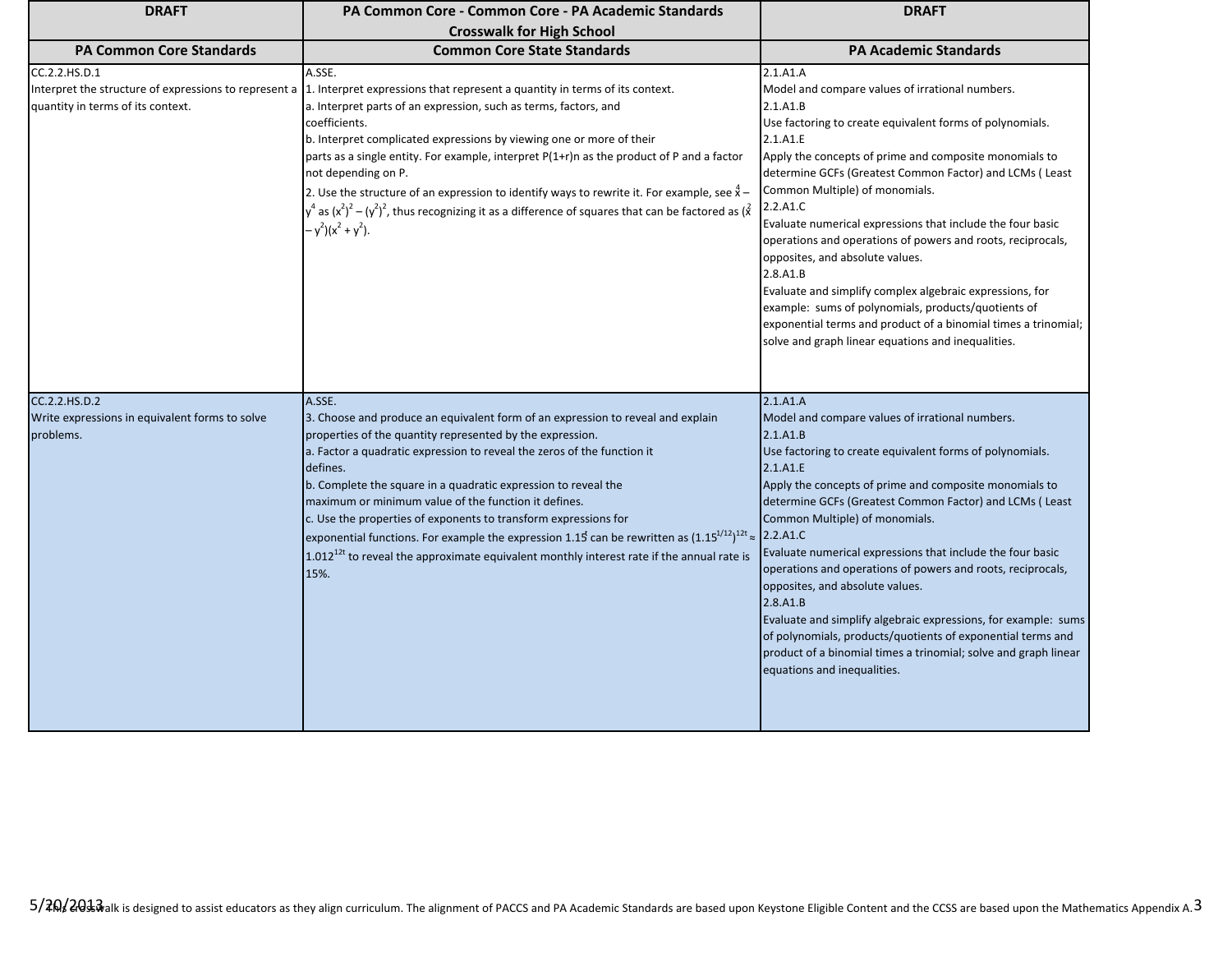| <b>DRAFT</b>                                                                                                | PA Common Core - Common Core - PA Academic Standards                                                                                                                                                                                                                                                                                                                                                                                                                                                                                                                                                                                                                      | <b>DRAFT</b>                                                                                                                                                                                                                                                                                                                                                                                                                                                                                                                                                                                                                                                                                                                              |
|-------------------------------------------------------------------------------------------------------------|---------------------------------------------------------------------------------------------------------------------------------------------------------------------------------------------------------------------------------------------------------------------------------------------------------------------------------------------------------------------------------------------------------------------------------------------------------------------------------------------------------------------------------------------------------------------------------------------------------------------------------------------------------------------------|-------------------------------------------------------------------------------------------------------------------------------------------------------------------------------------------------------------------------------------------------------------------------------------------------------------------------------------------------------------------------------------------------------------------------------------------------------------------------------------------------------------------------------------------------------------------------------------------------------------------------------------------------------------------------------------------------------------------------------------------|
|                                                                                                             | <b>Crosswalk for High School</b>                                                                                                                                                                                                                                                                                                                                                                                                                                                                                                                                                                                                                                          |                                                                                                                                                                                                                                                                                                                                                                                                                                                                                                                                                                                                                                                                                                                                           |
| <b>PA Common Core Standards</b>                                                                             | <b>Common Core State Standards</b>                                                                                                                                                                                                                                                                                                                                                                                                                                                                                                                                                                                                                                        | <b>PA Academic Standards</b>                                                                                                                                                                                                                                                                                                                                                                                                                                                                                                                                                                                                                                                                                                              |
| CC.2.2.HS.D.1<br>Interpret the structure of expressions to represent a<br>quantity in terms of its context. | A.SSE.<br>1. Interpret expressions that represent a quantity in terms of its context.<br>a. Interpret parts of an expression, such as terms, factors, and<br>coefficients.<br>b. Interpret complicated expressions by viewing one or more of their<br>parts as a single entity. For example, interpret $P(1+r)$ n as the product of P and a factor<br>not depending on P.<br>2. Use the structure of an expression to identify ways to rewrite it. For example, see $\hat{x}$ -<br>$\sqrt{q}$ as $(x^2)^2 - (y^2)^2$ , thus recognizing it as a difference of squares that can be factored as $(x^2)^2$<br>$-y^2$ )(x <sup>2</sup> + y <sup>2</sup> ).                    | 2.1.A1.A<br>Model and compare values of irrational numbers.<br>2.1.A1.B<br>Use factoring to create equivalent forms of polynomials.<br>2.1.A1.E<br>Apply the concepts of prime and composite monomials to<br>determine GCFs (Greatest Common Factor) and LCMs (Least<br>Common Multiple) of monomials.<br>2.2.A1.C<br>Evaluate numerical expressions that include the four basic<br>operations and operations of powers and roots, reciprocals,<br>opposites, and absolute values.<br>2.8.A1.B<br>Evaluate and simplify complex algebraic expressions, for<br>example: sums of polynomials, products/quotients of<br>exponential terms and product of a binomial times a trinomial;<br>solve and graph linear equations and inequalities. |
| CC.2.2.HS.D.2<br>Write expressions in equivalent forms to solve<br>problems.                                | A.SSE.<br>3. Choose and produce an equivalent form of an expression to reveal and explain<br>properties of the quantity represented by the expression.<br>a. Factor a quadratic expression to reveal the zeros of the function it<br>defines.<br>b. Complete the square in a quadratic expression to reveal the<br>maximum or minimum value of the function it defines.<br>c. Use the properties of exponents to transform expressions for<br>exponential functions. For example the expression 1.15 can be rewritten as $(1.15^{1/12})^{12t} \approx$ 2.2.A1.C<br>$1.012^{12t}$ to reveal the approximate equivalent monthly interest rate if the annual rate is<br>15%. | 2.1.A1.A<br>Model and compare values of irrational numbers.<br>2.1.A1.B<br>Use factoring to create equivalent forms of polynomials.<br>2.1.A1.E<br>Apply the concepts of prime and composite monomials to<br>determine GCFs (Greatest Common Factor) and LCMs (Least<br>Common Multiple) of monomials.<br>Evaluate numerical expressions that include the four basic<br>operations and operations of powers and roots, reciprocals,<br>opposites, and absolute values.<br>2.8.A1.B<br>Evaluate and simplify algebraic expressions, for example: sums<br>of polynomials, products/quotients of exponential terms and<br>product of a binomial times a trinomial; solve and graph linear<br>equations and inequalities.                     |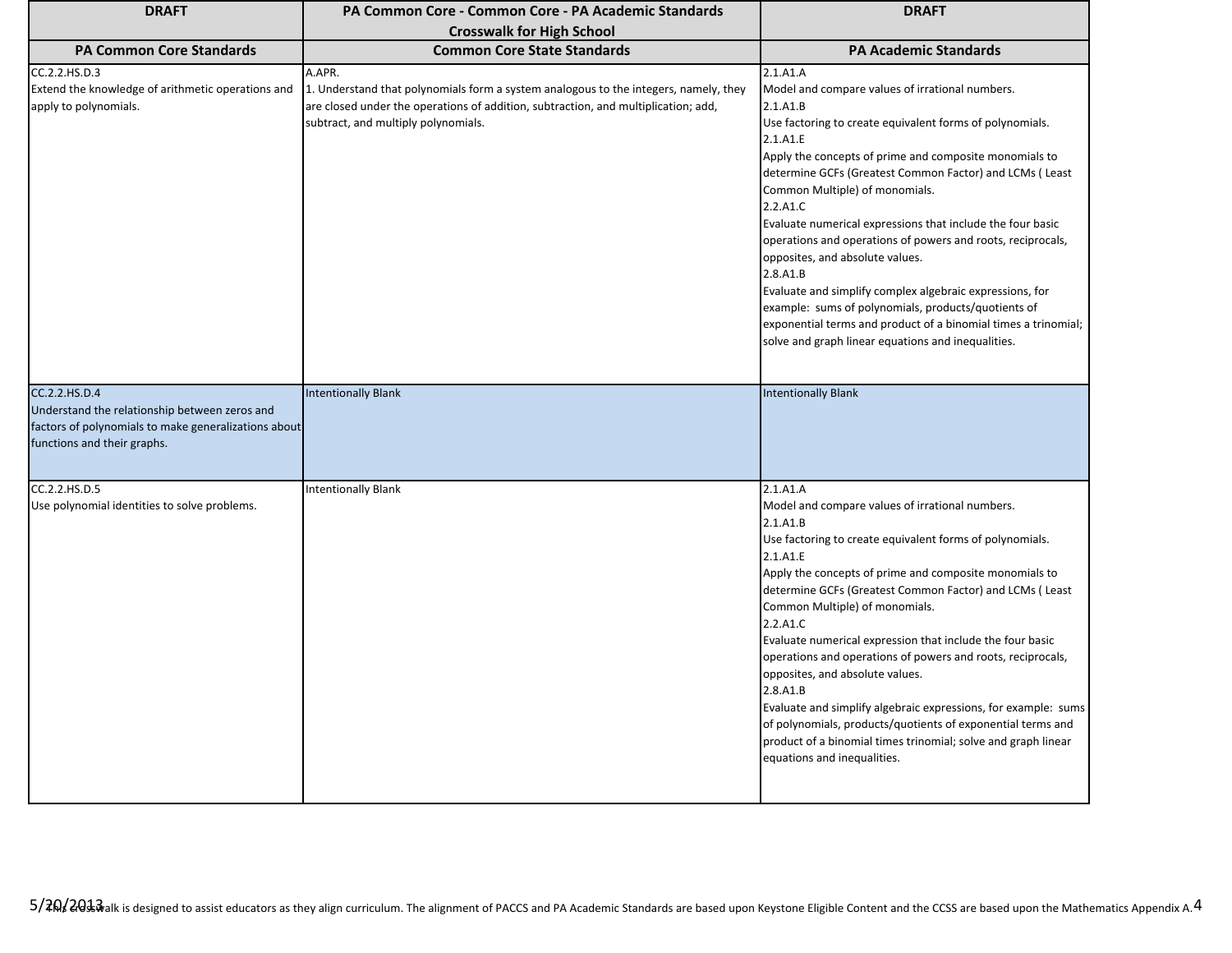| <b>DRAFT</b>                                                                                                                                          | PA Common Core - Common Core - PA Academic Standards                                                                                                                                                                        | <b>DRAFT</b>                                                                                                                                                                                                                                                                                                                                                                                                                                                                                                                                                                                                                                                                                                                              |
|-------------------------------------------------------------------------------------------------------------------------------------------------------|-----------------------------------------------------------------------------------------------------------------------------------------------------------------------------------------------------------------------------|-------------------------------------------------------------------------------------------------------------------------------------------------------------------------------------------------------------------------------------------------------------------------------------------------------------------------------------------------------------------------------------------------------------------------------------------------------------------------------------------------------------------------------------------------------------------------------------------------------------------------------------------------------------------------------------------------------------------------------------------|
|                                                                                                                                                       | <b>Crosswalk for High School</b>                                                                                                                                                                                            |                                                                                                                                                                                                                                                                                                                                                                                                                                                                                                                                                                                                                                                                                                                                           |
| <b>PA Common Core Standards</b>                                                                                                                       | <b>Common Core State Standards</b>                                                                                                                                                                                          | <b>PA Academic Standards</b>                                                                                                                                                                                                                                                                                                                                                                                                                                                                                                                                                                                                                                                                                                              |
| CC.2.2.HS.D.3<br>Extend the knowledge of arithmetic operations and<br>apply to polynomials.                                                           | A.APR.<br>1. Understand that polynomials form a system analogous to the integers, namely, they<br>are closed under the operations of addition, subtraction, and multiplication; add,<br>subtract, and multiply polynomials. | 2.1.A1.A<br>Model and compare values of irrational numbers.<br>2.1.A1.B<br>Use factoring to create equivalent forms of polynomials.<br>2.1.A1.E<br>Apply the concepts of prime and composite monomials to<br>determine GCFs (Greatest Common Factor) and LCMs (Least<br>Common Multiple) of monomials.<br>2.2.A1.C<br>Evaluate numerical expressions that include the four basic<br>operations and operations of powers and roots, reciprocals,<br>opposites, and absolute values.<br>2.8.A1.B<br>Evaluate and simplify complex algebraic expressions, for<br>example: sums of polynomials, products/quotients of<br>exponential terms and product of a binomial times a trinomial;<br>solve and graph linear equations and inequalities. |
| CC.2.2.HS.D.4<br>Understand the relationship between zeros and<br>factors of polynomials to make generalizations about<br>functions and their graphs. | <b>Intentionally Blank</b>                                                                                                                                                                                                  | <b>Intentionally Blank</b>                                                                                                                                                                                                                                                                                                                                                                                                                                                                                                                                                                                                                                                                                                                |
| CC.2.2.HS.D.5<br>Use polynomial identities to solve problems.                                                                                         | <b>Intentionally Blank</b>                                                                                                                                                                                                  | 2.1.A1.A<br>Model and compare values of irrational numbers.<br>2.1.A1.B<br>Use factoring to create equivalent forms of polynomials.<br>2.1.A1.E<br>Apply the concepts of prime and composite monomials to<br>determine GCFs (Greatest Common Factor) and LCMs (Least<br>Common Multiple) of monomials.<br>2.2.A1.C<br>Evaluate numerical expression that include the four basic<br>operations and operations of powers and roots, reciprocals,<br>opposites, and absolute values.<br>2.8.A1.B<br>Evaluate and simplify algebraic expressions, for example: sums<br>of polynomials, products/quotients of exponential terms and<br>product of a binomial times trinomial; solve and graph linear<br>equations and inequalities.            |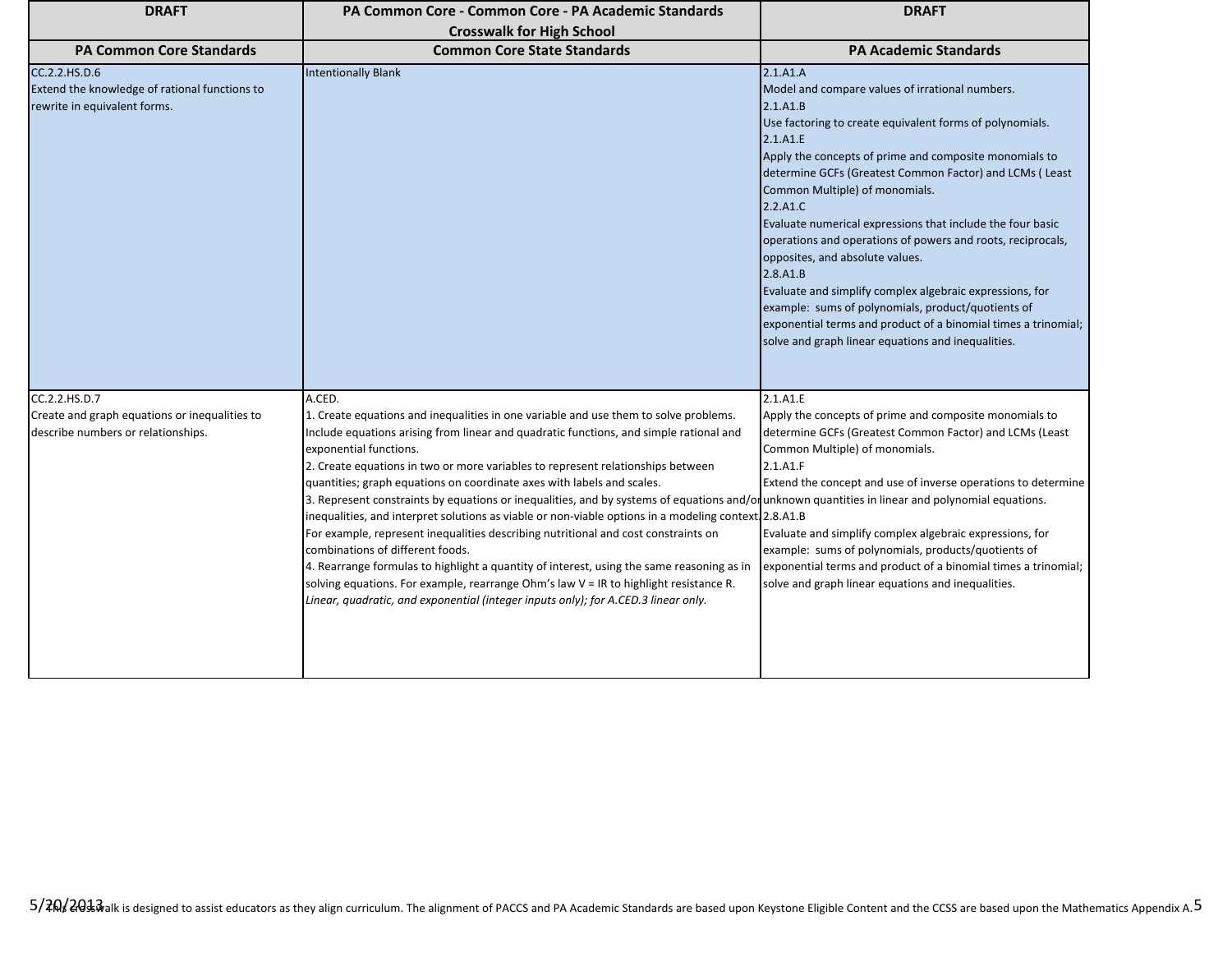| <b>DRAFT</b>                                                                                         | PA Common Core - Common Core - PA Academic Standards                                                                                                                                                                                                                                                                                                                                                                                                                                                                                                                                                                                                                                                                                                                                                                                                                                                                                                                                                                                              | <b>DRAFT</b>                                                                                                                                                                                                                                                                                                                                                                                                                                                                                                                                                                                                                                                                                                                             |
|------------------------------------------------------------------------------------------------------|---------------------------------------------------------------------------------------------------------------------------------------------------------------------------------------------------------------------------------------------------------------------------------------------------------------------------------------------------------------------------------------------------------------------------------------------------------------------------------------------------------------------------------------------------------------------------------------------------------------------------------------------------------------------------------------------------------------------------------------------------------------------------------------------------------------------------------------------------------------------------------------------------------------------------------------------------------------------------------------------------------------------------------------------------|------------------------------------------------------------------------------------------------------------------------------------------------------------------------------------------------------------------------------------------------------------------------------------------------------------------------------------------------------------------------------------------------------------------------------------------------------------------------------------------------------------------------------------------------------------------------------------------------------------------------------------------------------------------------------------------------------------------------------------------|
|                                                                                                      | <b>Crosswalk for High School</b>                                                                                                                                                                                                                                                                                                                                                                                                                                                                                                                                                                                                                                                                                                                                                                                                                                                                                                                                                                                                                  |                                                                                                                                                                                                                                                                                                                                                                                                                                                                                                                                                                                                                                                                                                                                          |
| <b>PA Common Core Standards</b>                                                                      | <b>Common Core State Standards</b>                                                                                                                                                                                                                                                                                                                                                                                                                                                                                                                                                                                                                                                                                                                                                                                                                                                                                                                                                                                                                | <b>PA Academic Standards</b>                                                                                                                                                                                                                                                                                                                                                                                                                                                                                                                                                                                                                                                                                                             |
| CC.2.2.HS.D.6<br>Extend the knowledge of rational functions to<br>rewrite in equivalent forms.       | <b>Intentionally Blank</b>                                                                                                                                                                                                                                                                                                                                                                                                                                                                                                                                                                                                                                                                                                                                                                                                                                                                                                                                                                                                                        | 2.1.A1.A<br>Model and compare values of irrational numbers.<br>2.1.A1.B<br>Use factoring to create equivalent forms of polynomials.<br>2.1.A1.E<br>Apply the concepts of prime and composite monomials to<br>determine GCFs (Greatest Common Factor) and LCMs (Least<br>Common Multiple) of monomials.<br>2.2.A1.C<br>Evaluate numerical expressions that include the four basic<br>operations and operations of powers and roots, reciprocals,<br>opposites, and absolute values.<br>2.8.A1.B<br>Evaluate and simplify complex algebraic expressions, for<br>example: sums of polynomials, product/quotients of<br>exponential terms and product of a binomial times a trinomial;<br>solve and graph linear equations and inequalities. |
| CC.2.2.HS.D.7<br>Create and graph equations or inequalities to<br>describe numbers or relationships. | A.CED.<br>1. Create equations and inequalities in one variable and use them to solve problems.<br>Include equations arising from linear and quadratic functions, and simple rational and<br>exponential functions.<br>2. Create equations in two or more variables to represent relationships between<br>quantities; graph equations on coordinate axes with labels and scales.<br>3. Represent constraints by equations or inequalities, and by systems of equations and/or unknown quantities in linear and polynomial equations.<br>inequalities, and interpret solutions as viable or non-viable options in a modeling context 2.8.A1.B<br>For example, represent inequalities describing nutritional and cost constraints on<br>combinations of different foods.<br>4. Rearrange formulas to highlight a quantity of interest, using the same reasoning as in<br>solving equations. For example, rearrange Ohm's law V = IR to highlight resistance R.<br>Linear, quadratic, and exponential (integer inputs only); for A.CED.3 linear only. | 2.1.A1.E<br>Apply the concepts of prime and composite monomials to<br>determine GCFs (Greatest Common Factor) and LCMs (Least<br>Common Multiple) of monomials.<br>2.1.A1.F<br>Extend the concept and use of inverse operations to determine<br>Evaluate and simplify complex algebraic expressions, for<br>example: sums of polynomials, products/quotients of<br>exponential terms and product of a binomial times a trinomial;<br>solve and graph linear equations and inequalities.                                                                                                                                                                                                                                                  |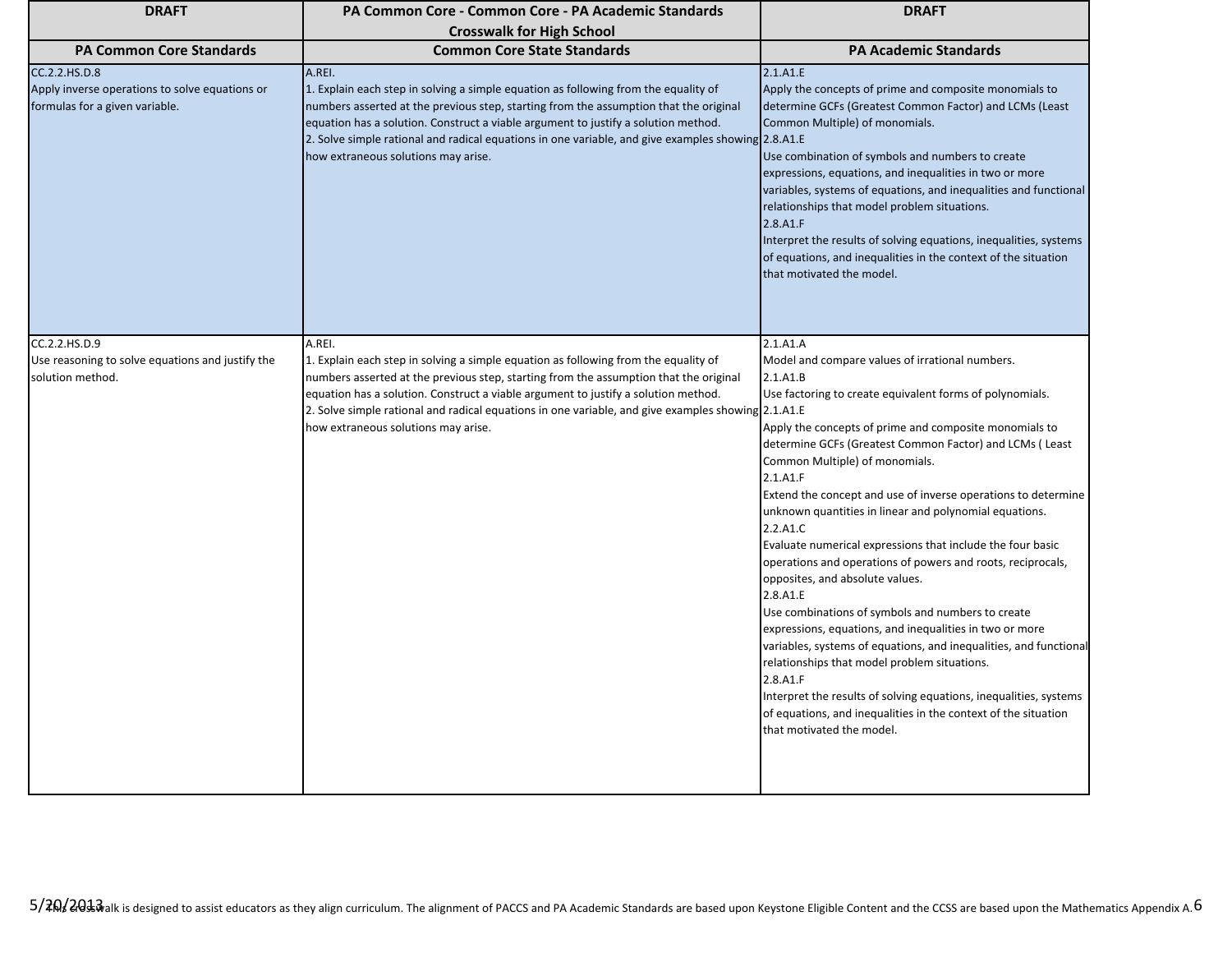| <b>DRAFT</b>                                                                                      | PA Common Core - Common Core - PA Academic Standards                                                                                                                                                                                                                                                                                                                                                                      | <b>DRAFT</b>                                                                                                                                                                                                                                                                                                                                                                                                                                                                                                                                                                                                                                                                                                                                                                                                                                                                                                                                                                                                                                   |
|---------------------------------------------------------------------------------------------------|---------------------------------------------------------------------------------------------------------------------------------------------------------------------------------------------------------------------------------------------------------------------------------------------------------------------------------------------------------------------------------------------------------------------------|------------------------------------------------------------------------------------------------------------------------------------------------------------------------------------------------------------------------------------------------------------------------------------------------------------------------------------------------------------------------------------------------------------------------------------------------------------------------------------------------------------------------------------------------------------------------------------------------------------------------------------------------------------------------------------------------------------------------------------------------------------------------------------------------------------------------------------------------------------------------------------------------------------------------------------------------------------------------------------------------------------------------------------------------|
|                                                                                                   | <b>Crosswalk for High School</b>                                                                                                                                                                                                                                                                                                                                                                                          |                                                                                                                                                                                                                                                                                                                                                                                                                                                                                                                                                                                                                                                                                                                                                                                                                                                                                                                                                                                                                                                |
| <b>PA Common Core Standards</b>                                                                   | <b>Common Core State Standards</b>                                                                                                                                                                                                                                                                                                                                                                                        | <b>PA Academic Standards</b>                                                                                                                                                                                                                                                                                                                                                                                                                                                                                                                                                                                                                                                                                                                                                                                                                                                                                                                                                                                                                   |
| CC.2.2.HS.D.8<br>Apply inverse operations to solve equations or<br>formulas for a given variable. | A.REI.<br>1. Explain each step in solving a simple equation as following from the equality of<br>numbers asserted at the previous step, starting from the assumption that the original<br>equation has a solution. Construct a viable argument to justify a solution method.<br>2. Solve simple rational and radical equations in one variable, and give examples showing 2.8.A1.E<br>how extraneous solutions may arise. | 2.1.A1.E<br>Apply the concepts of prime and composite monomials to<br>determine GCFs (Greatest Common Factor) and LCMs (Least<br>Common Multiple) of monomials.<br>Use combination of symbols and numbers to create<br>expressions, equations, and inequalities in two or more<br>variables, systems of equations, and inequalities and functional<br>relationships that model problem situations.<br>2.8.A1.F<br>Interpret the results of solving equations, inequalities, systems<br>of equations, and inequalities in the context of the situation<br>that motivated the model.                                                                                                                                                                                                                                                                                                                                                                                                                                                             |
| CC.2.2.HS.D.9<br>Use reasoning to solve equations and justify the<br>solution method.             | A.REI.<br>1. Explain each step in solving a simple equation as following from the equality of<br>numbers asserted at the previous step, starting from the assumption that the original<br>equation has a solution. Construct a viable argument to justify a solution method.<br>2. Solve simple rational and radical equations in one variable, and give examples showing 2.1.A1.E<br>how extraneous solutions may arise. | 2.1.A1.A<br>Model and compare values of irrational numbers.<br>2.1.A1.B<br>Use factoring to create equivalent forms of polynomials.<br>Apply the concepts of prime and composite monomials to<br>determine GCFs (Greatest Common Factor) and LCMs (Least<br>Common Multiple) of monomials.<br>2.1.A1.F<br>Extend the concept and use of inverse operations to determine<br>unknown quantities in linear and polynomial equations.<br>2.2.A1.C<br>Evaluate numerical expressions that include the four basic<br>operations and operations of powers and roots, reciprocals,<br>opposites, and absolute values.<br>2.8.A1.E<br>Use combinations of symbols and numbers to create<br>expressions, equations, and inequalities in two or more<br>variables, systems of equations, and inequalities, and functional<br>relationships that model problem situations.<br>2.8.A1.F<br>Interpret the results of solving equations, inequalities, systems<br>of equations, and inequalities in the context of the situation<br>that motivated the model. |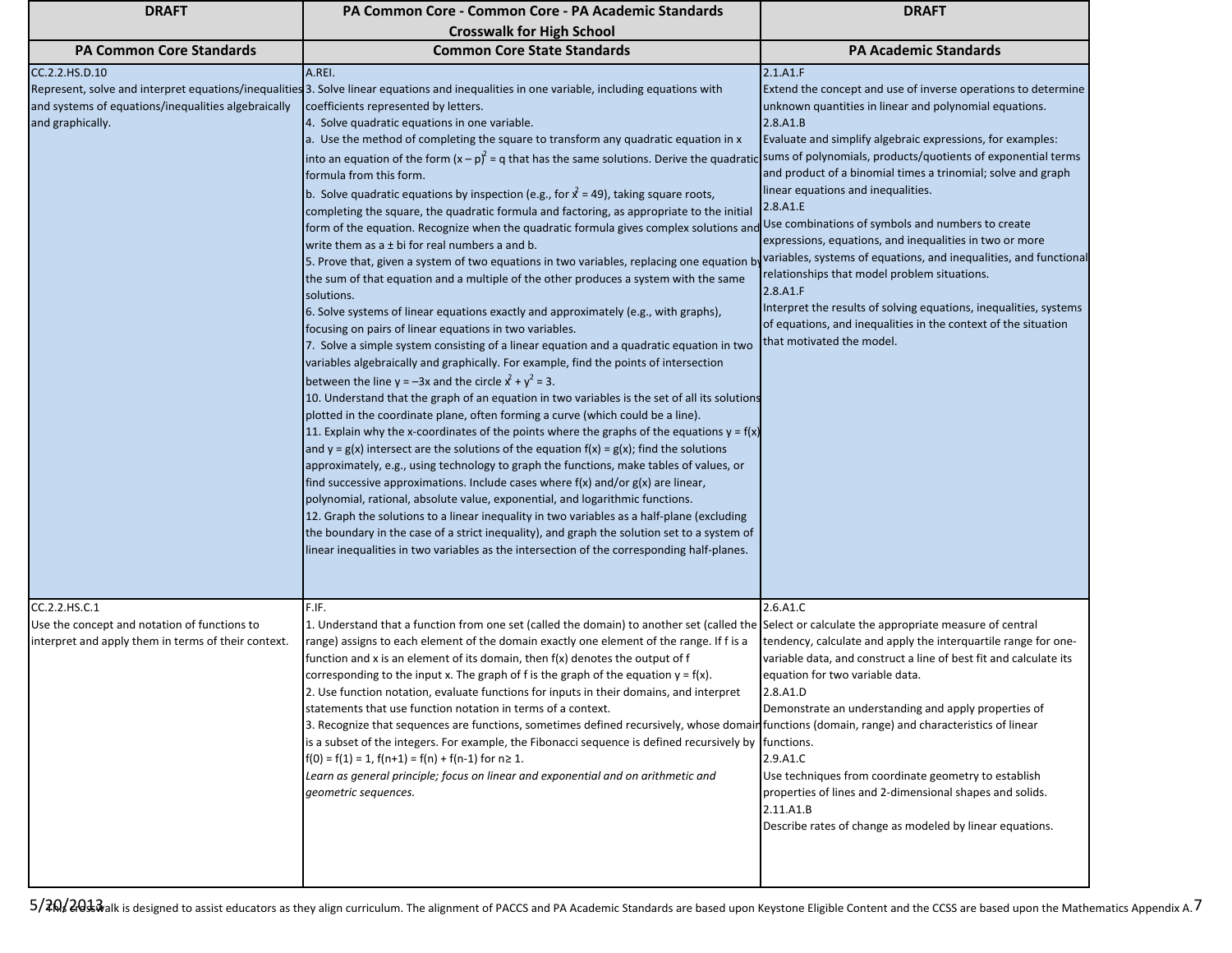| <b>DRAFT</b>                                                                                                         | PA Common Core - Common Core - PA Academic Standards                                                                                                                                                                                                                                                                                                                                                                                                                                                                                                                                                                                                                                                                                                                                                                                                                                                                                                                                                                                                                                                                                                                                                                                                                                                                                                                                                                                                                                                                                                                                                                                                                                                                                                                                                                                                                                                                                                                                                                                                                                                                                                                                                                                                                                                                                                                        | <b>DRAFT</b>                                                                                                                                                                                                                                                                                                                                                                                                                                                                                                                                                                                                                                                                                                                                                                                                         |
|----------------------------------------------------------------------------------------------------------------------|-----------------------------------------------------------------------------------------------------------------------------------------------------------------------------------------------------------------------------------------------------------------------------------------------------------------------------------------------------------------------------------------------------------------------------------------------------------------------------------------------------------------------------------------------------------------------------------------------------------------------------------------------------------------------------------------------------------------------------------------------------------------------------------------------------------------------------------------------------------------------------------------------------------------------------------------------------------------------------------------------------------------------------------------------------------------------------------------------------------------------------------------------------------------------------------------------------------------------------------------------------------------------------------------------------------------------------------------------------------------------------------------------------------------------------------------------------------------------------------------------------------------------------------------------------------------------------------------------------------------------------------------------------------------------------------------------------------------------------------------------------------------------------------------------------------------------------------------------------------------------------------------------------------------------------------------------------------------------------------------------------------------------------------------------------------------------------------------------------------------------------------------------------------------------------------------------------------------------------------------------------------------------------------------------------------------------------------------------------------------------------|----------------------------------------------------------------------------------------------------------------------------------------------------------------------------------------------------------------------------------------------------------------------------------------------------------------------------------------------------------------------------------------------------------------------------------------------------------------------------------------------------------------------------------------------------------------------------------------------------------------------------------------------------------------------------------------------------------------------------------------------------------------------------------------------------------------------|
|                                                                                                                      | <b>Crosswalk for High School</b>                                                                                                                                                                                                                                                                                                                                                                                                                                                                                                                                                                                                                                                                                                                                                                                                                                                                                                                                                                                                                                                                                                                                                                                                                                                                                                                                                                                                                                                                                                                                                                                                                                                                                                                                                                                                                                                                                                                                                                                                                                                                                                                                                                                                                                                                                                                                            |                                                                                                                                                                                                                                                                                                                                                                                                                                                                                                                                                                                                                                                                                                                                                                                                                      |
| <b>PA Common Core Standards</b>                                                                                      | <b>Common Core State Standards</b>                                                                                                                                                                                                                                                                                                                                                                                                                                                                                                                                                                                                                                                                                                                                                                                                                                                                                                                                                                                                                                                                                                                                                                                                                                                                                                                                                                                                                                                                                                                                                                                                                                                                                                                                                                                                                                                                                                                                                                                                                                                                                                                                                                                                                                                                                                                                          | <b>PA Academic Standards</b>                                                                                                                                                                                                                                                                                                                                                                                                                                                                                                                                                                                                                                                                                                                                                                                         |
| CC.2.2.HS.D.10<br>and systems of equations/inequalities algebraically<br>and graphically.                            | A.REI.<br>Represent, solve and interpret equations/inequalities 3. Solve linear equations and inequalities in one variable, including equations with<br>coefficients represented by letters.<br>4. Solve quadratic equations in one variable.<br>a. Use the method of completing the square to transform any quadratic equation in x<br>into an equation of the form $(x - p)^2 = q$ that has the same solutions. Derive the quadration<br>formula from this form.<br>b. Solve quadratic equations by inspection (e.g., for $\hat{x}$ = 49), taking square roots,<br>completing the square, the quadratic formula and factoring, as appropriate to the initial<br>form of the equation. Recognize when the quadratic formula gives complex solutions and<br>write them as $a \pm bi$ for real numbers a and b.<br>5. Prove that, given a system of two equations in two variables, replacing one equation b<br>the sum of that equation and a multiple of the other produces a system with the same<br>solutions.<br>6. Solve systems of linear equations exactly and approximately (e.g., with graphs),<br>focusing on pairs of linear equations in two variables.<br>7. Solve a simple system consisting of a linear equation and a quadratic equation in two<br>variables algebraically and graphically. For example, find the points of intersection<br>between the line $y = -3x$ and the circle $x^2 + y^2 = 3$ .<br>10. Understand that the graph of an equation in two variables is the set of all its solutions<br>plotted in the coordinate plane, often forming a curve (which could be a line).<br>11. Explain why the x-coordinates of the points where the graphs of the equations $y = f(x)$<br>and $y = g(x)$ intersect are the solutions of the equation $f(x) = g(x)$ ; find the solutions<br>approximately, e.g., using technology to graph the functions, make tables of values, or<br>find successive approximations. Include cases where $f(x)$ and/or $g(x)$ are linear,<br>polynomial, rational, absolute value, exponential, and logarithmic functions.<br>12. Graph the solutions to a linear inequality in two variables as a half-plane (excluding<br>the boundary in the case of a strict inequality), and graph the solution set to a system of<br>linear inequalities in two variables as the intersection of the corresponding half-planes. | 2.1.A1.F<br>Extend the concept and use of inverse operations to determine<br>unknown quantities in linear and polynomial equations.<br>2.8.A1.B<br>Evaluate and simplify algebraic expressions, for examples:<br>sums of polynomials, products/quotients of exponential terms<br>and product of a binomial times a trinomial; solve and graph<br>linear equations and inequalities.<br>2.8.A1.E<br>Use combinations of symbols and numbers to create<br>expressions, equations, and inequalities in two or more<br>variables, systems of equations, and inequalities, and functional<br>relationships that model problem situations.<br>2.8.A1.F<br>Interpret the results of solving equations, inequalities, systems<br>of equations, and inequalities in the context of the situation<br>that motivated the model. |
| CC.2.2.HS.C.1<br>Use the concept and notation of functions to<br>interpret and apply them in terms of their context. | F.IF.<br>1. Understand that a function from one set (called the domain) to another set (called the Select or calculate the appropriate measure of central<br>range) assigns to each element of the domain exactly one element of the range. If f is a<br>function and x is an element of its domain, then f(x) denotes the output of f<br>corresponding to the input x. The graph of f is the graph of the equation $y = f(x)$ .<br>2. Use function notation, evaluate functions for inputs in their domains, and interpret<br>statements that use function notation in terms of a context.<br>3. Recognize that sequences are functions, sometimes defined recursively, whose domain functions (domain, range) and characteristics of linear<br>is a subset of the integers. For example, the Fibonacci sequence is defined recursively by functions.<br>$f(0) = f(1) = 1$ , $f(n+1) = f(n) + f(n-1)$ for $n \ge 1$ .<br>Learn as general principle; focus on linear and exponential and on arithmetic and<br>geometric sequences.                                                                                                                                                                                                                                                                                                                                                                                                                                                                                                                                                                                                                                                                                                                                                                                                                                                                                                                                                                                                                                                                                                                                                                                                                                                                                                                                         | 2.6.A1.C<br>tendency, calculate and apply the interquartile range for one-<br>variable data, and construct a line of best fit and calculate its<br>equation for two variable data.<br>2.8.A1.D<br>Demonstrate an understanding and apply properties of<br>2.9.A1.C<br>Use techniques from coordinate geometry to establish<br>properties of lines and 2-dimensional shapes and solids.<br>2.11.A1.B<br>Describe rates of change as modeled by linear equations.                                                                                                                                                                                                                                                                                                                                                      |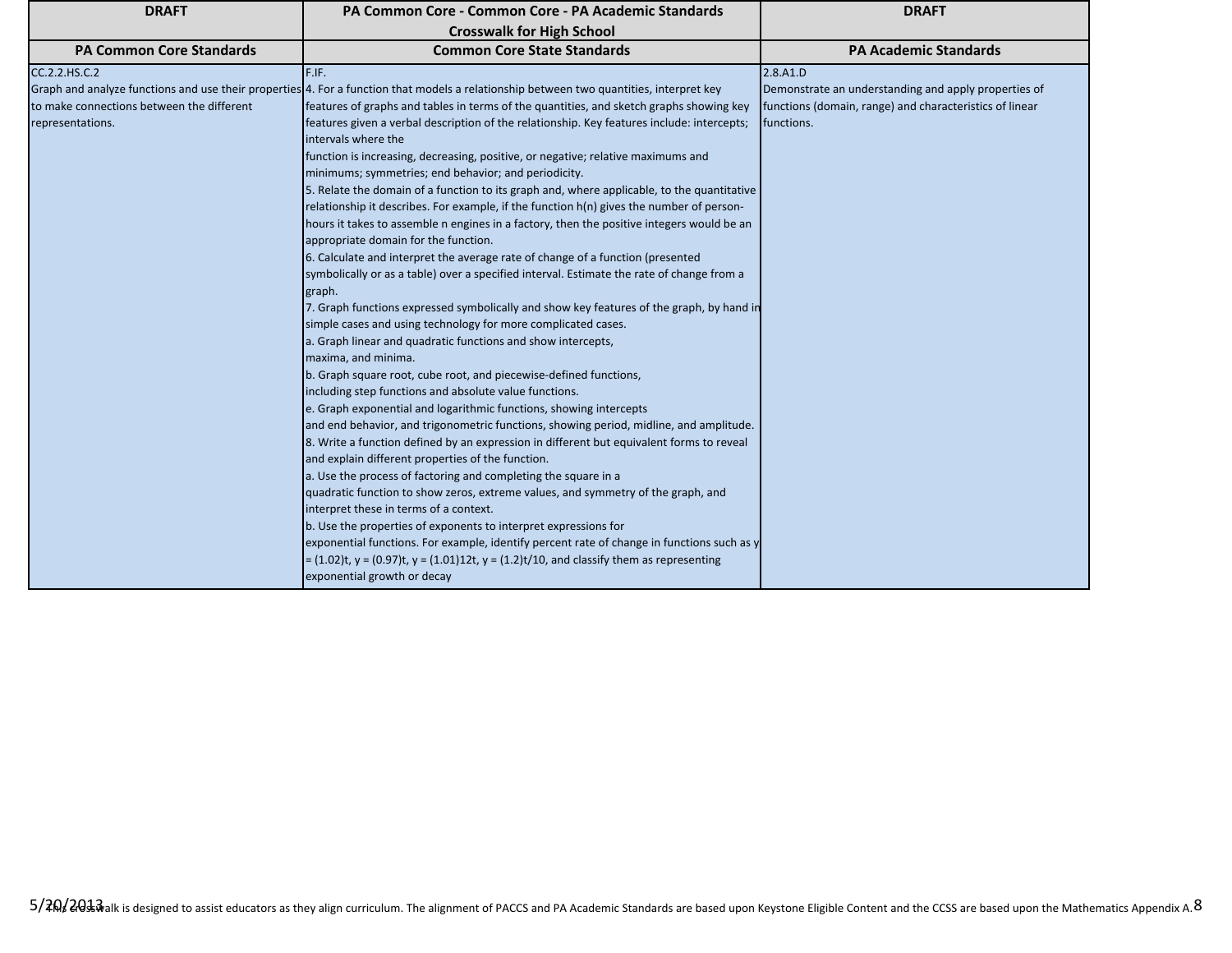| <b>DRAFT</b>                              | PA Common Core - Common Core - PA Academic Standards                                                                                    | <b>DRAFT</b>                                            |
|-------------------------------------------|-----------------------------------------------------------------------------------------------------------------------------------------|---------------------------------------------------------|
|                                           | <b>Crosswalk for High School</b>                                                                                                        |                                                         |
| <b>PA Common Core Standards</b>           | <b>Common Core State Standards</b>                                                                                                      | <b>PA Academic Standards</b>                            |
| CC.2.2.HS.C.2                             | F.IF.                                                                                                                                   | 2.8.A1.D                                                |
|                                           | Graph and analyze functions and use their properties 4. For a function that models a relationship between two quantities, interpret key | Demonstrate an understanding and apply properties of    |
| to make connections between the different | features of graphs and tables in terms of the quantities, and sketch graphs showing key                                                 | functions (domain, range) and characteristics of linear |
| representations.                          | features given a verbal description of the relationship. Key features include: intercepts;                                              | functions.                                              |
|                                           | intervals where the                                                                                                                     |                                                         |
|                                           | function is increasing, decreasing, positive, or negative; relative maximums and                                                        |                                                         |
|                                           | minimums; symmetries; end behavior; and periodicity.                                                                                    |                                                         |
|                                           | 5. Relate the domain of a function to its graph and, where applicable, to the quantitative                                              |                                                         |
|                                           | relationship it describes. For example, if the function $h(n)$ gives the number of person-                                              |                                                         |
|                                           | hours it takes to assemble n engines in a factory, then the positive integers would be an                                               |                                                         |
|                                           | appropriate domain for the function.                                                                                                    |                                                         |
|                                           | 6. Calculate and interpret the average rate of change of a function (presented                                                          |                                                         |
|                                           | symbolically or as a table) over a specified interval. Estimate the rate of change from a                                               |                                                         |
|                                           | graph.                                                                                                                                  |                                                         |
|                                           | 7. Graph functions expressed symbolically and show key features of the graph, by hand in                                                |                                                         |
|                                           | simple cases and using technology for more complicated cases.                                                                           |                                                         |
|                                           | a. Graph linear and quadratic functions and show intercepts,                                                                            |                                                         |
|                                           | maxima, and minima.                                                                                                                     |                                                         |
|                                           | b. Graph square root, cube root, and piecewise-defined functions,                                                                       |                                                         |
|                                           | including step functions and absolute value functions.                                                                                  |                                                         |
|                                           | e. Graph exponential and logarithmic functions, showing intercepts                                                                      |                                                         |
|                                           | and end behavior, and trigonometric functions, showing period, midline, and amplitude.                                                  |                                                         |
|                                           | 8. Write a function defined by an expression in different but equivalent forms to reveal                                                |                                                         |
|                                           | and explain different properties of the function.                                                                                       |                                                         |
|                                           | a. Use the process of factoring and completing the square in a                                                                          |                                                         |
|                                           | quadratic function to show zeros, extreme values, and symmetry of the graph, and                                                        |                                                         |
|                                           | interpret these in terms of a context.                                                                                                  |                                                         |
|                                           | b. Use the properties of exponents to interpret expressions for                                                                         |                                                         |
|                                           | exponential functions. For example, identify percent rate of change in functions such as y                                              |                                                         |
|                                           | $= (1.02)t$ , $y = (0.97)t$ , $y = (1.01)12t$ , $y = (1.2)t/10$ , and classify them as representing                                     |                                                         |
|                                           | exponential growth or decay                                                                                                             |                                                         |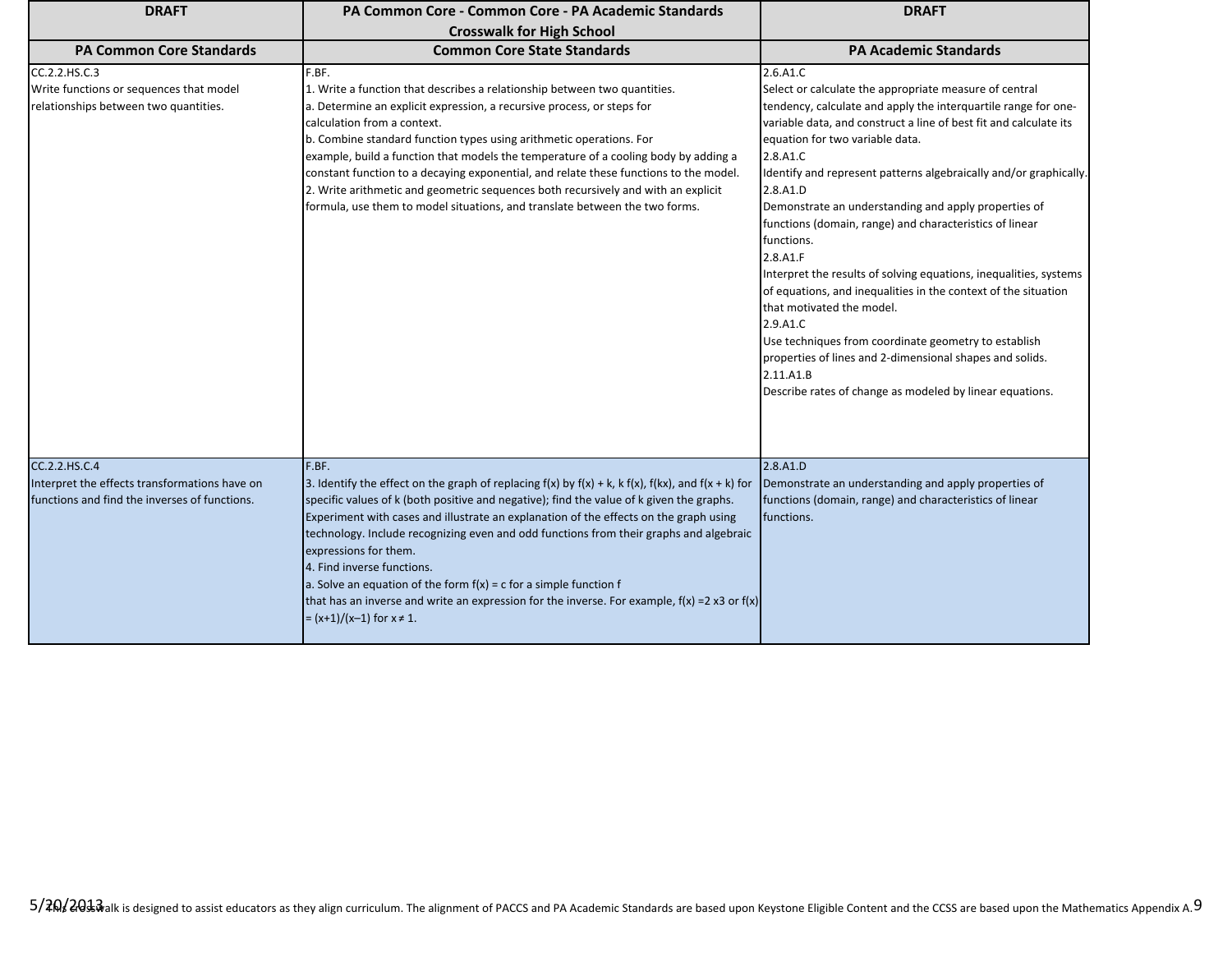| <b>DRAFT</b>                                                                                                    | PA Common Core - Common Core - PA Academic Standards                                                                                                                                                                                                                                                                                                                                                                                                                                                                                                                                                                                                                        | <b>DRAFT</b>                                                                                                                                                                                                                                                                                                                                                                                                                                                                                                                                                                                                                                                                                                                                                                                                                                                        |
|-----------------------------------------------------------------------------------------------------------------|-----------------------------------------------------------------------------------------------------------------------------------------------------------------------------------------------------------------------------------------------------------------------------------------------------------------------------------------------------------------------------------------------------------------------------------------------------------------------------------------------------------------------------------------------------------------------------------------------------------------------------------------------------------------------------|---------------------------------------------------------------------------------------------------------------------------------------------------------------------------------------------------------------------------------------------------------------------------------------------------------------------------------------------------------------------------------------------------------------------------------------------------------------------------------------------------------------------------------------------------------------------------------------------------------------------------------------------------------------------------------------------------------------------------------------------------------------------------------------------------------------------------------------------------------------------|
|                                                                                                                 | <b>Crosswalk for High School</b>                                                                                                                                                                                                                                                                                                                                                                                                                                                                                                                                                                                                                                            |                                                                                                                                                                                                                                                                                                                                                                                                                                                                                                                                                                                                                                                                                                                                                                                                                                                                     |
| <b>PA Common Core Standards</b>                                                                                 | <b>Common Core State Standards</b>                                                                                                                                                                                                                                                                                                                                                                                                                                                                                                                                                                                                                                          | <b>PA Academic Standards</b>                                                                                                                                                                                                                                                                                                                                                                                                                                                                                                                                                                                                                                                                                                                                                                                                                                        |
| CC.2.2.HS.C.3<br>Write functions or sequences that model<br>relationships between two quantities.               | F.BF.<br>1. Write a function that describes a relationship between two quantities.<br>a. Determine an explicit expression, a recursive process, or steps for<br>calculation from a context.<br>b. Combine standard function types using arithmetic operations. For<br>example, build a function that models the temperature of a cooling body by adding a<br>constant function to a decaying exponential, and relate these functions to the model.<br>2. Write arithmetic and geometric sequences both recursively and with an explicit<br>formula, use them to model situations, and translate between the two forms.                                                      | 2.6.A1.C<br>Select or calculate the appropriate measure of central<br>tendency, calculate and apply the interquartile range for one-<br>variable data, and construct a line of best fit and calculate its<br>equation for two variable data.<br>2.8.A1.C<br>Identify and represent patterns algebraically and/or graphically.<br>2.8.A1.D<br>Demonstrate an understanding and apply properties of<br>functions (domain, range) and characteristics of linear<br>functions.<br>2.8.A1.F<br>Interpret the results of solving equations, inequalities, systems<br>of equations, and inequalities in the context of the situation<br>that motivated the model.<br>2.9.A1.C<br>Use techniques from coordinate geometry to establish<br>properties of lines and 2-dimensional shapes and solids.<br>2.11.A1.B<br>Describe rates of change as modeled by linear equations. |
| CC.2.2.HS.C.4<br>Interpret the effects transformations have on<br>functions and find the inverses of functions. | F.BF.<br>3. Identify the effect on the graph of replacing $f(x)$ by $f(x) + k$ , k $f(x)$ , $f(kx)$ , and $f(x + k)$ for<br>specific values of k (both positive and negative); find the value of k given the graphs.<br>Experiment with cases and illustrate an explanation of the effects on the graph using<br>technology. Include recognizing even and odd functions from their graphs and algebraic<br>expressions for them.<br>4. Find inverse functions.<br>a. Solve an equation of the form $f(x) = c$ for a simple function f<br>that has an inverse and write an expression for the inverse. For example, $f(x) = 2x3$ or $f(x)$<br>$=(x+1)/(x-1)$ for $x \ne 1$ . | 2.8.A1.D<br>Demonstrate an understanding and apply properties of<br>functions (domain, range) and characteristics of linear<br>functions.                                                                                                                                                                                                                                                                                                                                                                                                                                                                                                                                                                                                                                                                                                                           |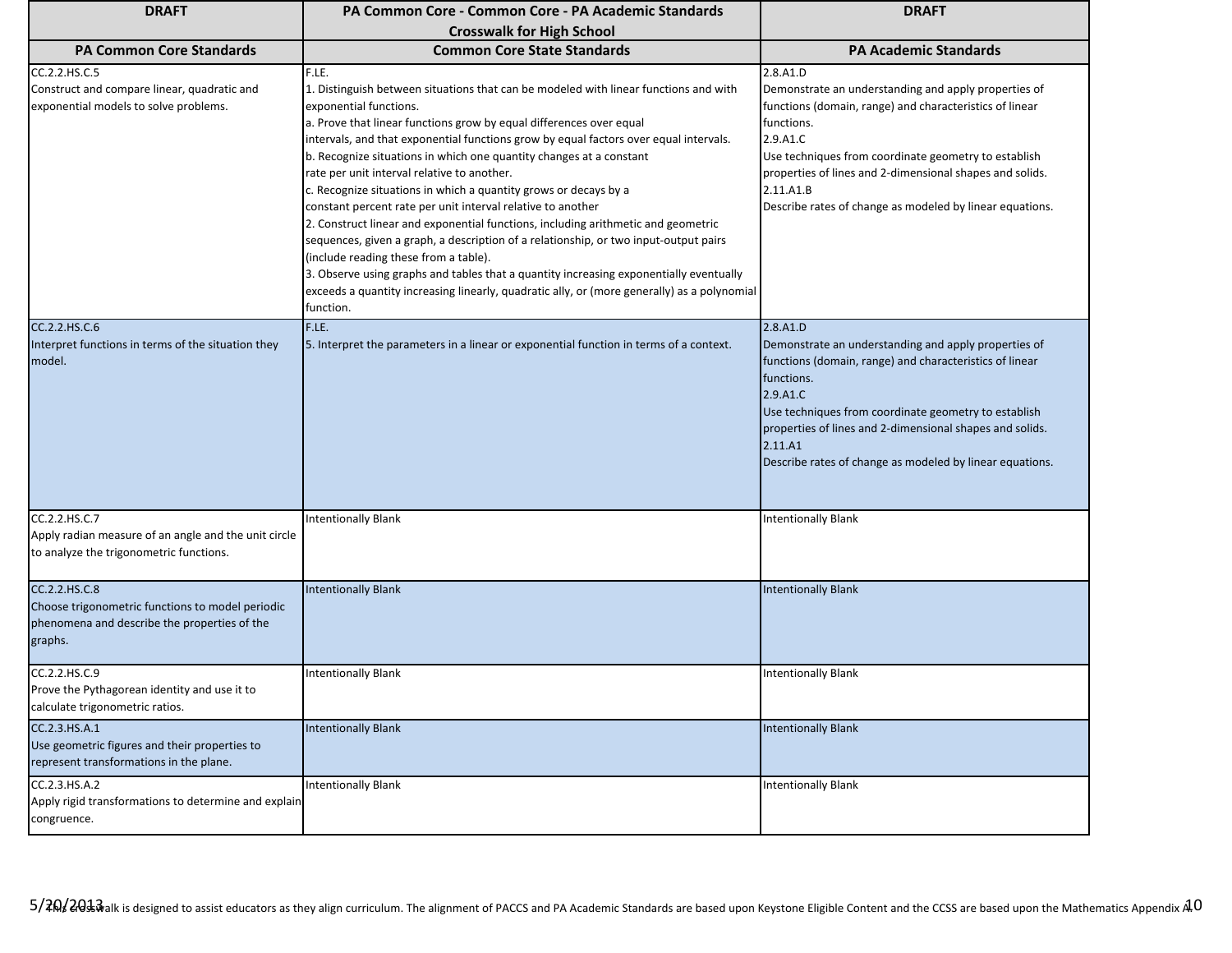| <b>DRAFT</b>                                                                                                                 | <b>PA Common Core - Common Core - PA Academic Standards</b>                                                                                                                                                                                                                                                                                                                                                                                                                                                                                                                                                                                                                                                                                                                                                                                                                                                                                                                  | <b>DRAFT</b>                                                                                                                                                                                                                                                                                                                                       |
|------------------------------------------------------------------------------------------------------------------------------|------------------------------------------------------------------------------------------------------------------------------------------------------------------------------------------------------------------------------------------------------------------------------------------------------------------------------------------------------------------------------------------------------------------------------------------------------------------------------------------------------------------------------------------------------------------------------------------------------------------------------------------------------------------------------------------------------------------------------------------------------------------------------------------------------------------------------------------------------------------------------------------------------------------------------------------------------------------------------|----------------------------------------------------------------------------------------------------------------------------------------------------------------------------------------------------------------------------------------------------------------------------------------------------------------------------------------------------|
|                                                                                                                              | <b>Crosswalk for High School</b>                                                                                                                                                                                                                                                                                                                                                                                                                                                                                                                                                                                                                                                                                                                                                                                                                                                                                                                                             |                                                                                                                                                                                                                                                                                                                                                    |
| <b>PA Common Core Standards</b>                                                                                              | <b>Common Core State Standards</b>                                                                                                                                                                                                                                                                                                                                                                                                                                                                                                                                                                                                                                                                                                                                                                                                                                                                                                                                           | <b>PA Academic Standards</b>                                                                                                                                                                                                                                                                                                                       |
| CC.2.2.HS.C.5<br>Construct and compare linear, quadratic and<br>exponential models to solve problems.                        | F.LE.<br>1. Distinguish between situations that can be modeled with linear functions and with<br>exponential functions.<br>a. Prove that linear functions grow by equal differences over equal<br>intervals, and that exponential functions grow by equal factors over equal intervals.<br>b. Recognize situations in which one quantity changes at a constant<br>rate per unit interval relative to another.<br>c. Recognize situations in which a quantity grows or decays by a<br>constant percent rate per unit interval relative to another<br>2. Construct linear and exponential functions, including arithmetic and geometric<br>sequences, given a graph, a description of a relationship, or two input-output pairs<br>(include reading these from a table).<br>3. Observe using graphs and tables that a quantity increasing exponentially eventually<br>exceeds a quantity increasing linearly, quadratic ally, or (more generally) as a polynomial<br>function. | 2.8.A1.D<br>Demonstrate an understanding and apply properties of<br>functions (domain, range) and characteristics of linear<br>functions.<br>2.9.A1.C<br>Use techniques from coordinate geometry to establish<br>properties of lines and 2-dimensional shapes and solids.<br>2.11.A1.B<br>Describe rates of change as modeled by linear equations. |
| CC.2.2.HS.C.6<br>Interpret functions in terms of the situation they<br>model.                                                | F.LE.<br>5. Interpret the parameters in a linear or exponential function in terms of a context.                                                                                                                                                                                                                                                                                                                                                                                                                                                                                                                                                                                                                                                                                                                                                                                                                                                                              | 2.8.A1.D<br>Demonstrate an understanding and apply properties of<br>functions (domain, range) and characteristics of linear<br>functions.<br>2.9.A1.C<br>Use techniques from coordinate geometry to establish<br>properties of lines and 2-dimensional shapes and solids.<br>2.11.A1<br>Describe rates of change as modeled by linear equations.   |
| CC.2.2.HS.C.7<br>Apply radian measure of an angle and the unit circle<br>to analyze the trigonometric functions.             | <b>Intentionally Blank</b>                                                                                                                                                                                                                                                                                                                                                                                                                                                                                                                                                                                                                                                                                                                                                                                                                                                                                                                                                   | <b>Intentionally Blank</b>                                                                                                                                                                                                                                                                                                                         |
| CC.2.2.HS.C.8<br>Choose trigonometric functions to model periodic<br>phenomena and describe the properties of the<br>graphs. | <b>Intentionally Blank</b>                                                                                                                                                                                                                                                                                                                                                                                                                                                                                                                                                                                                                                                                                                                                                                                                                                                                                                                                                   | <b>Intentionally Blank</b>                                                                                                                                                                                                                                                                                                                         |
| CC.2.2.HS.C.9<br>Prove the Pythagorean identity and use it to<br>calculate trigonometric ratios.                             | <b>Intentionally Blank</b>                                                                                                                                                                                                                                                                                                                                                                                                                                                                                                                                                                                                                                                                                                                                                                                                                                                                                                                                                   | <b>Intentionally Blank</b>                                                                                                                                                                                                                                                                                                                         |
| CC.2.3.HS.A.1<br>Use geometric figures and their properties to<br>represent transformations in the plane.                    | <b>Intentionally Blank</b>                                                                                                                                                                                                                                                                                                                                                                                                                                                                                                                                                                                                                                                                                                                                                                                                                                                                                                                                                   | <b>Intentionally Blank</b>                                                                                                                                                                                                                                                                                                                         |
| CC.2.3.HS.A.2<br>Apply rigid transformations to determine and explain<br>congruence.                                         | <b>Intentionally Blank</b>                                                                                                                                                                                                                                                                                                                                                                                                                                                                                                                                                                                                                                                                                                                                                                                                                                                                                                                                                   | <b>Intentionally Blank</b>                                                                                                                                                                                                                                                                                                                         |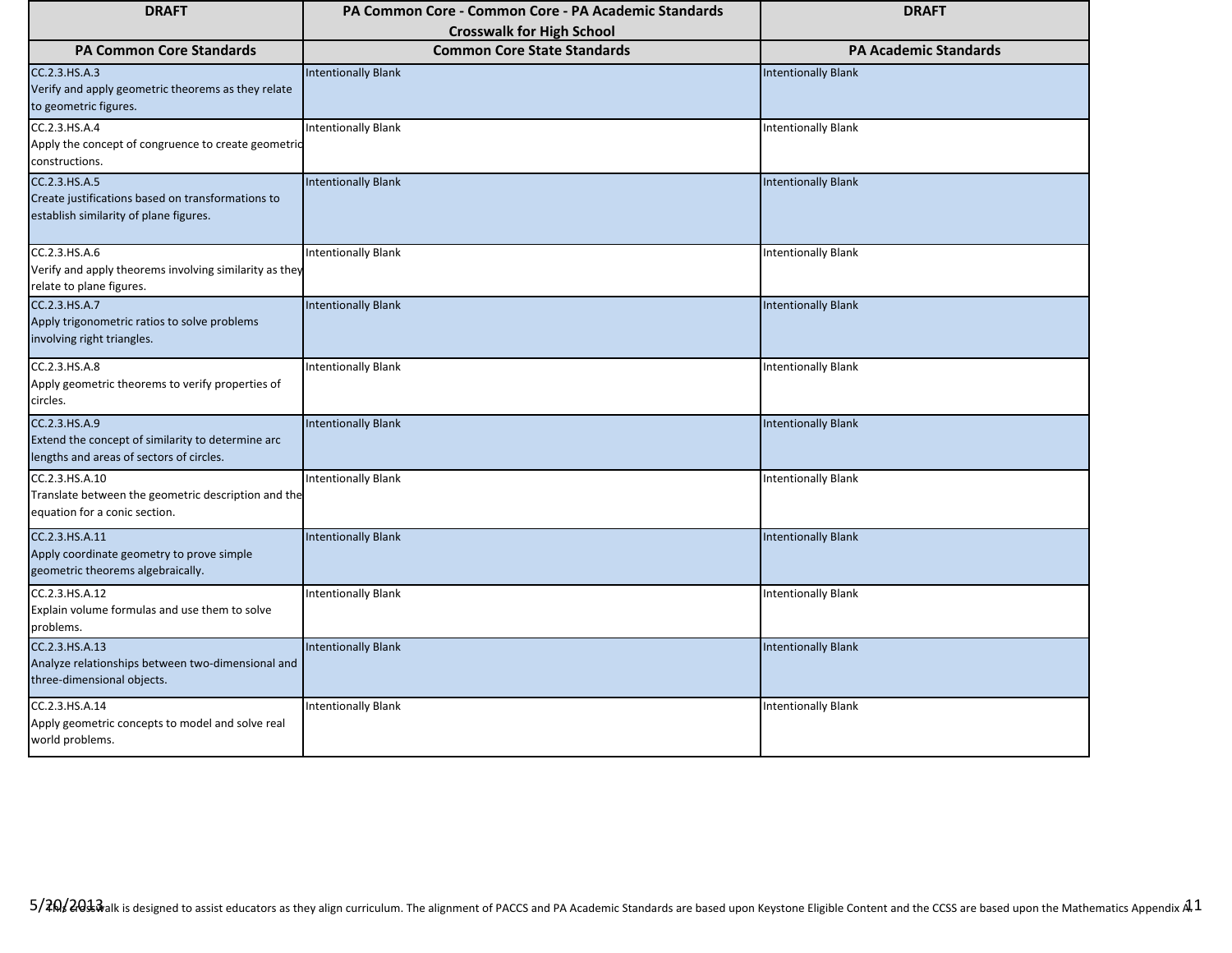| <b>DRAFT</b>                                                                                                   | PA Common Core - Common Core - PA Academic Standards                   | <b>DRAFT</b>                 |
|----------------------------------------------------------------------------------------------------------------|------------------------------------------------------------------------|------------------------------|
| <b>PA Common Core Standards</b>                                                                                | <b>Crosswalk for High School</b><br><b>Common Core State Standards</b> | <b>PA Academic Standards</b> |
| CC.2.3.HS.A.3<br>Verify and apply geometric theorems as they relate<br>to geometric figures.                   | <b>Intentionally Blank</b>                                             | <b>Intentionally Blank</b>   |
| CC.2.3.HS.A.4<br>Apply the concept of congruence to create geometric<br>constructions.                         | Intentionally Blank                                                    | <b>Intentionally Blank</b>   |
| CC.2.3.HS.A.5<br>Create justifications based on transformations to<br>establish similarity of plane figures.   | <b>Intentionally Blank</b>                                             | <b>Intentionally Blank</b>   |
| CC.2.3.HS.A.6<br>Verify and apply theorems involving similarity as they<br>relate to plane figures.            | <b>Intentionally Blank</b>                                             | <b>Intentionally Blank</b>   |
| CC.2.3.HS.A.7<br>Apply trigonometric ratios to solve problems<br>involving right triangles.                    | <b>Intentionally Blank</b>                                             | <b>Intentionally Blank</b>   |
| CC.2.3.HS.A.8<br>Apply geometric theorems to verify properties of<br>circles.                                  | <b>Intentionally Blank</b>                                             | <b>Intentionally Blank</b>   |
| CC.2.3.HS.A.9<br>Extend the concept of similarity to determine arc<br>lengths and areas of sectors of circles. | <b>Intentionally Blank</b>                                             | <b>Intentionally Blank</b>   |
| CC.2.3.HS.A.10<br>Translate between the geometric description and the<br>equation for a conic section.         | <b>Intentionally Blank</b>                                             | <b>Intentionally Blank</b>   |
| CC.2.3.HS.A.11<br>Apply coordinate geometry to prove simple<br>geometric theorems algebraically.               | <b>Intentionally Blank</b>                                             | <b>Intentionally Blank</b>   |
| CC.2.3.HS.A.12<br>Explain volume formulas and use them to solve<br>problems.                                   | <b>Intentionally Blank</b>                                             | <b>Intentionally Blank</b>   |
| CC.2.3.HS.A.13<br>Analyze relationships between two-dimensional and<br>three-dimensional objects.              | <b>Intentionally Blank</b>                                             | <b>Intentionally Blank</b>   |
| CC.2.3.HS.A.14<br>Apply geometric concepts to model and solve real<br>world problems.                          | <b>Intentionally Blank</b>                                             | <b>Intentionally Blank</b>   |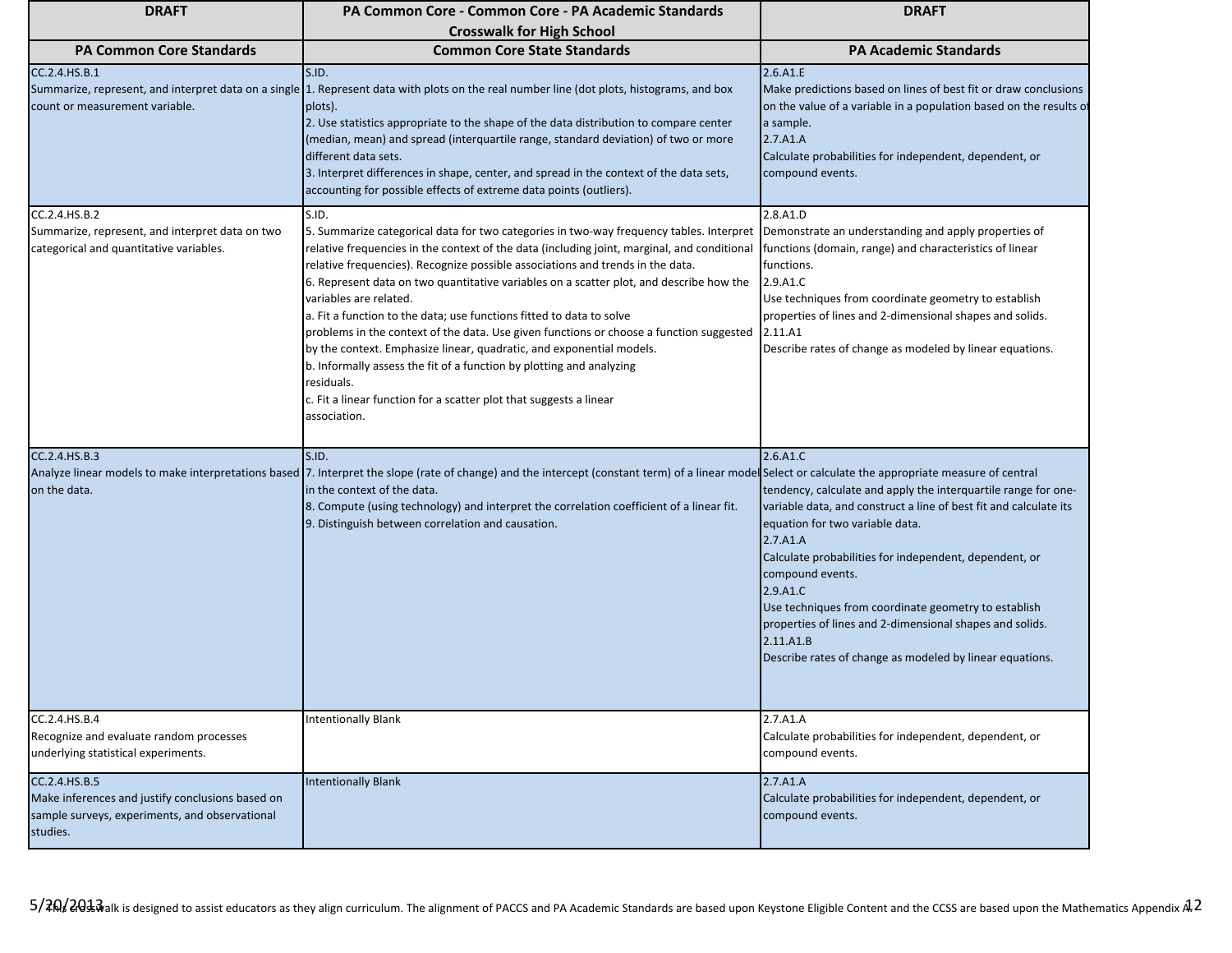| <b>DRAFT</b>                                                                                                                    | PA Common Core - Common Core - PA Academic Standards                                                                                                                                                                                                                                                                                                                                                                                                                                                                                                                                                                                                                                                                                                                                                                                                                                       | <b>DRAFT</b>                                                                                                                                                                                                                                                                                                                                                                                                                                                                          |
|---------------------------------------------------------------------------------------------------------------------------------|--------------------------------------------------------------------------------------------------------------------------------------------------------------------------------------------------------------------------------------------------------------------------------------------------------------------------------------------------------------------------------------------------------------------------------------------------------------------------------------------------------------------------------------------------------------------------------------------------------------------------------------------------------------------------------------------------------------------------------------------------------------------------------------------------------------------------------------------------------------------------------------------|---------------------------------------------------------------------------------------------------------------------------------------------------------------------------------------------------------------------------------------------------------------------------------------------------------------------------------------------------------------------------------------------------------------------------------------------------------------------------------------|
|                                                                                                                                 | <b>Crosswalk for High School</b>                                                                                                                                                                                                                                                                                                                                                                                                                                                                                                                                                                                                                                                                                                                                                                                                                                                           |                                                                                                                                                                                                                                                                                                                                                                                                                                                                                       |
| <b>PA Common Core Standards</b><br>CC.2.4.HS.B.1<br>count or measurement variable.                                              | <b>Common Core State Standards</b><br>S.ID.<br>Summarize, represent, and interpret data on a single 1. Represent data with plots on the real number line (dot plots, histograms, and box<br>plots).<br>2. Use statistics appropriate to the shape of the data distribution to compare center<br>(median, mean) and spread (interquartile range, standard deviation) of two or more<br>different data sets.<br>3. Interpret differences in shape, center, and spread in the context of the data sets,<br>accounting for possible effects of extreme data points (outliers).                                                                                                                                                                                                                                                                                                                 | <b>PA Academic Standards</b><br>2.6.A1.E<br>Make predictions based on lines of best fit or draw conclusions<br>on the value of a variable in a population based on the results of<br>a sample.<br>2.7.A1.A<br>Calculate probabilities for independent, dependent, or<br>compound events.                                                                                                                                                                                              |
| CC.2.4.HS.B.2<br>Summarize, represent, and interpret data on two<br>categorical and quantitative variables.                     | S.ID.<br>5. Summarize categorical data for two categories in two-way frequency tables. Interpret Demonstrate an understanding and apply properties of<br>relative frequencies in the context of the data (including joint, marginal, and conditional<br>relative frequencies). Recognize possible associations and trends in the data.<br>6. Represent data on two quantitative variables on a scatter plot, and describe how the<br>variables are related.<br>a. Fit a function to the data; use functions fitted to data to solve<br>problems in the context of the data. Use given functions or choose a function suggested 2.11.A1<br>by the context. Emphasize linear, quadratic, and exponential models.<br>b. Informally assess the fit of a function by plotting and analyzing<br>residuals.<br>c. Fit a linear function for a scatter plot that suggests a linear<br>association. | 2.8.A1.D<br>functions (domain, range) and characteristics of linear<br>functions.<br>2.9.A1.C<br>Use techniques from coordinate geometry to establish<br>properties of lines and 2-dimensional shapes and solids.<br>Describe rates of change as modeled by linear equations.                                                                                                                                                                                                         |
| CC.2.4.HS.B.3<br>on the data.                                                                                                   | S.ID.<br>Analyze linear models to make interpretations based  7. Interpret the slope (rate of change) and the intercept (constant term) of a linear model Select or calculate the appropriate measure of central<br>in the context of the data.<br>8. Compute (using technology) and interpret the correlation coefficient of a linear fit.<br>9. Distinguish between correlation and causation.                                                                                                                                                                                                                                                                                                                                                                                                                                                                                           | 2.6.A1.C<br>tendency, calculate and apply the interquartile range for one-<br>variable data, and construct a line of best fit and calculate its<br>equation for two variable data.<br>2.7.A1.A<br>Calculate probabilities for independent, dependent, or<br>compound events.<br>2.9.A1.C<br>Use techniques from coordinate geometry to establish<br>properties of lines and 2-dimensional shapes and solids.<br>2.11.A1.B<br>Describe rates of change as modeled by linear equations. |
| CC.2.4.HS.B.4<br>Recognize and evaluate random processes<br>underlying statistical experiments.                                 | <b>Intentionally Blank</b>                                                                                                                                                                                                                                                                                                                                                                                                                                                                                                                                                                                                                                                                                                                                                                                                                                                                 | 2.7.A1.A<br>Calculate probabilities for independent, dependent, or<br>compound events.                                                                                                                                                                                                                                                                                                                                                                                                |
| CC.2.4.HS.B.5<br>Make inferences and justify conclusions based on<br>sample surveys, experiments, and observational<br>studies. | <b>Intentionally Blank</b>                                                                                                                                                                                                                                                                                                                                                                                                                                                                                                                                                                                                                                                                                                                                                                                                                                                                 | 2.7.A1.A<br>Calculate probabilities for independent, dependent, or<br>compound events.                                                                                                                                                                                                                                                                                                                                                                                                |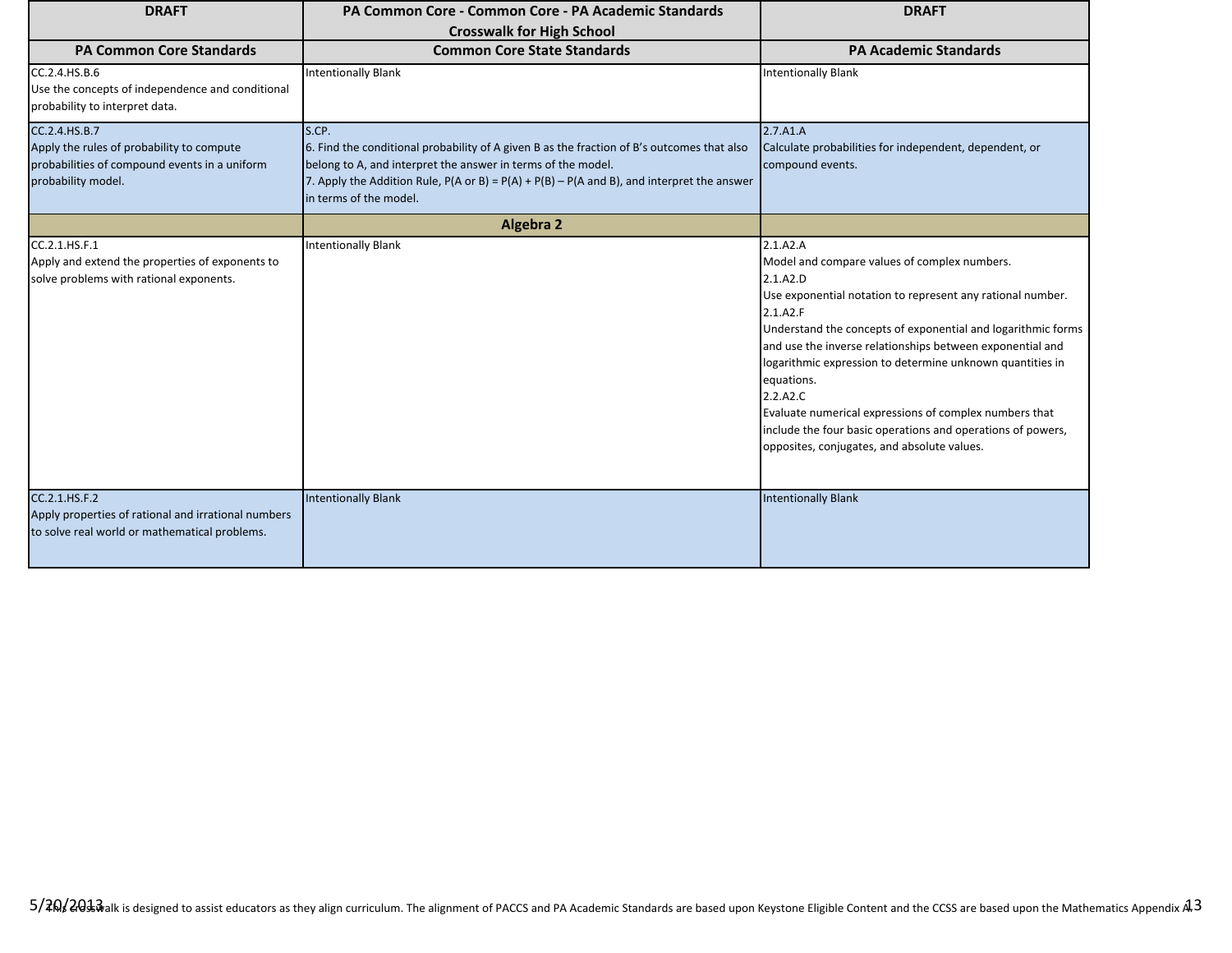| <b>DRAFT</b>                                                                                                                      | PA Common Core - Common Core - PA Academic Standards<br><b>Crosswalk for High School</b>                                                                                                                                                                                                                         | <b>DRAFT</b>                                                                                                                                                                                                                                                                                                                                                                                                                                                                                                                               |
|-----------------------------------------------------------------------------------------------------------------------------------|------------------------------------------------------------------------------------------------------------------------------------------------------------------------------------------------------------------------------------------------------------------------------------------------------------------|--------------------------------------------------------------------------------------------------------------------------------------------------------------------------------------------------------------------------------------------------------------------------------------------------------------------------------------------------------------------------------------------------------------------------------------------------------------------------------------------------------------------------------------------|
| <b>PA Common Core Standards</b>                                                                                                   | <b>Common Core State Standards</b>                                                                                                                                                                                                                                                                               | <b>PA Academic Standards</b>                                                                                                                                                                                                                                                                                                                                                                                                                                                                                                               |
| CC.2.4.HS.B.6<br>Use the concepts of independence and conditional<br>probability to interpret data.                               | <b>Intentionally Blank</b>                                                                                                                                                                                                                                                                                       | <b>Intentionally Blank</b>                                                                                                                                                                                                                                                                                                                                                                                                                                                                                                                 |
| CC.2.4.HS.B.7<br>Apply the rules of probability to compute<br>probabilities of compound events in a uniform<br>probability model. | S.CP.<br>6. Find the conditional probability of A given B as the fraction of B's outcomes that also<br>belong to A, and interpret the answer in terms of the model.<br>7. Apply the Addition Rule, $P(A \text{ or } B) = P(A) + P(B) - P(A \text{ and } B)$ , and interpret the answer<br>in terms of the model. | 2.7.A1.A<br>Calculate probabilities for independent, dependent, or<br>compound events.                                                                                                                                                                                                                                                                                                                                                                                                                                                     |
|                                                                                                                                   | <b>Algebra 2</b>                                                                                                                                                                                                                                                                                                 |                                                                                                                                                                                                                                                                                                                                                                                                                                                                                                                                            |
| CC.2.1.HS.F.1<br>Apply and extend the properties of exponents to<br>solve problems with rational exponents.                       | <b>Intentionally Blank</b>                                                                                                                                                                                                                                                                                       | 2.1.A2.A<br>Model and compare values of complex numbers.<br>2.1.A2.D<br>Use exponential notation to represent any rational number.<br>2.1.A2.F<br>Understand the concepts of exponential and logarithmic forms<br>and use the inverse relationships between exponential and<br>logarithmic expression to determine unknown quantities in<br>equations.<br>2.2.A2.C<br>Evaluate numerical expressions of complex numbers that<br>include the four basic operations and operations of powers,<br>opposites, conjugates, and absolute values. |
| CC.2.1.HS.F.2<br>Apply properties of rational and irrational numbers<br>to solve real world or mathematical problems.             | <b>Intentionally Blank</b>                                                                                                                                                                                                                                                                                       | <b>Intentionally Blank</b>                                                                                                                                                                                                                                                                                                                                                                                                                                                                                                                 |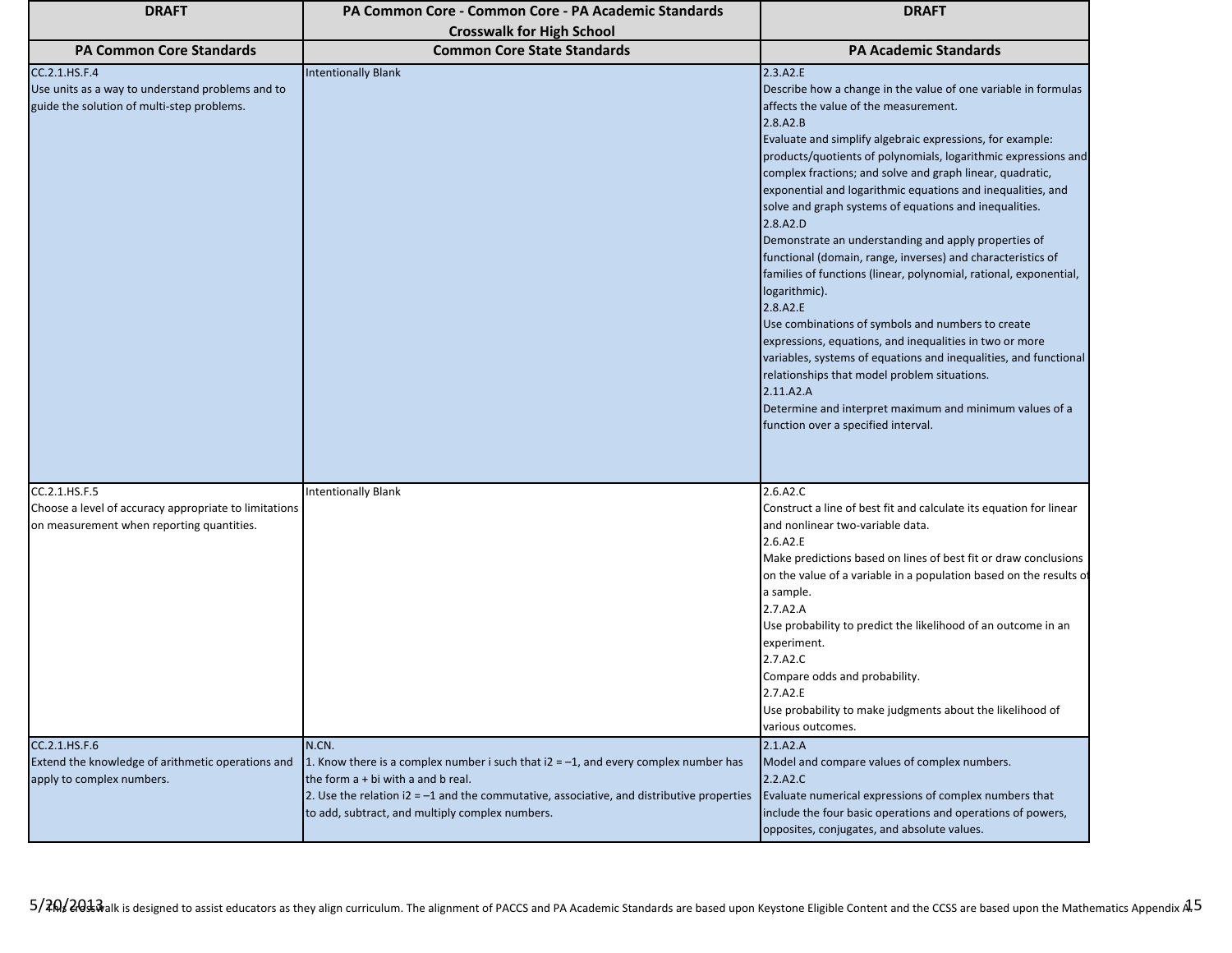| <b>DRAFT</b>                                                                                                    | PA Common Core - Common Core - PA Academic Standards                                                                                                                                                                            | <b>DRAFT</b>                                                                                                                                                                                                                                                                                                                                                                                                                                                                                                                                                                                                                                                                                                                                                                                                                                                                                                                                                                                                                                 |
|-----------------------------------------------------------------------------------------------------------------|---------------------------------------------------------------------------------------------------------------------------------------------------------------------------------------------------------------------------------|----------------------------------------------------------------------------------------------------------------------------------------------------------------------------------------------------------------------------------------------------------------------------------------------------------------------------------------------------------------------------------------------------------------------------------------------------------------------------------------------------------------------------------------------------------------------------------------------------------------------------------------------------------------------------------------------------------------------------------------------------------------------------------------------------------------------------------------------------------------------------------------------------------------------------------------------------------------------------------------------------------------------------------------------|
|                                                                                                                 | <b>Crosswalk for High School</b>                                                                                                                                                                                                |                                                                                                                                                                                                                                                                                                                                                                                                                                                                                                                                                                                                                                                                                                                                                                                                                                                                                                                                                                                                                                              |
| <b>PA Common Core Standards</b>                                                                                 | <b>Common Core State Standards</b>                                                                                                                                                                                              | <b>PA Academic Standards</b>                                                                                                                                                                                                                                                                                                                                                                                                                                                                                                                                                                                                                                                                                                                                                                                                                                                                                                                                                                                                                 |
| CC.2.1.HS.F.4<br>Use units as a way to understand problems and to<br>guide the solution of multi-step problems. | <b>Intentionally Blank</b>                                                                                                                                                                                                      | 2.3.A2.E<br>Describe how a change in the value of one variable in formulas<br>affects the value of the measurement.<br>2.8.A2.B<br>Evaluate and simplify algebraic expressions, for example:<br>products/quotients of polynomials, logarithmic expressions and<br>complex fractions; and solve and graph linear, quadratic,<br>exponential and logarithmic equations and inequalities, and<br>solve and graph systems of equations and inequalities.<br>2.8.A2.D<br>Demonstrate an understanding and apply properties of<br>functional (domain, range, inverses) and characteristics of<br>families of functions (linear, polynomial, rational, exponential,<br>logarithmic).<br>2.8.A2.E<br>Use combinations of symbols and numbers to create<br>expressions, equations, and inequalities in two or more<br>variables, systems of equations and inequalities, and functional<br>relationships that model problem situations.<br>2.11.A2.A<br>Determine and interpret maximum and minimum values of a<br>function over a specified interval. |
| CC.2.1.HS.F.5                                                                                                   | <b>Intentionally Blank</b>                                                                                                                                                                                                      | 2.6.A2.C                                                                                                                                                                                                                                                                                                                                                                                                                                                                                                                                                                                                                                                                                                                                                                                                                                                                                                                                                                                                                                     |
| Choose a level of accuracy appropriate to limitations<br>on measurement when reporting quantities.              |                                                                                                                                                                                                                                 | Construct a line of best fit and calculate its equation for linear<br>and nonlinear two-variable data.<br>2.6.A2.E<br>Make predictions based on lines of best fit or draw conclusions<br>on the value of a variable in a population based on the results of<br>a sample.<br>2.7.A2.A<br>Use probability to predict the likelihood of an outcome in an<br>experiment.<br>2.7.A2.C<br>Compare odds and probability.<br>2.7.A2.E<br>Use probability to make judgments about the likelihood of<br>various outcomes.                                                                                                                                                                                                                                                                                                                                                                                                                                                                                                                              |
| CC.2.1.HS.F.6<br>Extend the knowledge of arithmetic operations and                                              | N.CN.                                                                                                                                                                                                                           | 2.1.A2.A                                                                                                                                                                                                                                                                                                                                                                                                                                                                                                                                                                                                                                                                                                                                                                                                                                                                                                                                                                                                                                     |
| apply to complex numbers.                                                                                       | 1. Know there is a complex number i such that $i2 = -1$ , and every complex number has<br>the form $a + bi$ with a and $b$ real.<br>2. Use the relation $i2 = -1$ and the commutative, associative, and distributive properties | Model and compare values of complex numbers.<br>2.2.A2.C<br>Evaluate numerical expressions of complex numbers that                                                                                                                                                                                                                                                                                                                                                                                                                                                                                                                                                                                                                                                                                                                                                                                                                                                                                                                           |
|                                                                                                                 | to add, subtract, and multiply complex numbers.                                                                                                                                                                                 | include the four basic operations and operations of powers,<br>opposites, conjugates, and absolute values.                                                                                                                                                                                                                                                                                                                                                                                                                                                                                                                                                                                                                                                                                                                                                                                                                                                                                                                                   |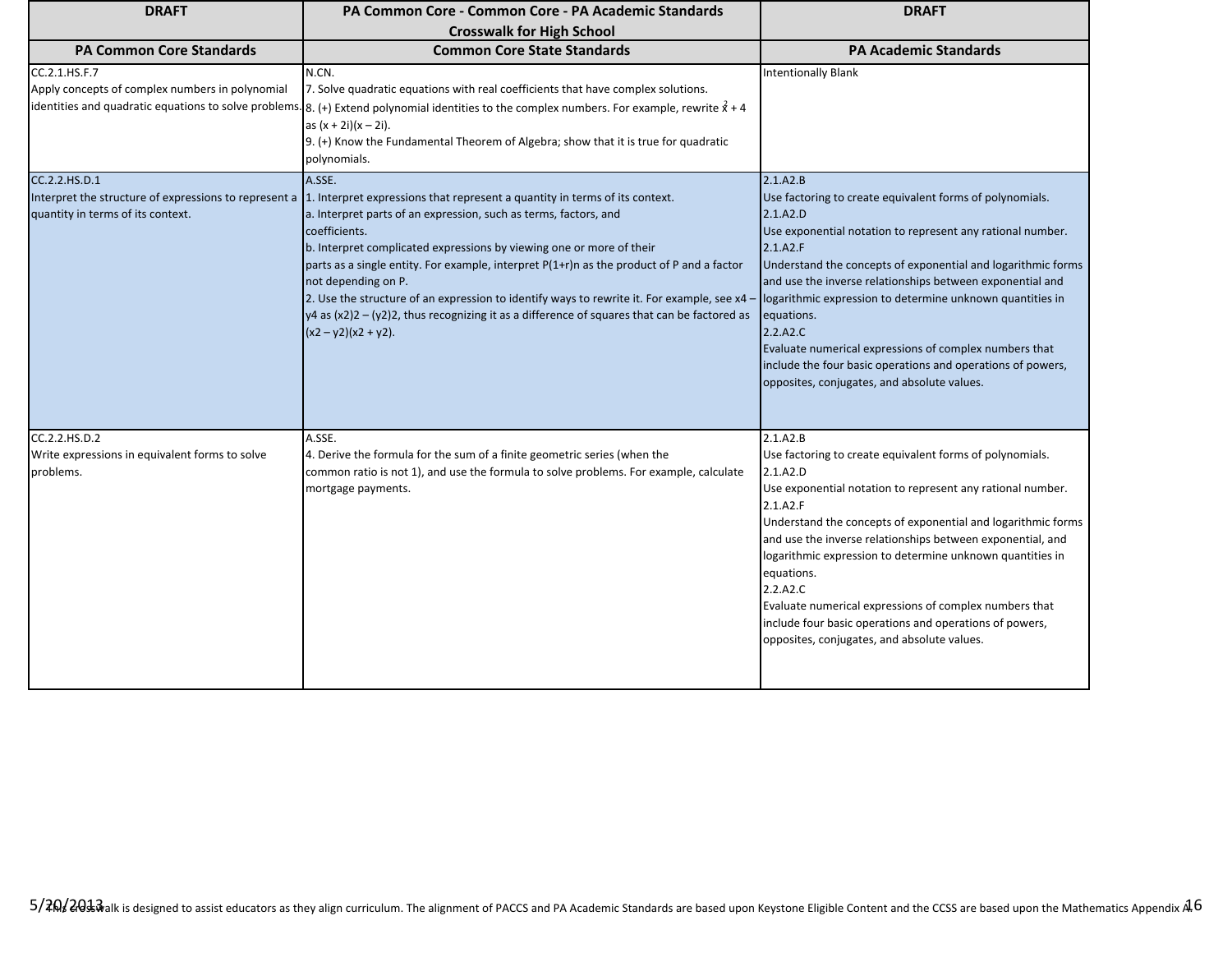| <b>DRAFT</b>                                                                                                | PA Common Core - Common Core - PA Academic Standards                                                                                                                                                                                                                                                                                                                                                                                                                                                                                                                                                | <b>DRAFT</b>                                                                                                                                                                                                                                                                                                                                                                                                                                                                                                                                           |
|-------------------------------------------------------------------------------------------------------------|-----------------------------------------------------------------------------------------------------------------------------------------------------------------------------------------------------------------------------------------------------------------------------------------------------------------------------------------------------------------------------------------------------------------------------------------------------------------------------------------------------------------------------------------------------------------------------------------------------|--------------------------------------------------------------------------------------------------------------------------------------------------------------------------------------------------------------------------------------------------------------------------------------------------------------------------------------------------------------------------------------------------------------------------------------------------------------------------------------------------------------------------------------------------------|
| <b>PA Common Core Standards</b>                                                                             | <b>Crosswalk for High School</b><br><b>Common Core State Standards</b>                                                                                                                                                                                                                                                                                                                                                                                                                                                                                                                              | <b>PA Academic Standards</b>                                                                                                                                                                                                                                                                                                                                                                                                                                                                                                                           |
| CC.2.1.HS.F.7<br>Apply concepts of complex numbers in polynomial                                            | N.CN.<br>7. Solve quadratic equations with real coefficients that have complex solutions.<br>identities and quadratic equations to solve problems. 8. (+) Extend polynomial identities to the complex numbers. For example, rewrite $x^2 + 4$<br>as $(x + 2i)(x - 2i)$ .<br>9. (+) Know the Fundamental Theorem of Algebra; show that it is true for quadratic<br>polynomials.                                                                                                                                                                                                                      | <b>Intentionally Blank</b>                                                                                                                                                                                                                                                                                                                                                                                                                                                                                                                             |
| CC.2.2.HS.D.1<br>Interpret the structure of expressions to represent a<br>quantity in terms of its context. | A.SSE.<br>1. Interpret expressions that represent a quantity in terms of its context.<br>a. Interpret parts of an expression, such as terms, factors, and<br>coefficients.<br>b. Interpret complicated expressions by viewing one or more of their<br>parts as a single entity. For example, interpret P(1+r)n as the product of P and a factor<br>not depending on P.<br>2. Use the structure of an expression to identify ways to rewrite it. For example, see x4 -<br>$y4$ as $(x2)2 - (y2)2$ , thus recognizing it as a difference of squares that can be factored as<br>$(x2 - y2)(x2 + y2)$ . | 2.1.A2.B<br>Use factoring to create equivalent forms of polynomials.<br>2.1.A2.D<br>Use exponential notation to represent any rational number.<br>2.1.A2.F<br>Understand the concepts of exponential and logarithmic forms<br>and use the inverse relationships between exponential and<br>logarithmic expression to determine unknown quantities in<br>equations.<br>2.2.A2.C<br>Evaluate numerical expressions of complex numbers that<br>include the four basic operations and operations of powers,<br>opposites, conjugates, and absolute values. |
| CC.2.2.HS.D.2<br>Write expressions in equivalent forms to solve<br>problems.                                | A.SSE.<br>4. Derive the formula for the sum of a finite geometric series (when the<br>common ratio is not 1), and use the formula to solve problems. For example, calculate<br>mortgage payments.                                                                                                                                                                                                                                                                                                                                                                                                   | 2.1.A2.B<br>Use factoring to create equivalent forms of polynomials.<br>2.1.A2.D<br>Use exponential notation to represent any rational number.<br>2.1.A2.F<br>Understand the concepts of exponential and logarithmic forms<br>and use the inverse relationships between exponential, and<br>logarithmic expression to determine unknown quantities in<br>equations.<br>2.2.A2.C<br>Evaluate numerical expressions of complex numbers that<br>include four basic operations and operations of powers,<br>opposites, conjugates, and absolute values.    |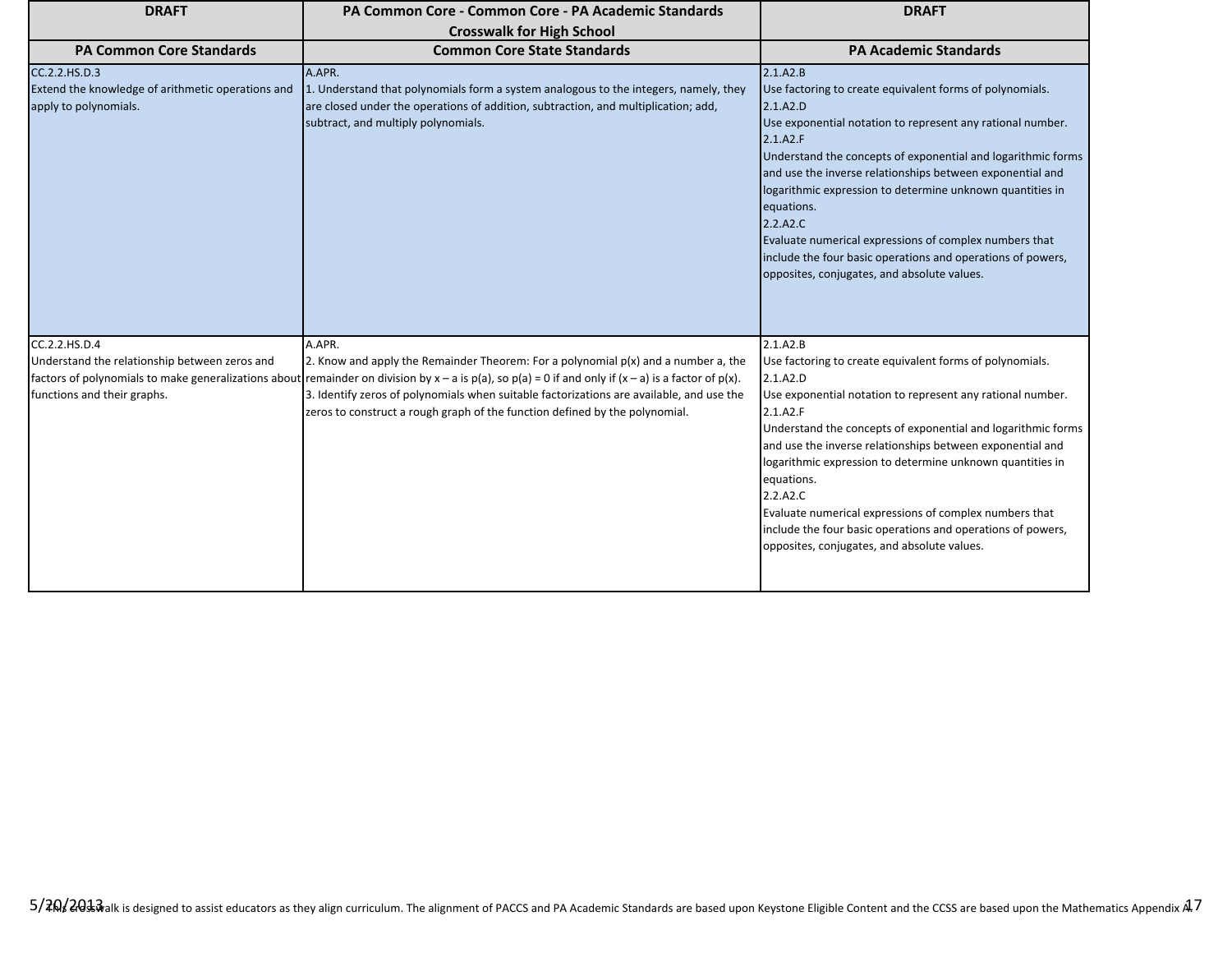| <b>DRAFT</b>                                                                                | PA Common Core - Common Core - PA Academic Standards                                                                                                                                                                                         | <b>DRAFT</b>                                                                                                                                                                                                                                                                                                                                                                                                                                                                                                                                           |
|---------------------------------------------------------------------------------------------|----------------------------------------------------------------------------------------------------------------------------------------------------------------------------------------------------------------------------------------------|--------------------------------------------------------------------------------------------------------------------------------------------------------------------------------------------------------------------------------------------------------------------------------------------------------------------------------------------------------------------------------------------------------------------------------------------------------------------------------------------------------------------------------------------------------|
|                                                                                             | <b>Crosswalk for High School</b>                                                                                                                                                                                                             |                                                                                                                                                                                                                                                                                                                                                                                                                                                                                                                                                        |
| <b>PA Common Core Standards</b>                                                             | <b>Common Core State Standards</b>                                                                                                                                                                                                           | <b>PA Academic Standards</b>                                                                                                                                                                                                                                                                                                                                                                                                                                                                                                                           |
| CC.2.2.HS.D.3<br>Extend the knowledge of arithmetic operations and<br>apply to polynomials. | A.APR.<br>1. Understand that polynomials form a system analogous to the integers, namely, they<br>are closed under the operations of addition, subtraction, and multiplication; add,<br>subtract, and multiply polynomials.                  | 2.1.A2.B<br>Use factoring to create equivalent forms of polynomials.<br>2.1.A2.D<br>Use exponential notation to represent any rational number.<br>2.1.A2.F<br>Understand the concepts of exponential and logarithmic forms<br>and use the inverse relationships between exponential and<br>logarithmic expression to determine unknown quantities in<br>equations.<br>2.2.A2.C<br>Evaluate numerical expressions of complex numbers that<br>include the four basic operations and operations of powers,<br>opposites, conjugates, and absolute values. |
| CC.2.2.HS.D.4                                                                               | A.APR.                                                                                                                                                                                                                                       | 2.1.A2.B                                                                                                                                                                                                                                                                                                                                                                                                                                                                                                                                               |
| Understand the relationship between zeros and                                               | 2. Know and apply the Remainder Theorem: For a polynomial $p(x)$ and a number a, the<br>factors of polynomials to make generalizations about remainder on division by x – a is p(a), so p(a) = 0 if and only if (x – a) is a factor of p(x). | Use factoring to create equivalent forms of polynomials.<br>2.1.A2.D                                                                                                                                                                                                                                                                                                                                                                                                                                                                                   |
| functions and their graphs.                                                                 | 3. Identify zeros of polynomials when suitable factorizations are available, and use the<br>zeros to construct a rough graph of the function defined by the polynomial.                                                                      | Use exponential notation to represent any rational number.<br>2.1.A2.F<br>Understand the concepts of exponential and logarithmic forms<br>and use the inverse relationships between exponential and<br>logarithmic expression to determine unknown quantities in<br>equations.<br>2.2.A2.C<br>Evaluate numerical expressions of complex numbers that<br>include the four basic operations and operations of powers,<br>opposites, conjugates, and absolute values.                                                                                     |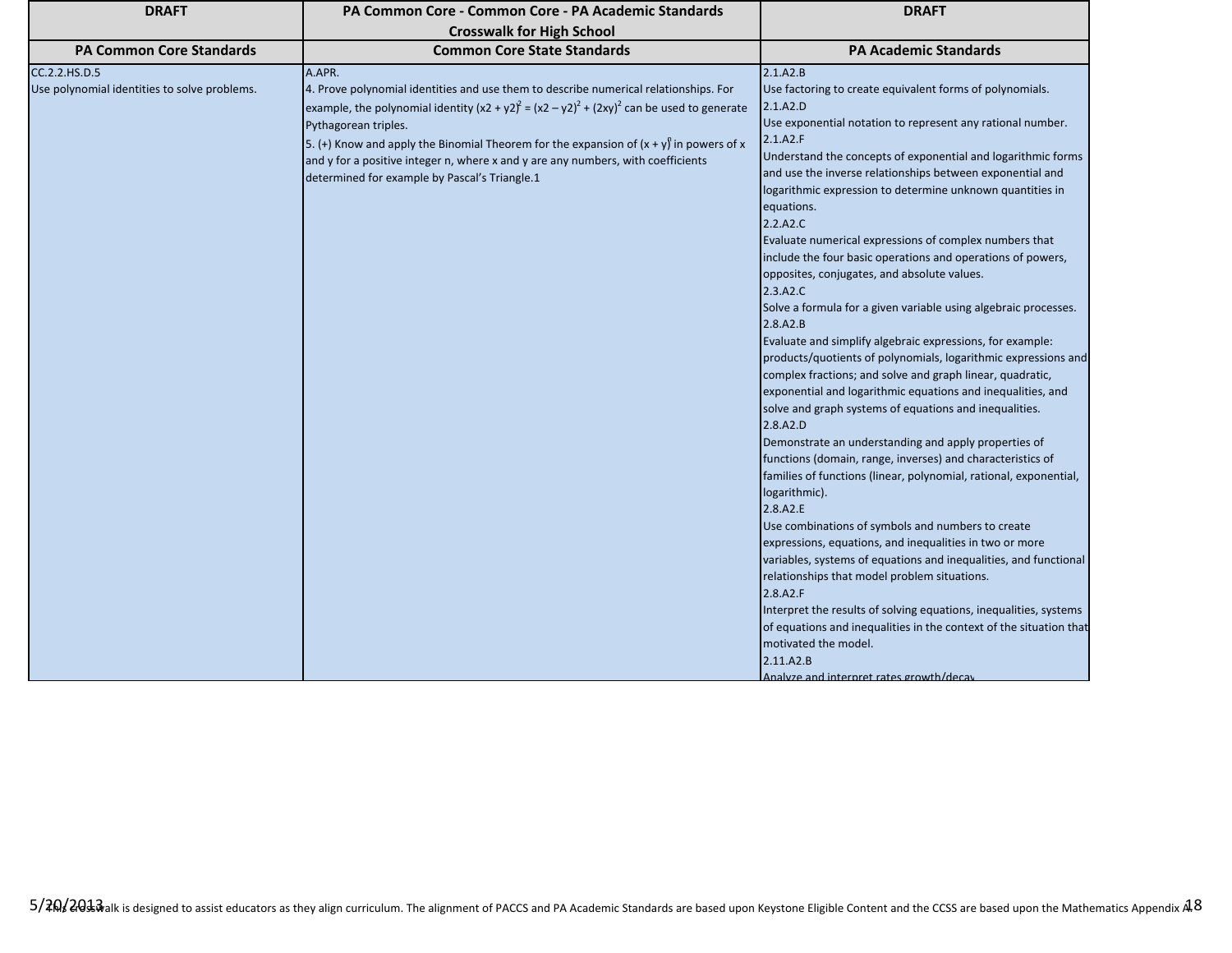| <b>DRAFT</b>                                                  | PA Common Core - Common Core - PA Academic Standards                                                                                                                                                                                                                                                                                                                                                                                                      | <b>DRAFT</b>                                                                                                                                                                                                                                                                                                                                                                                                                                                                                                                                                                                                                                                                                                                                                                                                                                                                                                                                                                                                                                                                                                                                                                                                                                                                                                                                                                                                                                                                                                                                                                                                                                                                           |
|---------------------------------------------------------------|-----------------------------------------------------------------------------------------------------------------------------------------------------------------------------------------------------------------------------------------------------------------------------------------------------------------------------------------------------------------------------------------------------------------------------------------------------------|----------------------------------------------------------------------------------------------------------------------------------------------------------------------------------------------------------------------------------------------------------------------------------------------------------------------------------------------------------------------------------------------------------------------------------------------------------------------------------------------------------------------------------------------------------------------------------------------------------------------------------------------------------------------------------------------------------------------------------------------------------------------------------------------------------------------------------------------------------------------------------------------------------------------------------------------------------------------------------------------------------------------------------------------------------------------------------------------------------------------------------------------------------------------------------------------------------------------------------------------------------------------------------------------------------------------------------------------------------------------------------------------------------------------------------------------------------------------------------------------------------------------------------------------------------------------------------------------------------------------------------------------------------------------------------------|
|                                                               | <b>Crosswalk for High School</b>                                                                                                                                                                                                                                                                                                                                                                                                                          |                                                                                                                                                                                                                                                                                                                                                                                                                                                                                                                                                                                                                                                                                                                                                                                                                                                                                                                                                                                                                                                                                                                                                                                                                                                                                                                                                                                                                                                                                                                                                                                                                                                                                        |
| <b>PA Common Core Standards</b>                               | <b>Common Core State Standards</b>                                                                                                                                                                                                                                                                                                                                                                                                                        | <b>PA Academic Standards</b>                                                                                                                                                                                                                                                                                                                                                                                                                                                                                                                                                                                                                                                                                                                                                                                                                                                                                                                                                                                                                                                                                                                                                                                                                                                                                                                                                                                                                                                                                                                                                                                                                                                           |
| CC.2.2.HS.D.5<br>Use polynomial identities to solve problems. | A.APR.<br>4. Prove polynomial identities and use them to describe numerical relationships. For<br>example, the polynomial identity $(x2 + y2)^2 = (x2 - y2)^2 + (2xy)^2$ can be used to generate<br>Pythagorean triples.<br>5. (+) Know and apply the Binomial Theorem for the expansion of $(x + y)$ in powers of x<br>and y for a positive integer n, where x and y are any numbers, with coefficients<br>determined for example by Pascal's Triangle.1 | 2.1.A2.B<br>Use factoring to create equivalent forms of polynomials.<br>2.1.A2.D<br>Use exponential notation to represent any rational number.<br>2.1.A2.F<br>Understand the concepts of exponential and logarithmic forms<br>and use the inverse relationships between exponential and<br>logarithmic expression to determine unknown quantities in<br>equations.<br>2.2.A2.C<br>Evaluate numerical expressions of complex numbers that<br>include the four basic operations and operations of powers,<br>opposites, conjugates, and absolute values.<br>2.3.A2.C<br>Solve a formula for a given variable using algebraic processes.<br>2.8.A2.B<br>Evaluate and simplify algebraic expressions, for example:<br>products/quotients of polynomials, logarithmic expressions and<br>complex fractions; and solve and graph linear, quadratic,<br>exponential and logarithmic equations and inequalities, and<br>solve and graph systems of equations and inequalities.<br>2.8.A2.D<br>Demonstrate an understanding and apply properties of<br>functions (domain, range, inverses) and characteristics of<br>families of functions (linear, polynomial, rational, exponential,<br>logarithmic).<br>2.8.A2.E<br>Use combinations of symbols and numbers to create<br>expressions, equations, and inequalities in two or more<br>variables, systems of equations and inequalities, and functional<br>relationships that model problem situations.<br>2.8.A2.F<br>Interpret the results of solving equations, inequalities, systems<br>of equations and inequalities in the context of the situation that<br>motivated the model.<br>2.11.A2.B<br>Analyze and internret rates growth/decay |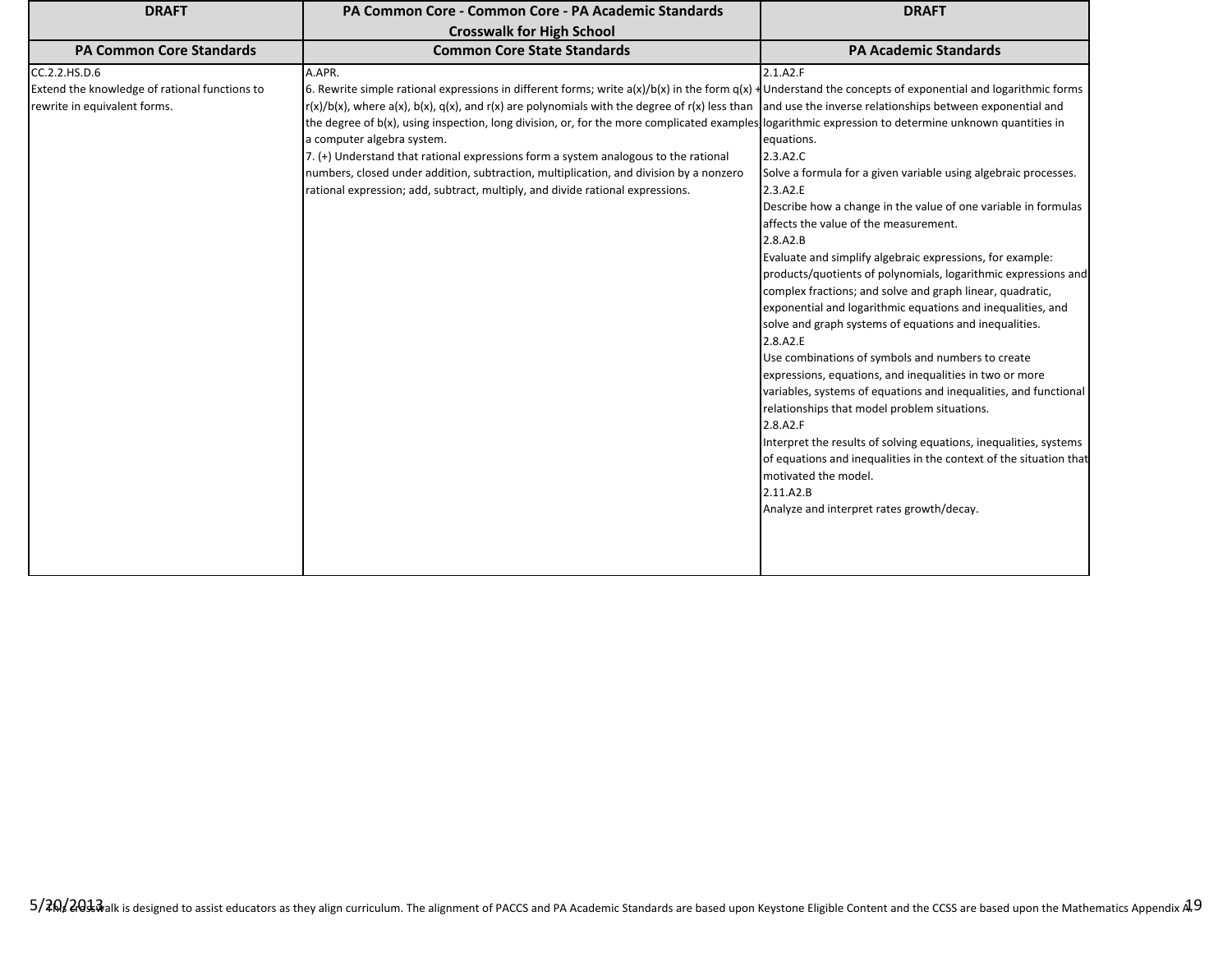| <b>DRAFT</b>                                                                                   | PA Common Core - Common Core - PA Academic Standards                                                                                                                                                                                                                                                                                                                                                                                                                                                                                                                                                                                                                                                                                                                                                                   | <b>DRAFT</b>                                                                                                                                                                                                                                                                                                                                                                                                                                                                                                                                                                                                                                                                                                                                                                                                                                                                                                                                                                                                                                           |
|------------------------------------------------------------------------------------------------|------------------------------------------------------------------------------------------------------------------------------------------------------------------------------------------------------------------------------------------------------------------------------------------------------------------------------------------------------------------------------------------------------------------------------------------------------------------------------------------------------------------------------------------------------------------------------------------------------------------------------------------------------------------------------------------------------------------------------------------------------------------------------------------------------------------------|--------------------------------------------------------------------------------------------------------------------------------------------------------------------------------------------------------------------------------------------------------------------------------------------------------------------------------------------------------------------------------------------------------------------------------------------------------------------------------------------------------------------------------------------------------------------------------------------------------------------------------------------------------------------------------------------------------------------------------------------------------------------------------------------------------------------------------------------------------------------------------------------------------------------------------------------------------------------------------------------------------------------------------------------------------|
|                                                                                                | <b>Crosswalk for High School</b>                                                                                                                                                                                                                                                                                                                                                                                                                                                                                                                                                                                                                                                                                                                                                                                       |                                                                                                                                                                                                                                                                                                                                                                                                                                                                                                                                                                                                                                                                                                                                                                                                                                                                                                                                                                                                                                                        |
| <b>PA Common Core Standards</b>                                                                | <b>Common Core State Standards</b>                                                                                                                                                                                                                                                                                                                                                                                                                                                                                                                                                                                                                                                                                                                                                                                     | <b>PA Academic Standards</b>                                                                                                                                                                                                                                                                                                                                                                                                                                                                                                                                                                                                                                                                                                                                                                                                                                                                                                                                                                                                                           |
| CC.2.2.HS.D.6<br>Extend the knowledge of rational functions to<br>rewrite in equivalent forms. | A.APR.<br>6. Rewrite simple rational expressions in different forms; write $a(x)/b(x)$ in the form $q(x)$ + Understand the concepts of exponential and logarithmic forms<br>$\left \frac{r(x)}{b(x)}\right $ , where a(x), b(x), q(x), and r(x) are polynomials with the degree of r(x) less than and use the inverse relationships between exponential and<br>the degree of b(x), using inspection, long division, or, for the more complicated examples logarithmic expression to determine unknown quantities in<br>a computer algebra system.<br>7. $(+)$ Understand that rational expressions form a system analogous to the rational<br>numbers, closed under addition, subtraction, multiplication, and division by a nonzero<br>rational expression; add, subtract, multiply, and divide rational expressions. | 2.1.A2.F<br>equations.<br>2.3.A2.C<br>Solve a formula for a given variable using algebraic processes.<br>2.3.A2.E<br>Describe how a change in the value of one variable in formulas<br>affects the value of the measurement.<br>2.8.A2.B<br>Evaluate and simplify algebraic expressions, for example:<br>products/quotients of polynomials, logarithmic expressions and<br>complex fractions; and solve and graph linear, quadratic,<br>exponential and logarithmic equations and inequalities, and<br>solve and graph systems of equations and inequalities.<br>2.8.A2.E<br>Use combinations of symbols and numbers to create<br>expressions, equations, and inequalities in two or more<br>variables, systems of equations and inequalities, and functional<br>relationships that model problem situations.<br>2.8.A2.F<br>Interpret the results of solving equations, inequalities, systems<br>of equations and inequalities in the context of the situation that<br>motivated the model.<br>2.11.A2.B<br>Analyze and interpret rates growth/decay. |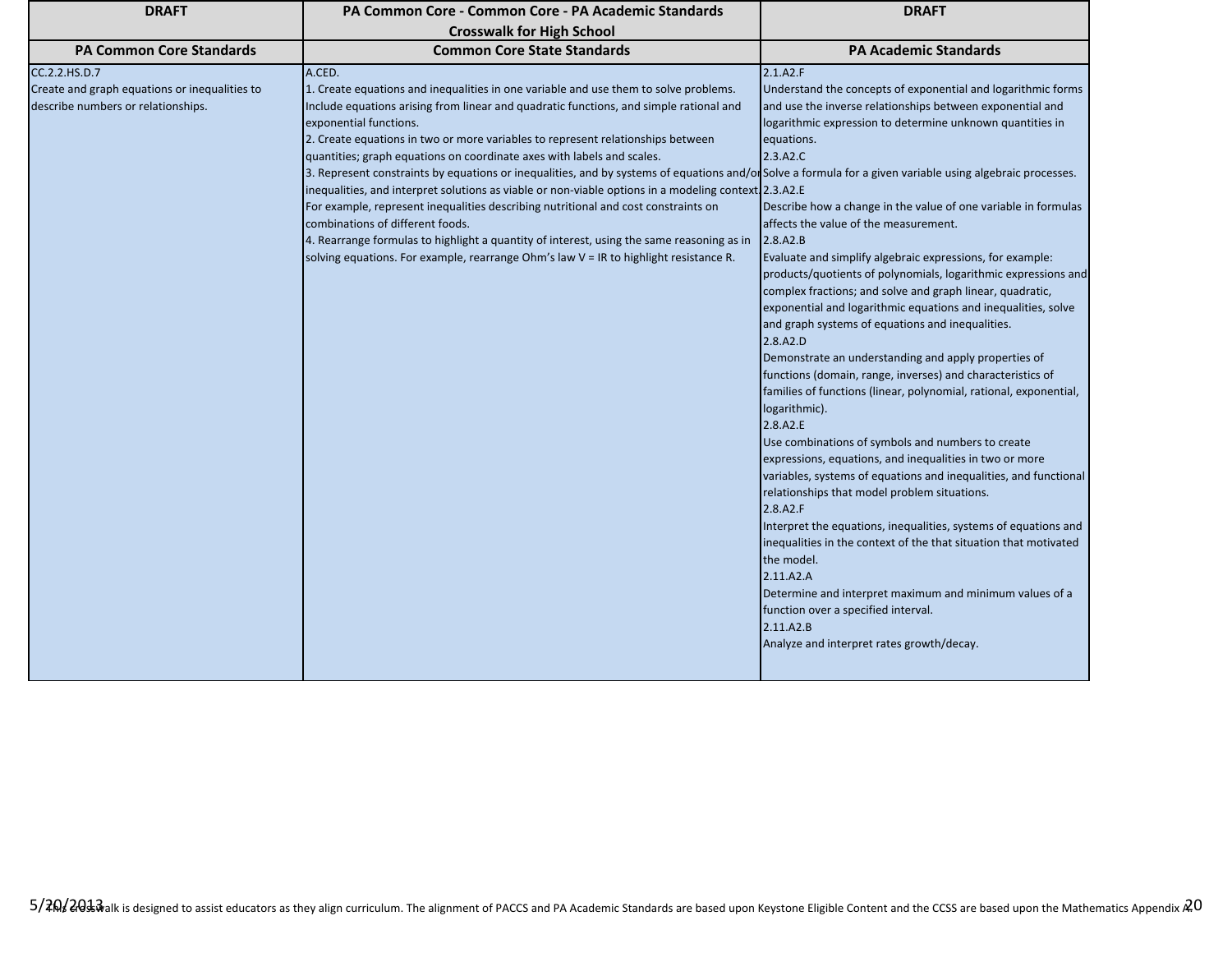| <b>DRAFT</b>                                                                                         | PA Common Core - Common Core - PA Academic Standards                                                                                                                                                                                                                                                                                                                                                                                                                                                                                                                                                                                                                                                                                                                                                                                                                                                                                                                 | <b>DRAFT</b>                                                                                                                                                                                                                                                                                                                                                                                                                                                                                                                                                                                                                                                                                                                                                                                                                                                                                                                                                                                                                                                                                                                                                                                                                                                                                                                                                                                                                                                                           |
|------------------------------------------------------------------------------------------------------|----------------------------------------------------------------------------------------------------------------------------------------------------------------------------------------------------------------------------------------------------------------------------------------------------------------------------------------------------------------------------------------------------------------------------------------------------------------------------------------------------------------------------------------------------------------------------------------------------------------------------------------------------------------------------------------------------------------------------------------------------------------------------------------------------------------------------------------------------------------------------------------------------------------------------------------------------------------------|----------------------------------------------------------------------------------------------------------------------------------------------------------------------------------------------------------------------------------------------------------------------------------------------------------------------------------------------------------------------------------------------------------------------------------------------------------------------------------------------------------------------------------------------------------------------------------------------------------------------------------------------------------------------------------------------------------------------------------------------------------------------------------------------------------------------------------------------------------------------------------------------------------------------------------------------------------------------------------------------------------------------------------------------------------------------------------------------------------------------------------------------------------------------------------------------------------------------------------------------------------------------------------------------------------------------------------------------------------------------------------------------------------------------------------------------------------------------------------------|
|                                                                                                      | <b>Crosswalk for High School</b>                                                                                                                                                                                                                                                                                                                                                                                                                                                                                                                                                                                                                                                                                                                                                                                                                                                                                                                                     |                                                                                                                                                                                                                                                                                                                                                                                                                                                                                                                                                                                                                                                                                                                                                                                                                                                                                                                                                                                                                                                                                                                                                                                                                                                                                                                                                                                                                                                                                        |
| <b>PA Common Core Standards</b>                                                                      | <b>Common Core State Standards</b>                                                                                                                                                                                                                                                                                                                                                                                                                                                                                                                                                                                                                                                                                                                                                                                                                                                                                                                                   | <b>PA Academic Standards</b>                                                                                                                                                                                                                                                                                                                                                                                                                                                                                                                                                                                                                                                                                                                                                                                                                                                                                                                                                                                                                                                                                                                                                                                                                                                                                                                                                                                                                                                           |
| CC.2.2.HS.D.7<br>Create and graph equations or inequalities to<br>describe numbers or relationships. | A.CED.<br>1. Create equations and inequalities in one variable and use them to solve problems.<br>Include equations arising from linear and quadratic functions, and simple rational and<br>exponential functions.<br>2. Create equations in two or more variables to represent relationships between<br>quantities; graph equations on coordinate axes with labels and scales.<br>3. Represent constraints by equations or inequalities, and by systems of equations and/or Solve a formula for a given variable using algebraic processes.<br>inequalities, and interpret solutions as viable or non-viable options in a modeling context 2.3.A2.E<br>For example, represent inequalities describing nutritional and cost constraints on<br>combinations of different foods.<br>4. Rearrange formulas to highlight a quantity of interest, using the same reasoning as in<br>solving equations. For example, rearrange Ohm's law V = IR to highlight resistance R. | 2.1.A2.F<br>Understand the concepts of exponential and logarithmic forms<br>and use the inverse relationships between exponential and<br>logarithmic expression to determine unknown quantities in<br>equations.<br>2.3.A2.C<br>Describe how a change in the value of one variable in formulas<br>affects the value of the measurement.<br>2.8.A2.B<br>Evaluate and simplify algebraic expressions, for example:<br>products/quotients of polynomials, logarithmic expressions and<br>complex fractions; and solve and graph linear, quadratic,<br>exponential and logarithmic equations and inequalities, solve<br>and graph systems of equations and inequalities.<br>2.8.A2.D<br>Demonstrate an understanding and apply properties of<br>functions (domain, range, inverses) and characteristics of<br>families of functions (linear, polynomial, rational, exponential,<br>logarithmic).<br>2.8.A2.E<br>Use combinations of symbols and numbers to create<br>expressions, equations, and inequalities in two or more<br>variables, systems of equations and inequalities, and functional<br>relationships that model problem situations.<br>2.8.A2.F<br>Interpret the equations, inequalities, systems of equations and<br>inequalities in the context of the that situation that motivated<br>the model.<br>2.11.A2.A<br>Determine and interpret maximum and minimum values of a<br>function over a specified interval.<br>2.11.A2.B<br>Analyze and interpret rates growth/decay. |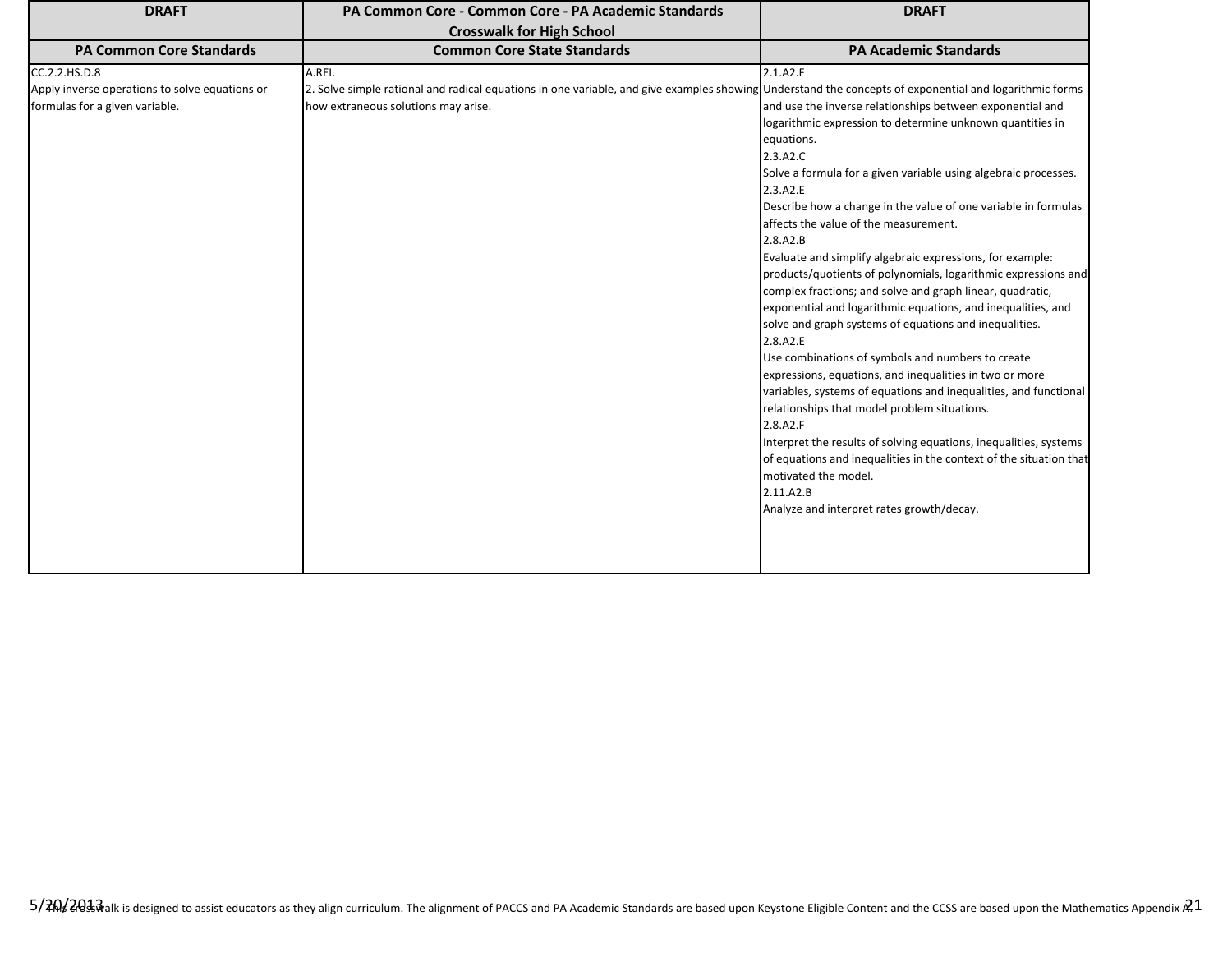| <b>DRAFT</b>                                                                                      | PA Common Core - Common Core - PA Academic Standards                                                                                                                                                    | <b>DRAFT</b>                                                                                                                                                                                                                                                                                                                                                                                                                                                                                                                                                                                                                                                                                                                                                                                                                                                                                                                                                                                                                                                                                                                                                                      |
|---------------------------------------------------------------------------------------------------|---------------------------------------------------------------------------------------------------------------------------------------------------------------------------------------------------------|-----------------------------------------------------------------------------------------------------------------------------------------------------------------------------------------------------------------------------------------------------------------------------------------------------------------------------------------------------------------------------------------------------------------------------------------------------------------------------------------------------------------------------------------------------------------------------------------------------------------------------------------------------------------------------------------------------------------------------------------------------------------------------------------------------------------------------------------------------------------------------------------------------------------------------------------------------------------------------------------------------------------------------------------------------------------------------------------------------------------------------------------------------------------------------------|
| <b>PA Common Core Standards</b>                                                                   | <b>Crosswalk for High School</b><br><b>Common Core State Standards</b>                                                                                                                                  | <b>PA Academic Standards</b>                                                                                                                                                                                                                                                                                                                                                                                                                                                                                                                                                                                                                                                                                                                                                                                                                                                                                                                                                                                                                                                                                                                                                      |
| CC.2.2.HS.D.8<br>Apply inverse operations to solve equations or<br>formulas for a given variable. | A.REI.<br>2. Solve simple rational and radical equations in one variable, and give examples showing Understand the concepts of exponential and logarithmic forms<br>how extraneous solutions may arise. | 2.1.A2.F<br>and use the inverse relationships between exponential and<br>logarithmic expression to determine unknown quantities in<br>equations.<br>2.3.A2.C<br>Solve a formula for a given variable using algebraic processes.<br>2.3.A2.E<br>Describe how a change in the value of one variable in formulas<br>affects the value of the measurement.<br>2.8.A2.B<br>Evaluate and simplify algebraic expressions, for example:<br>products/quotients of polynomials, logarithmic expressions and<br>complex fractions; and solve and graph linear, quadratic,<br>exponential and logarithmic equations, and inequalities, and<br>solve and graph systems of equations and inequalities.<br>2.8.A2.E<br>Use combinations of symbols and numbers to create<br>expressions, equations, and inequalities in two or more<br>variables, systems of equations and inequalities, and functional<br>relationships that model problem situations.<br>2.8.A2.F<br>Interpret the results of solving equations, inequalities, systems<br>of equations and inequalities in the context of the situation that<br>motivated the model.<br>2.11.A2.B<br>Analyze and interpret rates growth/decay. |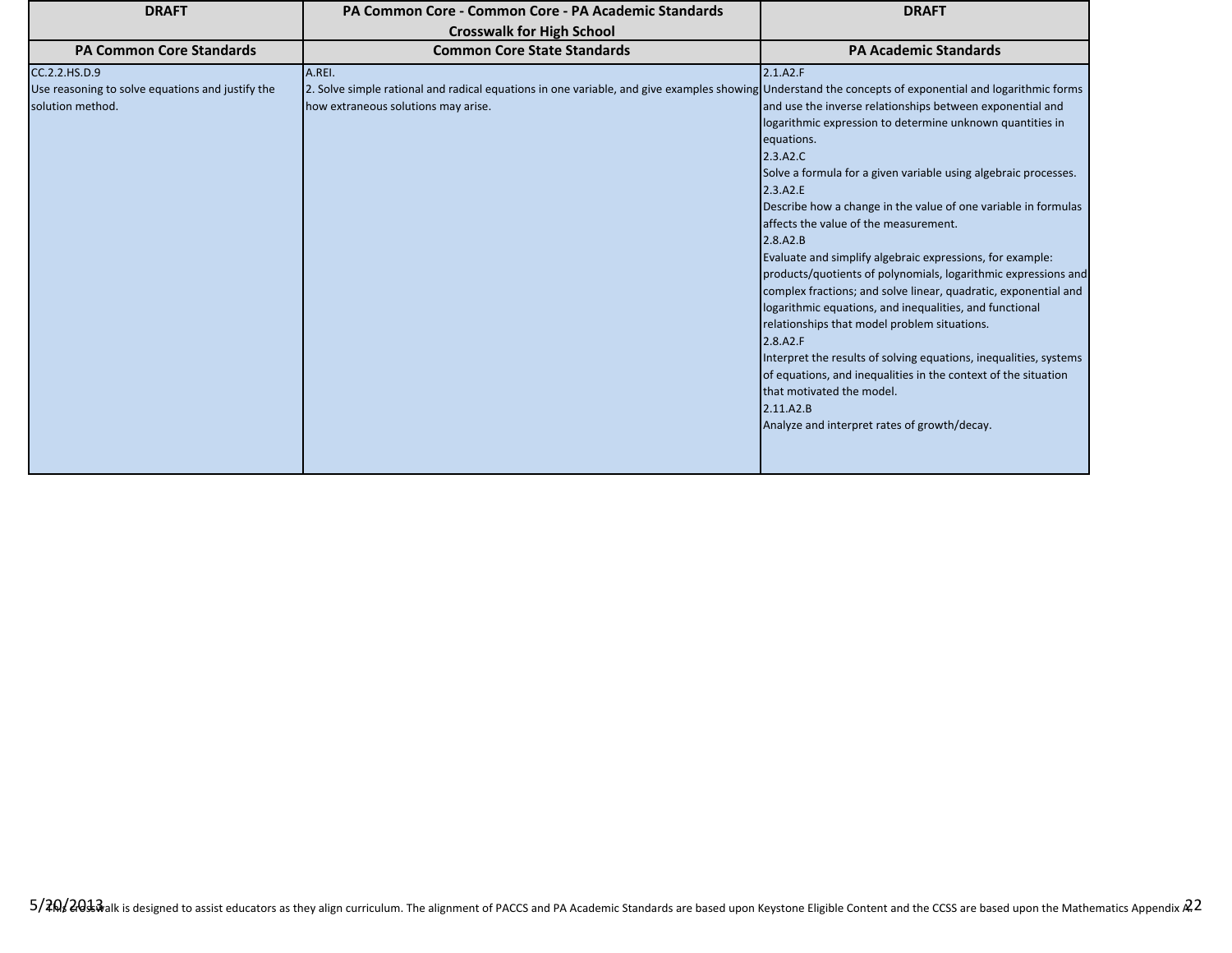| <b>DRAFT</b>                                                                          | PA Common Core - Common Core - PA Academic Standards                                                                                                                                                    | <b>DRAFT</b>                                                                                                                                                                                                                                                                                                                                                                                                                                                                                                                                                                                                                                                                                                                                                                                                                                                                                                                 |
|---------------------------------------------------------------------------------------|---------------------------------------------------------------------------------------------------------------------------------------------------------------------------------------------------------|------------------------------------------------------------------------------------------------------------------------------------------------------------------------------------------------------------------------------------------------------------------------------------------------------------------------------------------------------------------------------------------------------------------------------------------------------------------------------------------------------------------------------------------------------------------------------------------------------------------------------------------------------------------------------------------------------------------------------------------------------------------------------------------------------------------------------------------------------------------------------------------------------------------------------|
|                                                                                       | <b>Crosswalk for High School</b>                                                                                                                                                                        |                                                                                                                                                                                                                                                                                                                                                                                                                                                                                                                                                                                                                                                                                                                                                                                                                                                                                                                              |
| <b>PA Common Core Standards</b>                                                       | <b>Common Core State Standards</b>                                                                                                                                                                      | <b>PA Academic Standards</b>                                                                                                                                                                                                                                                                                                                                                                                                                                                                                                                                                                                                                                                                                                                                                                                                                                                                                                 |
| CC.2.2.HS.D.9<br>Use reasoning to solve equations and justify the<br>solution method. | A.REI.<br>2. Solve simple rational and radical equations in one variable, and give examples showing Understand the concepts of exponential and logarithmic forms<br>how extraneous solutions may arise. | 2.1.A2.F<br>and use the inverse relationships between exponential and<br>logarithmic expression to determine unknown quantities in<br>equations.<br>2.3.A2.C<br>Solve a formula for a given variable using algebraic processes.<br>2.3.A2.E<br>Describe how a change in the value of one variable in formulas<br>affects the value of the measurement.<br>2.8.A2.B<br>Evaluate and simplify algebraic expressions, for example:<br>products/quotients of polynomials, logarithmic expressions and<br>complex fractions; and solve linear, quadratic, exponential and<br>logarithmic equations, and inequalities, and functional<br>relationships that model problem situations.<br>2.8.A2.F<br>Interpret the results of solving equations, inequalities, systems<br>of equations, and inequalities in the context of the situation<br>that motivated the model.<br>2.11.A2.B<br>Analyze and interpret rates of growth/decay. |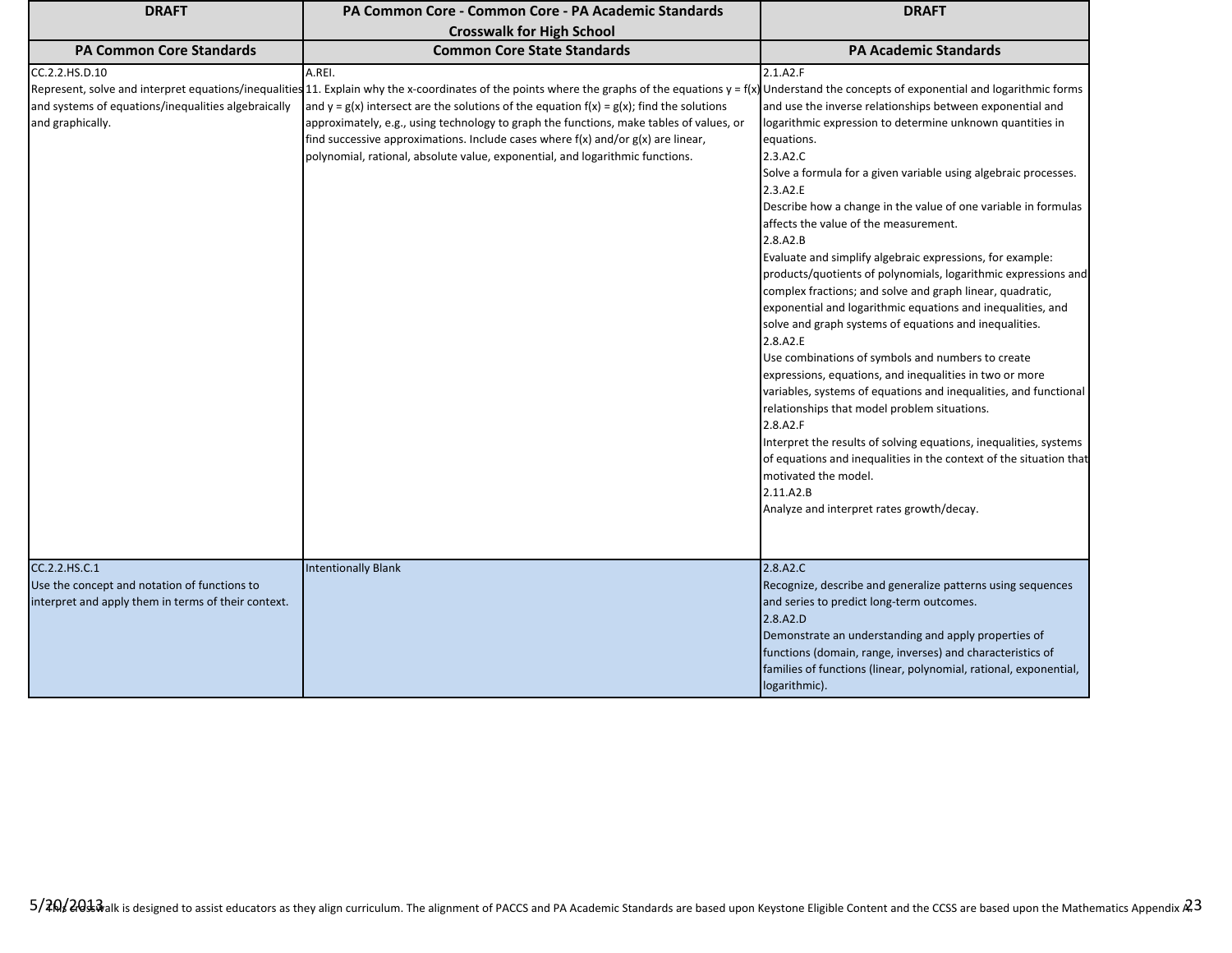| <b>DRAFT</b>                                                                                                         | PA Common Core - Common Core - PA Academic Standards<br><b>Crosswalk for High School</b>                                                                                                                                                                                                                                                                                                                                                                                                                                                                                                       | <b>DRAFT</b>                                                                                                                                                                                                                                                                                                                                                                                                                                                                                                                                                                                                                                                                                                                                                                                                                                                                                                                                                                                                                                                                                                                                                                     |
|----------------------------------------------------------------------------------------------------------------------|------------------------------------------------------------------------------------------------------------------------------------------------------------------------------------------------------------------------------------------------------------------------------------------------------------------------------------------------------------------------------------------------------------------------------------------------------------------------------------------------------------------------------------------------------------------------------------------------|----------------------------------------------------------------------------------------------------------------------------------------------------------------------------------------------------------------------------------------------------------------------------------------------------------------------------------------------------------------------------------------------------------------------------------------------------------------------------------------------------------------------------------------------------------------------------------------------------------------------------------------------------------------------------------------------------------------------------------------------------------------------------------------------------------------------------------------------------------------------------------------------------------------------------------------------------------------------------------------------------------------------------------------------------------------------------------------------------------------------------------------------------------------------------------|
| <b>PA Common Core Standards</b>                                                                                      | <b>Common Core State Standards</b>                                                                                                                                                                                                                                                                                                                                                                                                                                                                                                                                                             | <b>PA Academic Standards</b>                                                                                                                                                                                                                                                                                                                                                                                                                                                                                                                                                                                                                                                                                                                                                                                                                                                                                                                                                                                                                                                                                                                                                     |
| CC.2.2.HS.D.10<br>and systems of equations/inequalities algebraically<br>and graphically.                            | A.REI.<br>Represent, solve and interpret equations/inequalities 11. Explain why the x-coordinates of the points where the graphs of the equations $y = f(x)$ Understand the concepts of exponential and logarithmic forms<br>and $y = g(x)$ intersect are the solutions of the equation $f(x) = g(x)$ ; find the solutions<br>approximately, e.g., using technology to graph the functions, make tables of values, or<br>find successive approximations. Include cases where $f(x)$ and/or $g(x)$ are linear,<br>polynomial, rational, absolute value, exponential, and logarithmic functions. | 2.1.A2.F<br>and use the inverse relationships between exponential and<br>logarithmic expression to determine unknown quantities in<br>equations.<br>2.3.A2.C<br>Solve a formula for a given variable using algebraic processes.<br>2.3.A2.E<br>Describe how a change in the value of one variable in formulas<br>affects the value of the measurement.<br>2.8.A2.B<br>Evaluate and simplify algebraic expressions, for example:<br>products/quotients of polynomials, logarithmic expressions and<br>complex fractions; and solve and graph linear, quadratic,<br>exponential and logarithmic equations and inequalities, and<br>solve and graph systems of equations and inequalities.<br>2.8.A2.E<br>Use combinations of symbols and numbers to create<br>expressions, equations, and inequalities in two or more<br>variables, systems of equations and inequalities, and functional<br>relationships that model problem situations.<br>2.8.A2.F<br>Interpret the results of solving equations, inequalities, systems<br>of equations and inequalities in the context of the situation that<br>motivated the model.<br>2.11.A2.B<br>Analyze and interpret rates growth/decay. |
| CC.2.2.HS.C.1<br>Use the concept and notation of functions to<br>interpret and apply them in terms of their context. | <b>Intentionally Blank</b>                                                                                                                                                                                                                                                                                                                                                                                                                                                                                                                                                                     | 2.8.A2.C<br>Recognize, describe and generalize patterns using sequences<br>and series to predict long-term outcomes.<br>2.8.A2.D<br>Demonstrate an understanding and apply properties of<br>functions (domain, range, inverses) and characteristics of<br>families of functions (linear, polynomial, rational, exponential,<br>logarithmic).                                                                                                                                                                                                                                                                                                                                                                                                                                                                                                                                                                                                                                                                                                                                                                                                                                     |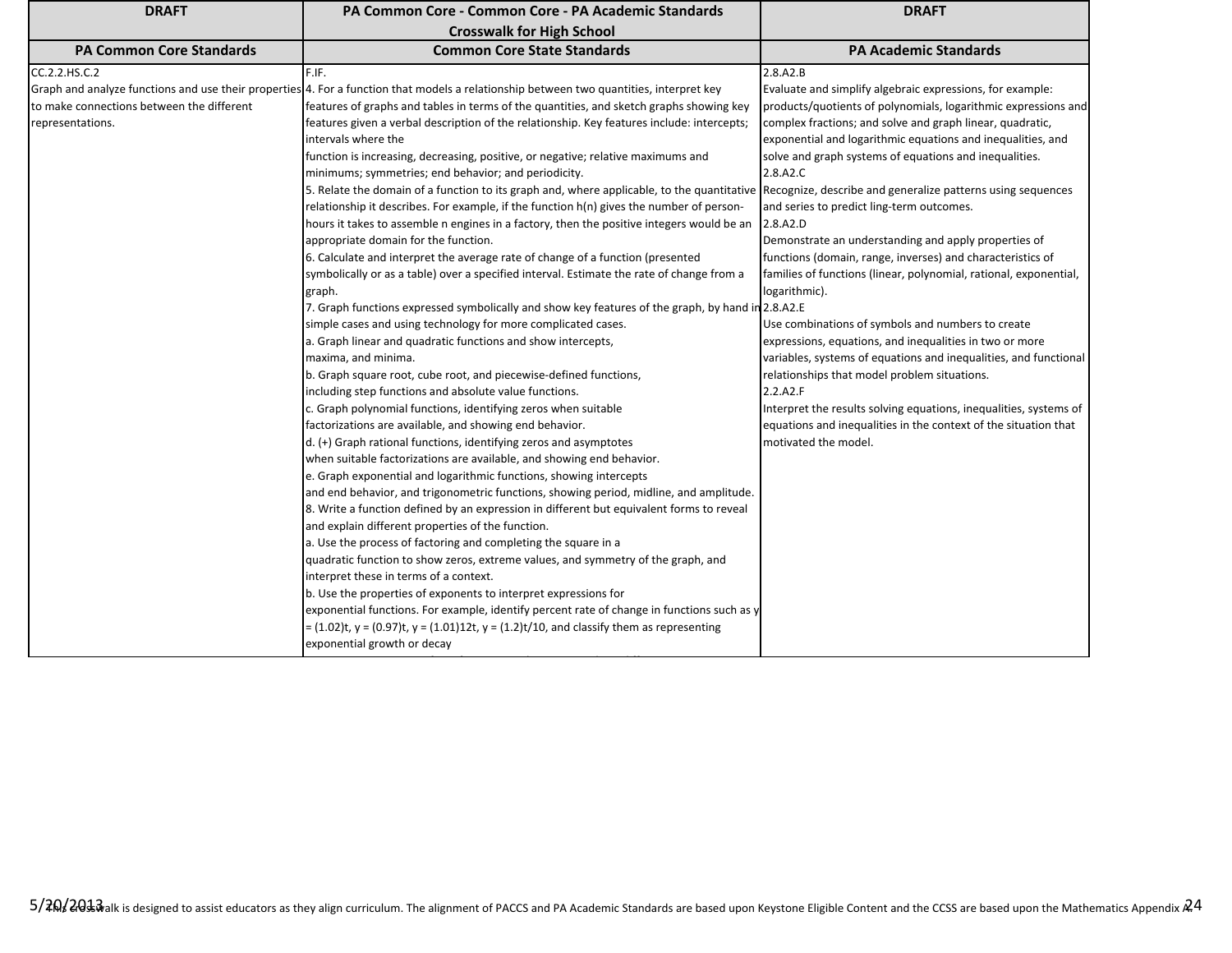| <b>DRAFT</b>                                                                                                      | PA Common Core - Common Core - PA Academic Standards                                                                                                                                                                                                                                                                                                                                                                                                                                                                                                                                                                                                                                                                                                                                                                                                                                                                                                                                                                                                                                                                                                                                                                                                                                                                                                                                                                                                                                                                                                                                                                                                                                                                                                                                                                                                                                                                                                                                                                                                                                                                                                                                                                                                                                                                                                                                                                                                                                                                                                                                                     | <b>DRAFT</b>                                                                                                                                                                                                                                                                                                                                                                                                                                                                                                                                                                                                                                                                                                                                                                                                                                                                                                                                                                                                                                                   |
|-------------------------------------------------------------------------------------------------------------------|----------------------------------------------------------------------------------------------------------------------------------------------------------------------------------------------------------------------------------------------------------------------------------------------------------------------------------------------------------------------------------------------------------------------------------------------------------------------------------------------------------------------------------------------------------------------------------------------------------------------------------------------------------------------------------------------------------------------------------------------------------------------------------------------------------------------------------------------------------------------------------------------------------------------------------------------------------------------------------------------------------------------------------------------------------------------------------------------------------------------------------------------------------------------------------------------------------------------------------------------------------------------------------------------------------------------------------------------------------------------------------------------------------------------------------------------------------------------------------------------------------------------------------------------------------------------------------------------------------------------------------------------------------------------------------------------------------------------------------------------------------------------------------------------------------------------------------------------------------------------------------------------------------------------------------------------------------------------------------------------------------------------------------------------------------------------------------------------------------------------------------------------------------------------------------------------------------------------------------------------------------------------------------------------------------------------------------------------------------------------------------------------------------------------------------------------------------------------------------------------------------------------------------------------------------------------------------------------------------|----------------------------------------------------------------------------------------------------------------------------------------------------------------------------------------------------------------------------------------------------------------------------------------------------------------------------------------------------------------------------------------------------------------------------------------------------------------------------------------------------------------------------------------------------------------------------------------------------------------------------------------------------------------------------------------------------------------------------------------------------------------------------------------------------------------------------------------------------------------------------------------------------------------------------------------------------------------------------------------------------------------------------------------------------------------|
|                                                                                                                   | <b>Crosswalk for High School</b>                                                                                                                                                                                                                                                                                                                                                                                                                                                                                                                                                                                                                                                                                                                                                                                                                                                                                                                                                                                                                                                                                                                                                                                                                                                                                                                                                                                                                                                                                                                                                                                                                                                                                                                                                                                                                                                                                                                                                                                                                                                                                                                                                                                                                                                                                                                                                                                                                                                                                                                                                                         |                                                                                                                                                                                                                                                                                                                                                                                                                                                                                                                                                                                                                                                                                                                                                                                                                                                                                                                                                                                                                                                                |
|                                                                                                                   |                                                                                                                                                                                                                                                                                                                                                                                                                                                                                                                                                                                                                                                                                                                                                                                                                                                                                                                                                                                                                                                                                                                                                                                                                                                                                                                                                                                                                                                                                                                                                                                                                                                                                                                                                                                                                                                                                                                                                                                                                                                                                                                                                                                                                                                                                                                                                                                                                                                                                                                                                                                                          |                                                                                                                                                                                                                                                                                                                                                                                                                                                                                                                                                                                                                                                                                                                                                                                                                                                                                                                                                                                                                                                                |
| <b>PA Common Core Standards</b><br>CC.2.2.HS.C.2<br>to make connections between the different<br>representations. | <b>Common Core State Standards</b><br>F.IF.<br>Graph and analyze functions and use their properties 4. For a function that models a relationship between two quantities, interpret key<br>features of graphs and tables in terms of the quantities, and sketch graphs showing key<br>features given a verbal description of the relationship. Key features include: intercepts;<br>intervals where the<br>function is increasing, decreasing, positive, or negative; relative maximums and<br>minimums; symmetries; end behavior; and periodicity.<br>5. Relate the domain of a function to its graph and, where applicable, to the quantitative Recognize, describe and generalize patterns using sequences<br>relationship it describes. For example, if the function $h(n)$ gives the number of person-<br>hours it takes to assemble n engines in a factory, then the positive integers would be an<br>appropriate domain for the function.<br>6. Calculate and interpret the average rate of change of a function (presented<br>symbolically or as a table) over a specified interval. Estimate the rate of change from a<br>graph.<br>7. Graph functions expressed symbolically and show key features of the graph, by hand in 2.8.A2.E<br>simple cases and using technology for more complicated cases.<br>a. Graph linear and quadratic functions and show intercepts,<br>maxima, and minima.<br>b. Graph square root, cube root, and piecewise-defined functions,<br>including step functions and absolute value functions.<br>c. Graph polynomial functions, identifying zeros when suitable<br>factorizations are available, and showing end behavior.<br>d. (+) Graph rational functions, identifying zeros and asymptotes<br>when suitable factorizations are available, and showing end behavior.<br>e. Graph exponential and logarithmic functions, showing intercepts<br>and end behavior, and trigonometric functions, showing period, midline, and amplitude.<br>8. Write a function defined by an expression in different but equivalent forms to reveal<br>and explain different properties of the function.<br>a. Use the process of factoring and completing the square in a<br>quadratic function to show zeros, extreme values, and symmetry of the graph, and<br>interpret these in terms of a context.<br>b. Use the properties of exponents to interpret expressions for<br>exponential functions. For example, identify percent rate of change in functions such as y<br>= $(1.02)$ t, y = $(0.97)$ t, y = $(1.01)$ 12t, y = $(1.2)$ t/10, and classify them as representing | <b>PA Academic Standards</b><br>2.8.A2.B<br>Evaluate and simplify algebraic expressions, for example:<br>products/quotients of polynomials, logarithmic expressions and<br>complex fractions; and solve and graph linear, quadratic,<br>exponential and logarithmic equations and inequalities, and<br>solve and graph systems of equations and inequalities.<br>2.8.A2.C<br>and series to predict ling-term outcomes.<br>2.8.A2.D<br>Demonstrate an understanding and apply properties of<br>functions (domain, range, inverses) and characteristics of<br>families of functions (linear, polynomial, rational, exponential,<br>logarithmic).<br>Use combinations of symbols and numbers to create<br>expressions, equations, and inequalities in two or more<br>variables, systems of equations and inequalities, and functional<br>relationships that model problem situations.<br>2.2.A2.F<br>Interpret the results solving equations, inequalities, systems of<br>equations and inequalities in the context of the situation that<br>motivated the model. |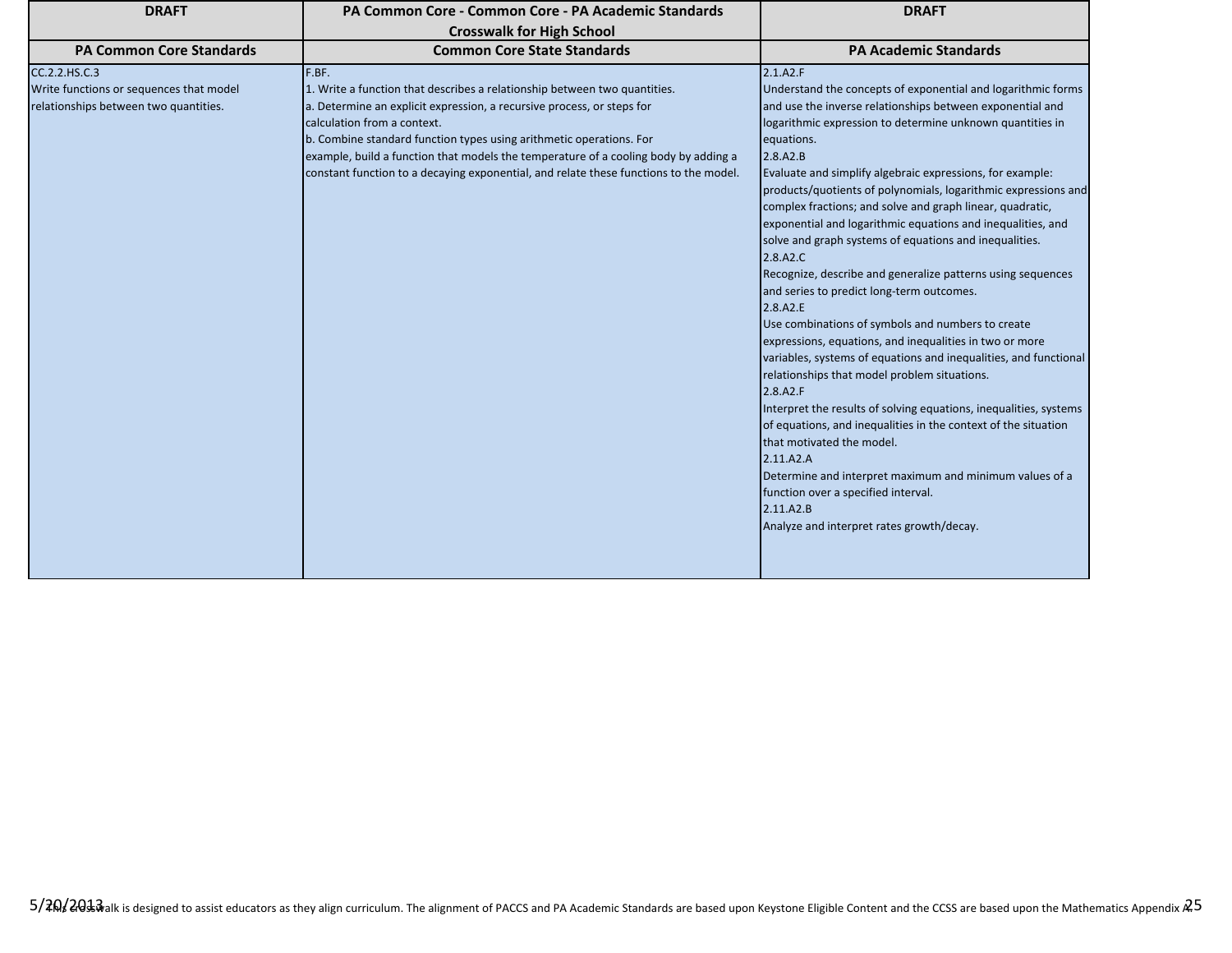| <b>DRAFT</b>                                                                                      | PA Common Core - Common Core - PA Academic Standards                                                                                                                                                                                                                                                                                                                                                                                               | <b>DRAFT</b>                                                                                                                                                                                                                                                                                                                                                                                                                                                                                                                                                                                                                                                                                                                                                                                                                                                                                                                                                                                                                                                                                                                                                                                                                                                                       |
|---------------------------------------------------------------------------------------------------|----------------------------------------------------------------------------------------------------------------------------------------------------------------------------------------------------------------------------------------------------------------------------------------------------------------------------------------------------------------------------------------------------------------------------------------------------|------------------------------------------------------------------------------------------------------------------------------------------------------------------------------------------------------------------------------------------------------------------------------------------------------------------------------------------------------------------------------------------------------------------------------------------------------------------------------------------------------------------------------------------------------------------------------------------------------------------------------------------------------------------------------------------------------------------------------------------------------------------------------------------------------------------------------------------------------------------------------------------------------------------------------------------------------------------------------------------------------------------------------------------------------------------------------------------------------------------------------------------------------------------------------------------------------------------------------------------------------------------------------------|
|                                                                                                   | <b>Crosswalk for High School</b>                                                                                                                                                                                                                                                                                                                                                                                                                   |                                                                                                                                                                                                                                                                                                                                                                                                                                                                                                                                                                                                                                                                                                                                                                                                                                                                                                                                                                                                                                                                                                                                                                                                                                                                                    |
| <b>PA Common Core Standards</b>                                                                   | <b>Common Core State Standards</b>                                                                                                                                                                                                                                                                                                                                                                                                                 | <b>PA Academic Standards</b>                                                                                                                                                                                                                                                                                                                                                                                                                                                                                                                                                                                                                                                                                                                                                                                                                                                                                                                                                                                                                                                                                                                                                                                                                                                       |
| CC.2.2.HS.C.3<br>Write functions or sequences that model<br>relationships between two quantities. | F.BF.<br>1. Write a function that describes a relationship between two quantities.<br>a. Determine an explicit expression, a recursive process, or steps for<br>calculation from a context.<br>b. Combine standard function types using arithmetic operations. For<br>example, build a function that models the temperature of a cooling body by adding a<br>constant function to a decaying exponential, and relate these functions to the model. | 2.1.A2.F<br>Understand the concepts of exponential and logarithmic forms<br>and use the inverse relationships between exponential and<br>logarithmic expression to determine unknown quantities in<br>equations.<br>2.8.A2.B<br>Evaluate and simplify algebraic expressions, for example:<br>products/quotients of polynomials, logarithmic expressions and<br>complex fractions; and solve and graph linear, quadratic,<br>exponential and logarithmic equations and inequalities, and<br>solve and graph systems of equations and inequalities.<br>2.8.A2.C<br>Recognize, describe and generalize patterns using sequences<br>and series to predict long-term outcomes.<br>2.8.A2.E<br>Use combinations of symbols and numbers to create<br>expressions, equations, and inequalities in two or more<br>variables, systems of equations and inequalities, and functional<br>relationships that model problem situations.<br>2.8.A2.F<br>Interpret the results of solving equations, inequalities, systems<br>of equations, and inequalities in the context of the situation<br>that motivated the model.<br>2.11.A2.A<br>Determine and interpret maximum and minimum values of a<br>function over a specified interval.<br>2.11.A2.B<br>Analyze and interpret rates growth/decay. |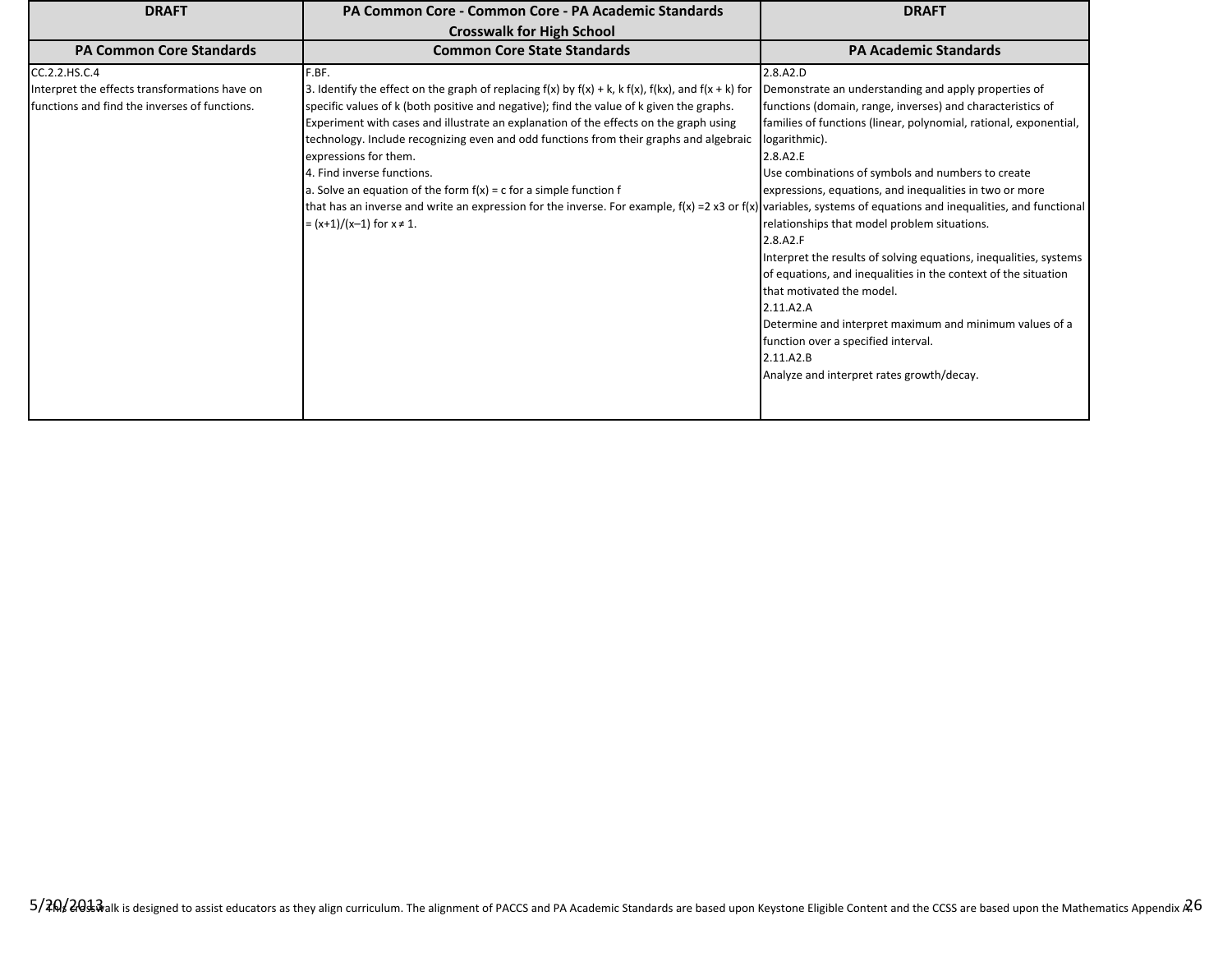| <b>DRAFT</b>                                                                                                     | PA Common Core - Common Core - PA Academic Standards                                                                                                                                                                                                                                                                                                                                                                                                                                                                                                                                                                                                                                                                                         | <b>DRAFT</b>                                                                                                                                                                                                                                                                                                                                                                                                                                                                                                                                                                                                                                                                                                                                              |
|------------------------------------------------------------------------------------------------------------------|----------------------------------------------------------------------------------------------------------------------------------------------------------------------------------------------------------------------------------------------------------------------------------------------------------------------------------------------------------------------------------------------------------------------------------------------------------------------------------------------------------------------------------------------------------------------------------------------------------------------------------------------------------------------------------------------------------------------------------------------|-----------------------------------------------------------------------------------------------------------------------------------------------------------------------------------------------------------------------------------------------------------------------------------------------------------------------------------------------------------------------------------------------------------------------------------------------------------------------------------------------------------------------------------------------------------------------------------------------------------------------------------------------------------------------------------------------------------------------------------------------------------|
|                                                                                                                  | <b>Crosswalk for High School</b>                                                                                                                                                                                                                                                                                                                                                                                                                                                                                                                                                                                                                                                                                                             |                                                                                                                                                                                                                                                                                                                                                                                                                                                                                                                                                                                                                                                                                                                                                           |
| <b>PA Common Core Standards</b>                                                                                  | <b>Common Core State Standards</b>                                                                                                                                                                                                                                                                                                                                                                                                                                                                                                                                                                                                                                                                                                           | <b>PA Academic Standards</b>                                                                                                                                                                                                                                                                                                                                                                                                                                                                                                                                                                                                                                                                                                                              |
| CC.2.2.HS.C.4<br>Interpret the effects transformations have on<br>Ifunctions and find the inverses of functions. | F.BF.<br>3. Identify the effect on the graph of replacing $f(x)$ by $f(x) + k$ , k $f(x)$ , $f(kx)$ , and $f(x + k)$ for<br>specific values of k (both positive and negative); find the value of k given the graphs.<br>Experiment with cases and illustrate an explanation of the effects on the graph using<br>technology. Include recognizing even and odd functions from their graphs and algebraic<br>expressions for them.<br>4. Find inverse functions.<br>a. Solve an equation of the form $f(x) = c$ for a simple function f<br>that has an inverse and write an expression for the inverse. For example, $f(x) = 2x3$ or $f(x)$ variables, systems of equations and inequalities, and functional<br>$=(x+1)/(x-1)$ for $x \ne 1$ . | 2.8.A2.D<br>Demonstrate an understanding and apply properties of<br>functions (domain, range, inverses) and characteristics of<br>families of functions (linear, polynomial, rational, exponential,<br>logarithmic).<br>2.8.A2.E<br>Use combinations of symbols and numbers to create<br>expressions, equations, and inequalities in two or more<br>relationships that model problem situations.<br>2.8.A2.F<br>Interpret the results of solving equations, inequalities, systems<br>of equations, and inequalities in the context of the situation<br>that motivated the model.<br>2.11.A2.A<br>Determine and interpret maximum and minimum values of a<br>function over a specified interval.<br>2.11.A2.B<br>Analyze and interpret rates growth/decay. |
|                                                                                                                  |                                                                                                                                                                                                                                                                                                                                                                                                                                                                                                                                                                                                                                                                                                                                              |                                                                                                                                                                                                                                                                                                                                                                                                                                                                                                                                                                                                                                                                                                                                                           |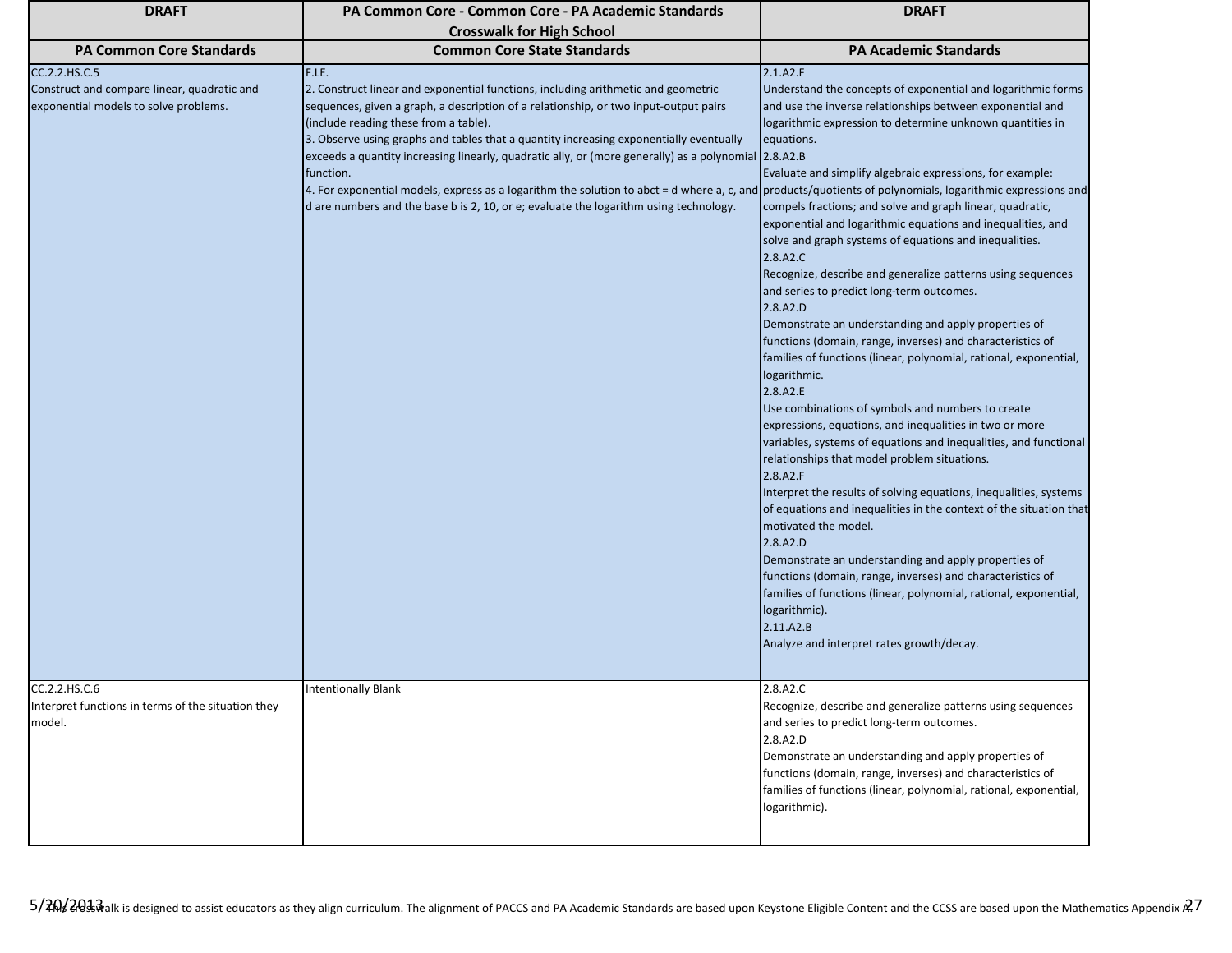| <b>DRAFT</b>                                                                                          | PA Common Core - Common Core - PA Academic Standards                                                                                                                                                                                                                                                                                                                                                                                                                                                                                                                                                                                                                                             | <b>DRAFT</b>                                                                                                                                                                                                                                                                                                                                                                                                                                                                                                                                                                                                                                                                                                                                                                                                                                                                                                                                                                                                                                                                                                                                                                                                                                                                                                                                                                                                                                                                                                                        |
|-------------------------------------------------------------------------------------------------------|--------------------------------------------------------------------------------------------------------------------------------------------------------------------------------------------------------------------------------------------------------------------------------------------------------------------------------------------------------------------------------------------------------------------------------------------------------------------------------------------------------------------------------------------------------------------------------------------------------------------------------------------------------------------------------------------------|-------------------------------------------------------------------------------------------------------------------------------------------------------------------------------------------------------------------------------------------------------------------------------------------------------------------------------------------------------------------------------------------------------------------------------------------------------------------------------------------------------------------------------------------------------------------------------------------------------------------------------------------------------------------------------------------------------------------------------------------------------------------------------------------------------------------------------------------------------------------------------------------------------------------------------------------------------------------------------------------------------------------------------------------------------------------------------------------------------------------------------------------------------------------------------------------------------------------------------------------------------------------------------------------------------------------------------------------------------------------------------------------------------------------------------------------------------------------------------------------------------------------------------------|
|                                                                                                       | <b>Crosswalk for High School</b>                                                                                                                                                                                                                                                                                                                                                                                                                                                                                                                                                                                                                                                                 |                                                                                                                                                                                                                                                                                                                                                                                                                                                                                                                                                                                                                                                                                                                                                                                                                                                                                                                                                                                                                                                                                                                                                                                                                                                                                                                                                                                                                                                                                                                                     |
| <b>PA Common Core Standards</b>                                                                       | <b>Common Core State Standards</b>                                                                                                                                                                                                                                                                                                                                                                                                                                                                                                                                                                                                                                                               | <b>PA Academic Standards</b>                                                                                                                                                                                                                                                                                                                                                                                                                                                                                                                                                                                                                                                                                                                                                                                                                                                                                                                                                                                                                                                                                                                                                                                                                                                                                                                                                                                                                                                                                                        |
| CC.2.2.HS.C.5<br>Construct and compare linear, quadratic and<br>exponential models to solve problems. | F.LE.<br>2. Construct linear and exponential functions, including arithmetic and geometric<br>sequences, given a graph, a description of a relationship, or two input-output pairs<br>(include reading these from a table).<br>3. Observe using graphs and tables that a quantity increasing exponentially eventually<br>exceeds a quantity increasing linearly, quadratic ally, or (more generally) as a polynomial 2.8.A2.B<br>function.<br>4. For exponential models, express as a logarithm the solution to abct = d where a, c, and products/quotients of polynomials, logarithmic expressions and<br>d are numbers and the base b is 2, 10, or e; evaluate the logarithm using technology. | 2.1.A2.F<br>Understand the concepts of exponential and logarithmic forms<br>and use the inverse relationships between exponential and<br>logarithmic expression to determine unknown quantities in<br>equations.<br>Evaluate and simplify algebraic expressions, for example:<br>compels fractions; and solve and graph linear, quadratic,<br>exponential and logarithmic equations and inequalities, and<br>solve and graph systems of equations and inequalities.<br>2.8.A2.C<br>Recognize, describe and generalize patterns using sequences<br>and series to predict long-term outcomes.<br>2.8.A2.D<br>Demonstrate an understanding and apply properties of<br>functions (domain, range, inverses) and characteristics of<br>families of functions (linear, polynomial, rational, exponential,<br>logarithmic.<br>2.8.A2.E<br>Use combinations of symbols and numbers to create<br>expressions, equations, and inequalities in two or more<br>variables, systems of equations and inequalities, and functional<br>relationships that model problem situations.<br>2.8.A2.F<br>Interpret the results of solving equations, inequalities, systems<br>of equations and inequalities in the context of the situation that<br>motivated the model.<br>2.8.A2.D<br>Demonstrate an understanding and apply properties of<br>functions (domain, range, inverses) and characteristics of<br>families of functions (linear, polynomial, rational, exponential,<br>logarithmic).<br>2.11.A2.B<br>Analyze and interpret rates growth/decay. |
| CC.2.2.HS.C.6<br>Interpret functions in terms of the situation they<br>model.                         | <b>Intentionally Blank</b>                                                                                                                                                                                                                                                                                                                                                                                                                                                                                                                                                                                                                                                                       | 2.8.A2.C<br>Recognize, describe and generalize patterns using sequences<br>and series to predict long-term outcomes.<br>2.8.A2.D<br>Demonstrate an understanding and apply properties of<br>functions (domain, range, inverses) and characteristics of<br>families of functions (linear, polynomial, rational, exponential,<br>logarithmic).                                                                                                                                                                                                                                                                                                                                                                                                                                                                                                                                                                                                                                                                                                                                                                                                                                                                                                                                                                                                                                                                                                                                                                                        |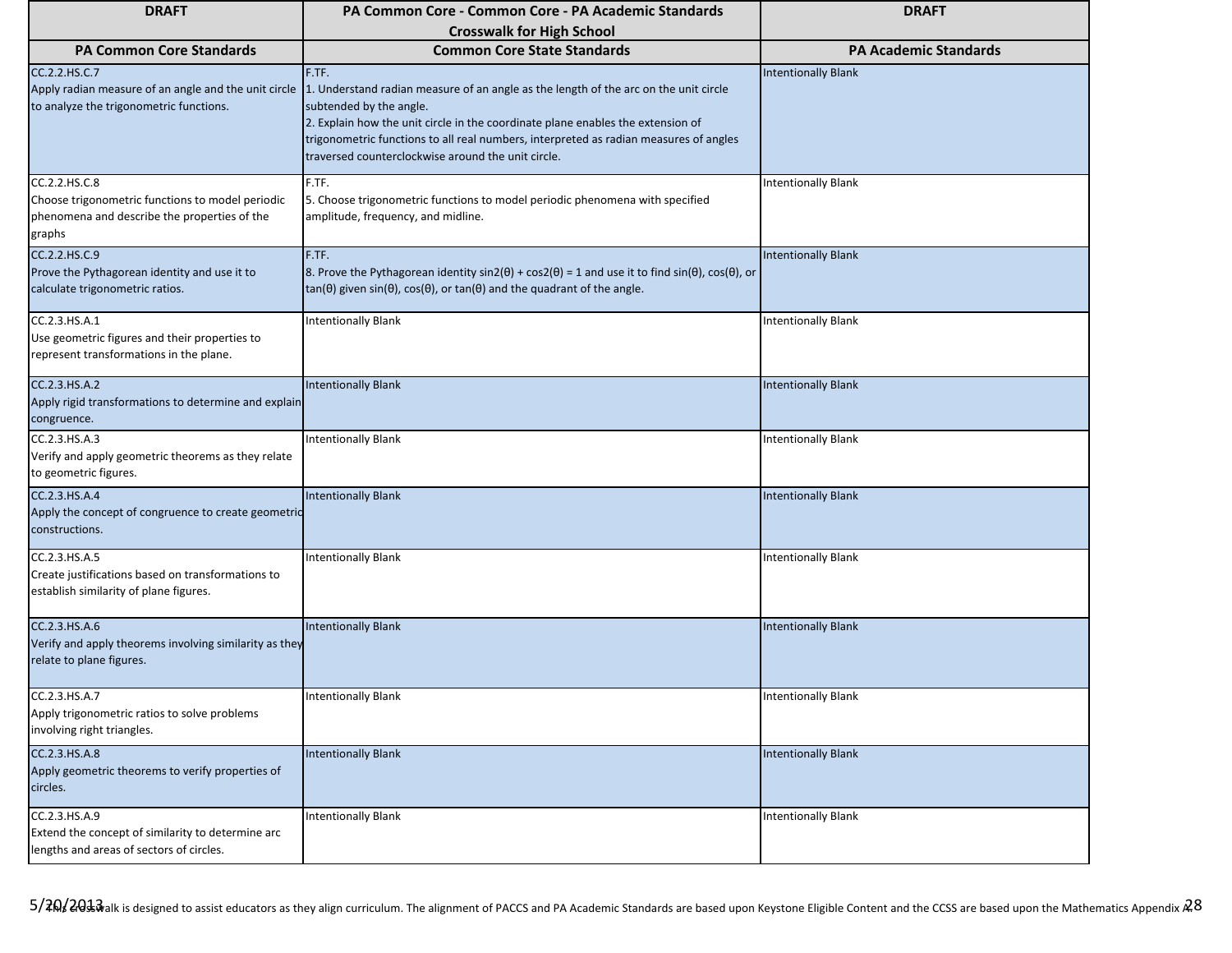| <b>DRAFT</b>                                                                                                                | PA Common Core - Common Core - PA Academic Standards                                                                                                                                                                                                                                                                                                       | <b>DRAFT</b>                 |
|-----------------------------------------------------------------------------------------------------------------------------|------------------------------------------------------------------------------------------------------------------------------------------------------------------------------------------------------------------------------------------------------------------------------------------------------------------------------------------------------------|------------------------------|
|                                                                                                                             | <b>Crosswalk for High School</b>                                                                                                                                                                                                                                                                                                                           |                              |
| <b>PA Common Core Standards</b>                                                                                             | <b>Common Core State Standards</b>                                                                                                                                                                                                                                                                                                                         | <b>PA Academic Standards</b> |
| CC.2.2.HS.C.7<br>Apply radian measure of an angle and the unit circle<br>to analyze the trigonometric functions.            | F.TF.<br>1. Understand radian measure of an angle as the length of the arc on the unit circle<br>subtended by the angle.<br>2. Explain how the unit circle in the coordinate plane enables the extension of<br>trigonometric functions to all real numbers, interpreted as radian measures of angles<br>traversed counterclockwise around the unit circle. | <b>Intentionally Blank</b>   |
| CC.2.2.HS.C.8<br>Choose trigonometric functions to model periodic<br>phenomena and describe the properties of the<br>graphs | F.TF.<br>5. Choose trigonometric functions to model periodic phenomena with specified<br>amplitude, frequency, and midline.                                                                                                                                                                                                                                | <b>Intentionally Blank</b>   |
| CC.2.2.HS.C.9<br>Prove the Pythagorean identity and use it to<br>calculate trigonometric ratios.                            | F.TF.<br>8. Prove the Pythagorean identity $sin2(\theta) + cos2(\theta) = 1$ and use it to find $sin(\theta)$ , $cos(\theta)$ , or<br>tan( $\theta$ ) given sin( $\theta$ ), cos( $\theta$ ), or tan( $\theta$ ) and the quadrant of the angle.                                                                                                            | <b>Intentionally Blank</b>   |
| CC.2.3.HS.A.1<br>Use geometric figures and their properties to<br>represent transformations in the plane.                   | <b>Intentionally Blank</b>                                                                                                                                                                                                                                                                                                                                 | <b>Intentionally Blank</b>   |
| CC.2.3.HS.A.2<br>Apply rigid transformations to determine and explain<br>congruence.                                        | <b>Intentionally Blank</b>                                                                                                                                                                                                                                                                                                                                 | <b>Intentionally Blank</b>   |
| CC.2.3.HS.A.3<br>Verify and apply geometric theorems as they relate<br>to geometric figures.                                | <b>Intentionally Blank</b>                                                                                                                                                                                                                                                                                                                                 | <b>Intentionally Blank</b>   |
| CC.2.3.HS.A.4<br>Apply the concept of congruence to create geometric<br>constructions.                                      | <b>Intentionally Blank</b>                                                                                                                                                                                                                                                                                                                                 | <b>Intentionally Blank</b>   |
| CC.2.3.HS.A.5<br>Create justifications based on transformations to<br>establish similarity of plane figures.                | <b>Intentionally Blank</b>                                                                                                                                                                                                                                                                                                                                 | <b>Intentionally Blank</b>   |
| CC.2.3.HS.A.6<br>Verify and apply theorems involving similarity as they<br>relate to plane figures.                         | <b>Intentionally Blank</b>                                                                                                                                                                                                                                                                                                                                 | <b>Intentionally Blank</b>   |
| CC.2.3.HS.A.7<br>Apply trigonometric ratios to solve problems<br>involving right triangles.                                 | <b>Intentionally Blank</b>                                                                                                                                                                                                                                                                                                                                 | <b>Intentionally Blank</b>   |
| CC.2.3.HS.A.8<br>Apply geometric theorems to verify properties of<br>circles.                                               | <b>Intentionally Blank</b>                                                                                                                                                                                                                                                                                                                                 | <b>Intentionally Blank</b>   |
| CC.2.3.HS.A.9<br>Extend the concept of similarity to determine arc<br>lengths and areas of sectors of circles.              | <b>Intentionally Blank</b>                                                                                                                                                                                                                                                                                                                                 | <b>Intentionally Blank</b>   |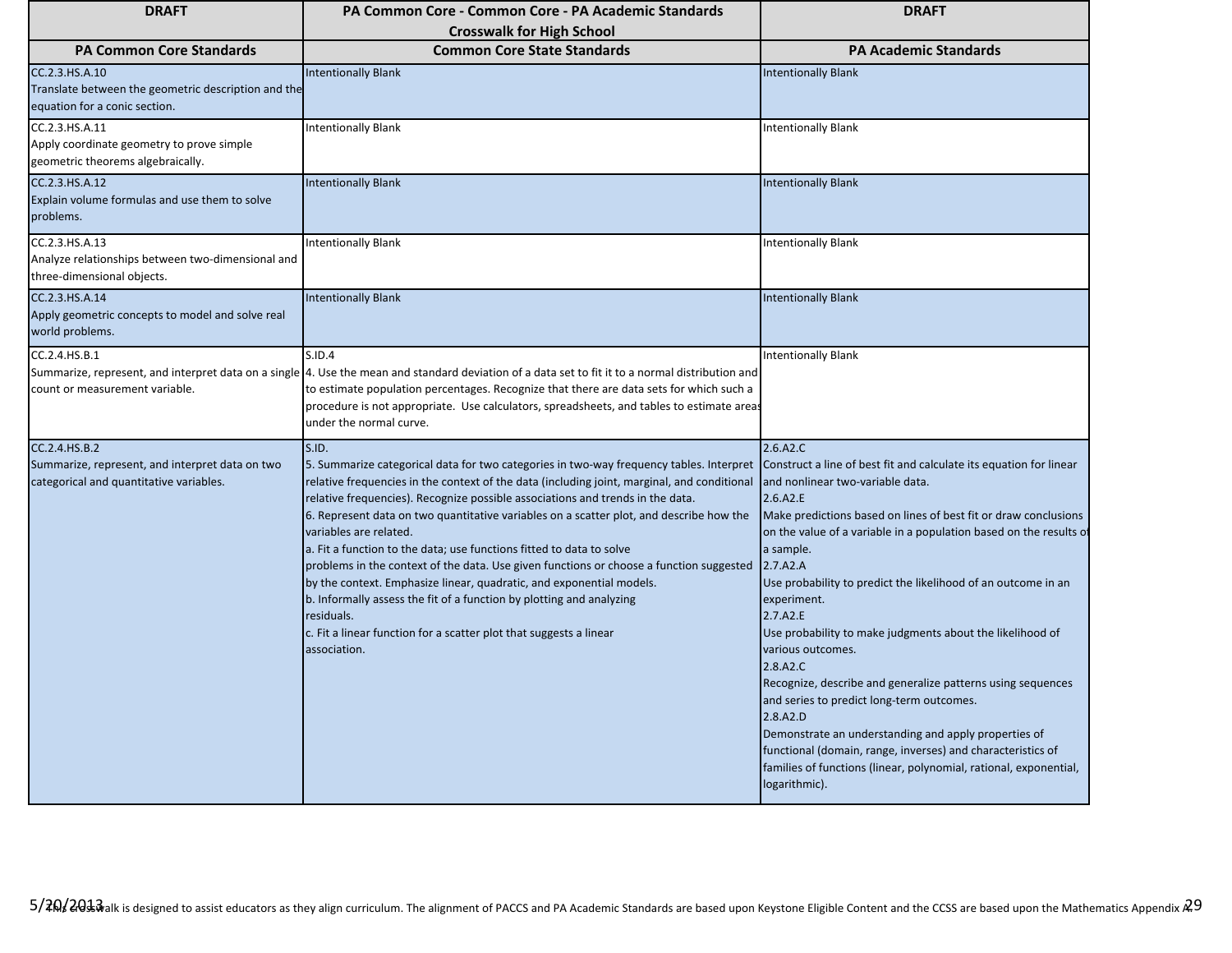| <b>DRAFT</b>                                                                                                | PA Common Core - Common Core - PA Academic Standards                                                                                                                                                                                                                                                                                                                                                                                                                                                                                                                                                                                                                                                                                                                                                                          | <b>DRAFT</b>                                                                                                                                                                                                                                                                                                                                                                                                                                                                                                                                                                                                                                                                                                                                                                                                                    |
|-------------------------------------------------------------------------------------------------------------|-------------------------------------------------------------------------------------------------------------------------------------------------------------------------------------------------------------------------------------------------------------------------------------------------------------------------------------------------------------------------------------------------------------------------------------------------------------------------------------------------------------------------------------------------------------------------------------------------------------------------------------------------------------------------------------------------------------------------------------------------------------------------------------------------------------------------------|---------------------------------------------------------------------------------------------------------------------------------------------------------------------------------------------------------------------------------------------------------------------------------------------------------------------------------------------------------------------------------------------------------------------------------------------------------------------------------------------------------------------------------------------------------------------------------------------------------------------------------------------------------------------------------------------------------------------------------------------------------------------------------------------------------------------------------|
|                                                                                                             | <b>Crosswalk for High School</b>                                                                                                                                                                                                                                                                                                                                                                                                                                                                                                                                                                                                                                                                                                                                                                                              |                                                                                                                                                                                                                                                                                                                                                                                                                                                                                                                                                                                                                                                                                                                                                                                                                                 |
| <b>PA Common Core Standards</b>                                                                             | <b>Common Core State Standards</b>                                                                                                                                                                                                                                                                                                                                                                                                                                                                                                                                                                                                                                                                                                                                                                                            | <b>PA Academic Standards</b>                                                                                                                                                                                                                                                                                                                                                                                                                                                                                                                                                                                                                                                                                                                                                                                                    |
| CC.2.3.HS.A.10<br>Translate between the geometric description and the<br>equation for a conic section.      | <b>Intentionally Blank</b>                                                                                                                                                                                                                                                                                                                                                                                                                                                                                                                                                                                                                                                                                                                                                                                                    | <b>Intentionally Blank</b>                                                                                                                                                                                                                                                                                                                                                                                                                                                                                                                                                                                                                                                                                                                                                                                                      |
| CC.2.3.HS.A.11<br>Apply coordinate geometry to prove simple<br>geometric theorems algebraically.            | <b>Intentionally Blank</b>                                                                                                                                                                                                                                                                                                                                                                                                                                                                                                                                                                                                                                                                                                                                                                                                    | <b>Intentionally Blank</b>                                                                                                                                                                                                                                                                                                                                                                                                                                                                                                                                                                                                                                                                                                                                                                                                      |
| CC.2.3.HS.A.12<br>Explain volume formulas and use them to solve<br>problems.                                | <b>Intentionally Blank</b>                                                                                                                                                                                                                                                                                                                                                                                                                                                                                                                                                                                                                                                                                                                                                                                                    | <b>Intentionally Blank</b>                                                                                                                                                                                                                                                                                                                                                                                                                                                                                                                                                                                                                                                                                                                                                                                                      |
| CC.2.3.HS.A.13<br>Analyze relationships between two-dimensional and<br>three-dimensional objects.           | <b>Intentionally Blank</b>                                                                                                                                                                                                                                                                                                                                                                                                                                                                                                                                                                                                                                                                                                                                                                                                    | <b>Intentionally Blank</b>                                                                                                                                                                                                                                                                                                                                                                                                                                                                                                                                                                                                                                                                                                                                                                                                      |
| CC.2.3.HS.A.14<br>Apply geometric concepts to model and solve real<br>world problems.                       | <b>Intentionally Blank</b>                                                                                                                                                                                                                                                                                                                                                                                                                                                                                                                                                                                                                                                                                                                                                                                                    | <b>Intentionally Blank</b>                                                                                                                                                                                                                                                                                                                                                                                                                                                                                                                                                                                                                                                                                                                                                                                                      |
| CC.2.4.HS.B.1<br>count or measurement variable.                                                             | S.ID.4<br>Summarize, represent, and interpret data on a single 4. Use the mean and standard deviation of a data set to fit it to a normal distribution and<br>to estimate population percentages. Recognize that there are data sets for which such a<br>procedure is not appropriate. Use calculators, spreadsheets, and tables to estimate areas<br>under the normal curve.                                                                                                                                                                                                                                                                                                                                                                                                                                                 | <b>Intentionally Blank</b>                                                                                                                                                                                                                                                                                                                                                                                                                                                                                                                                                                                                                                                                                                                                                                                                      |
| CC.2.4.HS.B.2<br>Summarize, represent, and interpret data on two<br>categorical and quantitative variables. | S.ID.<br>5. Summarize categorical data for two categories in two-way frequency tables. Interpret<br>relative frequencies in the context of the data (including joint, marginal, and conditional<br>relative frequencies). Recognize possible associations and trends in the data.<br>6. Represent data on two quantitative variables on a scatter plot, and describe how the<br>variables are related.<br>a. Fit a function to the data; use functions fitted to data to solve<br>problems in the context of the data. Use given functions or choose a function suggested<br>by the context. Emphasize linear, quadratic, and exponential models.<br>b. Informally assess the fit of a function by plotting and analyzing<br>residuals.<br>c. Fit a linear function for a scatter plot that suggests a linear<br>association. | 2.6.A2.C<br>Construct a line of best fit and calculate its equation for linear<br>and nonlinear two-variable data.<br>2.6.A2.E<br>Make predictions based on lines of best fit or draw conclusions<br>on the value of a variable in a population based on the results of<br>a sample.<br>2.7.A2.A<br>Use probability to predict the likelihood of an outcome in an<br>experiment.<br>2.7.A2.E<br>Use probability to make judgments about the likelihood of<br>various outcomes.<br>2.8.A2.C<br>Recognize, describe and generalize patterns using sequences<br>and series to predict long-term outcomes.<br>2.8.A2.D<br>Demonstrate an understanding and apply properties of<br>functional (domain, range, inverses) and characteristics of<br>families of functions (linear, polynomial, rational, exponential,<br>logarithmic). |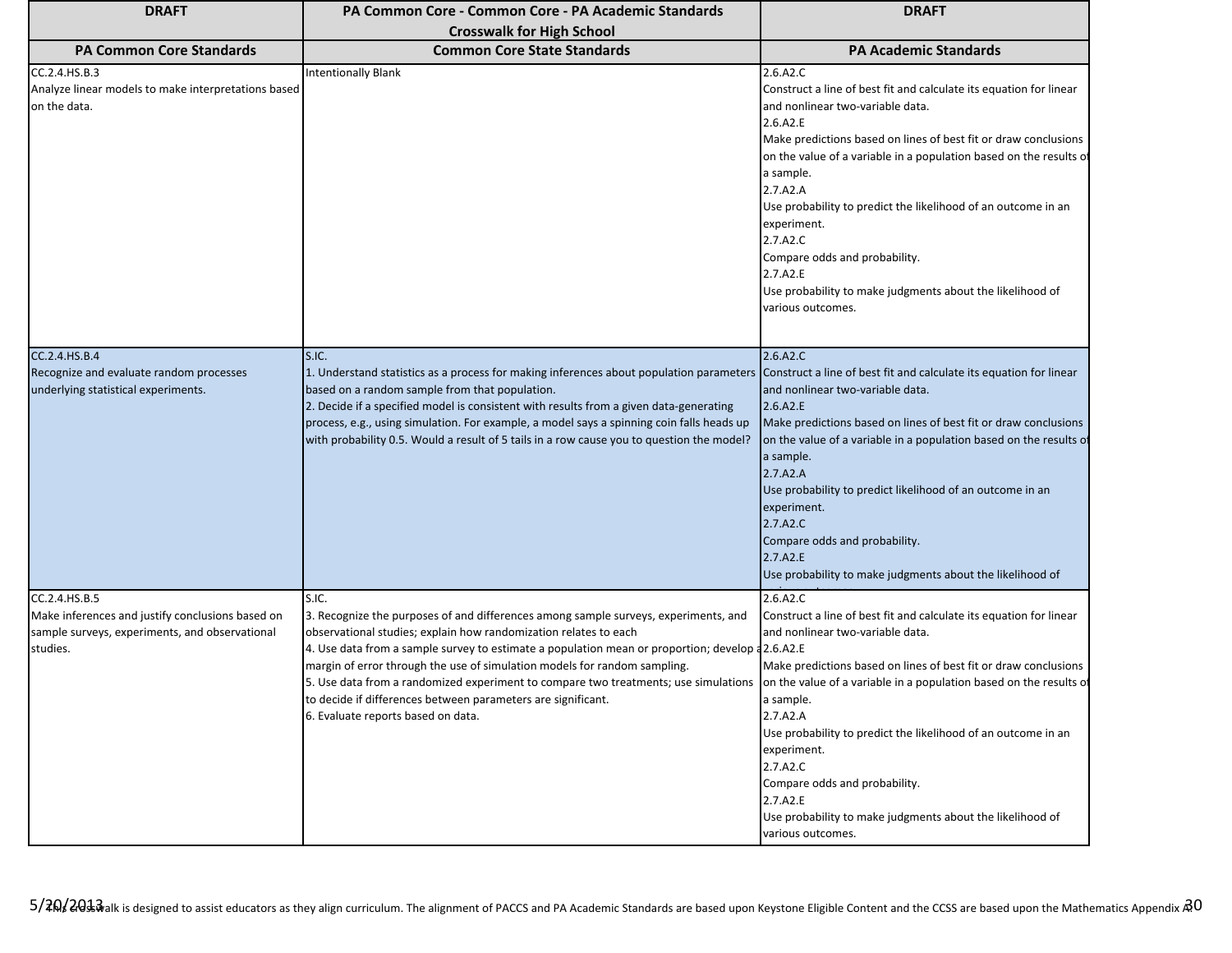| <b>DRAFT</b>                                                                                                                    | PA Common Core - Common Core - PA Academic Standards                                                                                                                                                                                                                                                                                                                                                                                                                                                                                           | <b>DRAFT</b>                                                                                                                                                                                                                                                                                                                                                                                                                                                                                                                |
|---------------------------------------------------------------------------------------------------------------------------------|------------------------------------------------------------------------------------------------------------------------------------------------------------------------------------------------------------------------------------------------------------------------------------------------------------------------------------------------------------------------------------------------------------------------------------------------------------------------------------------------------------------------------------------------|-----------------------------------------------------------------------------------------------------------------------------------------------------------------------------------------------------------------------------------------------------------------------------------------------------------------------------------------------------------------------------------------------------------------------------------------------------------------------------------------------------------------------------|
|                                                                                                                                 | <b>Crosswalk for High School</b>                                                                                                                                                                                                                                                                                                                                                                                                                                                                                                               |                                                                                                                                                                                                                                                                                                                                                                                                                                                                                                                             |
| <b>PA Common Core Standards</b>                                                                                                 | <b>Common Core State Standards</b>                                                                                                                                                                                                                                                                                                                                                                                                                                                                                                             | <b>PA Academic Standards</b>                                                                                                                                                                                                                                                                                                                                                                                                                                                                                                |
| CC.2.4.HS.B.3<br>Analyze linear models to make interpretations based<br>on the data.                                            | <b>Intentionally Blank</b>                                                                                                                                                                                                                                                                                                                                                                                                                                                                                                                     | 2.6.A2.C<br>Construct a line of best fit and calculate its equation for linear<br>and nonlinear two-variable data.<br>2.6.A2.E<br>Make predictions based on lines of best fit or draw conclusions<br>on the value of a variable in a population based on the results of<br>a sample.<br>2.7.A2.A<br>Use probability to predict the likelihood of an outcome in an<br>experiment.<br>2.7.A2.C<br>Compare odds and probability.<br>2.7.A2.E<br>Use probability to make judgments about the likelihood of<br>various outcomes. |
| CC.2.4.HS.B.4<br>Recognize and evaluate random processes<br>underlying statistical experiments.                                 | S.IC.<br>1. Understand statistics as a process for making inferences about population parameters Construct a line of best fit and calculate its equation for linear<br>based on a random sample from that population.<br>2. Decide if a specified model is consistent with results from a given data-generating<br>process, e.g., using simulation. For example, a model says a spinning coin falls heads up<br>with probability 0.5. Would a result of 5 tails in a row cause you to question the model?                                      | 2.6.A2.C<br>and nonlinear two-variable data.<br>2.6.A2.E<br>Make predictions based on lines of best fit or draw conclusions<br>on the value of a variable in a population based on the results of<br>a sample.<br>2.7.A2.A<br>Use probability to predict likelihood of an outcome in an<br>experiment.<br>2.7.A2.C<br>Compare odds and probability.<br>2.7.A2.E<br>Use probability to make judgments about the likelihood of                                                                                                |
| CC.2.4.HS.B.5<br>Make inferences and justify conclusions based on<br>sample surveys, experiments, and observational<br>studies. | S.IC.<br>3. Recognize the purposes of and differences among sample surveys, experiments, and<br>observational studies; explain how randomization relates to each<br>4. Use data from a sample survey to estimate a population mean or proportion; develop a 2.6.A2.E<br>margin of error through the use of simulation models for random sampling.<br>5. Use data from a randomized experiment to compare two treatments; use simulations<br>to decide if differences between parameters are significant.<br>6. Evaluate reports based on data. | 2.6.A2.C<br>Construct a line of best fit and calculate its equation for linear<br>and nonlinear two-variable data.<br>Make predictions based on lines of best fit or draw conclusions<br>on the value of a variable in a population based on the results of<br>a sample.<br>2.7.A2.A<br>Use probability to predict the likelihood of an outcome in an<br>experiment.<br>2.7.A2.C<br>Compare odds and probability.<br>2.7.A2.E<br>Use probability to make judgments about the likelihood of<br>various outcomes.             |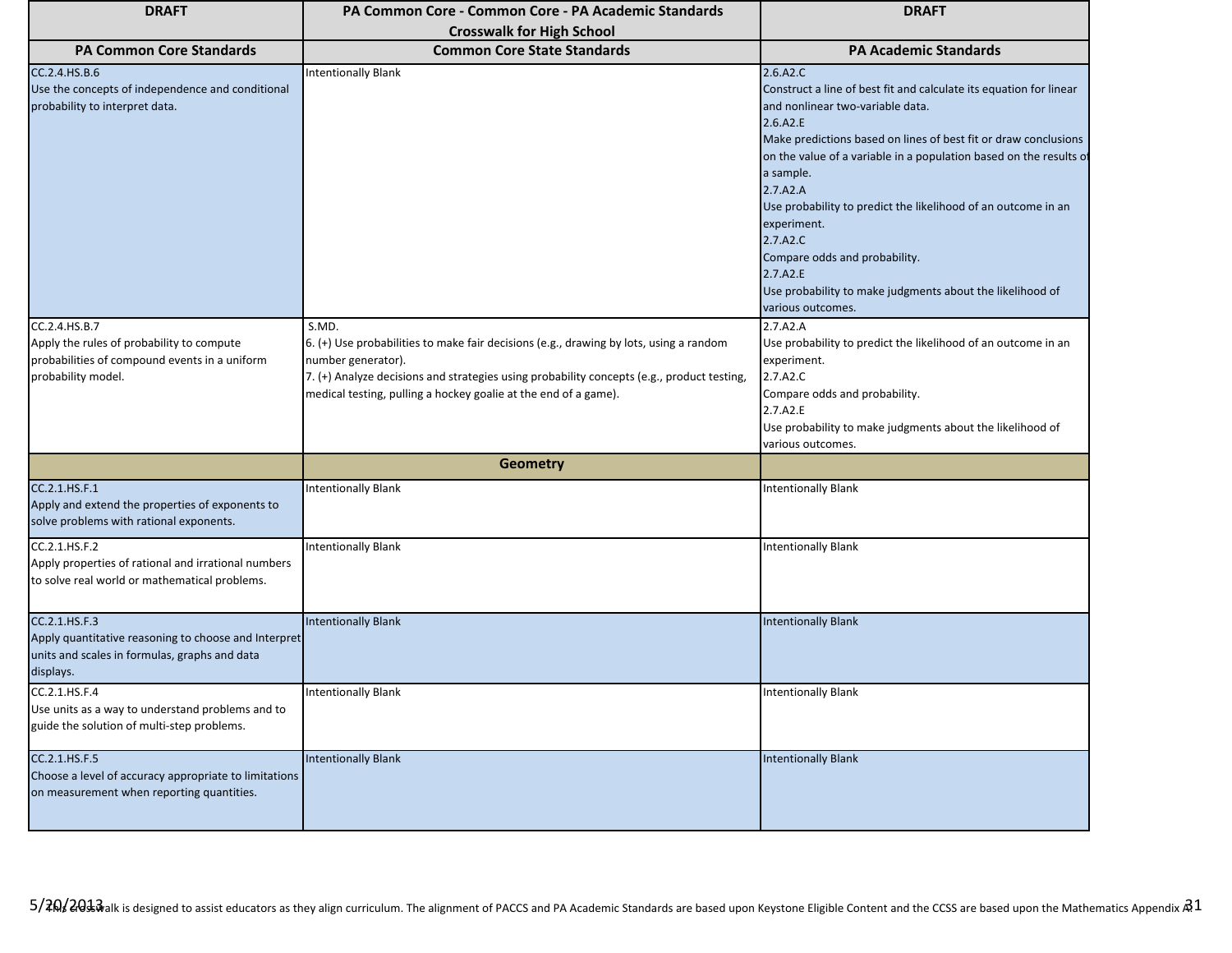| <b>DRAFT</b>                                                                                                                        | PA Common Core - Common Core - PA Academic Standards                                                                                                                                                                                                                                   | <b>DRAFT</b>                                                                                                                                                                                                                                                                                                                                                                                                                                                                                                                |
|-------------------------------------------------------------------------------------------------------------------------------------|----------------------------------------------------------------------------------------------------------------------------------------------------------------------------------------------------------------------------------------------------------------------------------------|-----------------------------------------------------------------------------------------------------------------------------------------------------------------------------------------------------------------------------------------------------------------------------------------------------------------------------------------------------------------------------------------------------------------------------------------------------------------------------------------------------------------------------|
|                                                                                                                                     | <b>Crosswalk for High School</b>                                                                                                                                                                                                                                                       |                                                                                                                                                                                                                                                                                                                                                                                                                                                                                                                             |
| <b>PA Common Core Standards</b>                                                                                                     | <b>Common Core State Standards</b>                                                                                                                                                                                                                                                     | <b>PA Academic Standards</b>                                                                                                                                                                                                                                                                                                                                                                                                                                                                                                |
| CC.2.4. HS.B.6<br>Use the concepts of independence and conditional<br>probability to interpret data.                                | <b>Intentionally Blank</b>                                                                                                                                                                                                                                                             | 2.6.A2.C<br>Construct a line of best fit and calculate its equation for linear<br>and nonlinear two-variable data.<br>2.6.A2.E<br>Make predictions based on lines of best fit or draw conclusions<br>on the value of a variable in a population based on the results of<br>a sample.<br>2.7.A2.A<br>Use probability to predict the likelihood of an outcome in an<br>experiment.<br>2.7.A2.C<br>Compare odds and probability.<br>2.7.A2.E<br>Use probability to make judgments about the likelihood of<br>various outcomes. |
| CC.2.4.HS.B.7<br>Apply the rules of probability to compute<br>probabilities of compound events in a uniform<br>probability model.   | S.MD.<br>6. (+) Use probabilities to make fair decisions (e.g., drawing by lots, using a random<br>number generator).<br>7. (+) Analyze decisions and strategies using probability concepts (e.g., product testing,<br>medical testing, pulling a hockey goalie at the end of a game). | 2.7.A2.A<br>Use probability to predict the likelihood of an outcome in an<br>experiment.<br>2.7.A2.C<br>Compare odds and probability.<br>2.7.A2.E<br>Use probability to make judgments about the likelihood of<br>various outcomes.                                                                                                                                                                                                                                                                                         |
|                                                                                                                                     | <b>Geometry</b>                                                                                                                                                                                                                                                                        |                                                                                                                                                                                                                                                                                                                                                                                                                                                                                                                             |
| CC.2.1.HS.F.1<br>Apply and extend the properties of exponents to<br>solve problems with rational exponents.                         | <b>Intentionally Blank</b>                                                                                                                                                                                                                                                             | <b>Intentionally Blank</b>                                                                                                                                                                                                                                                                                                                                                                                                                                                                                                  |
| CC.2.1.HS.F.2<br>Apply properties of rational and irrational numbers<br>to solve real world or mathematical problems.               | <b>Intentionally Blank</b>                                                                                                                                                                                                                                                             | Intentionally Blank                                                                                                                                                                                                                                                                                                                                                                                                                                                                                                         |
| CC.2.1.HS.F.3<br>Apply quantitative reasoning to choose and Interpret<br>units and scales in formulas, graphs and data<br>displays. | <b>Intentionally Blank</b>                                                                                                                                                                                                                                                             | <b>Intentionally Blank</b>                                                                                                                                                                                                                                                                                                                                                                                                                                                                                                  |
| CC.2.1.HS.F.4<br>Use units as a way to understand problems and to<br>guide the solution of multi-step problems.                     | <b>Intentionally Blank</b>                                                                                                                                                                                                                                                             | <b>Intentionally Blank</b>                                                                                                                                                                                                                                                                                                                                                                                                                                                                                                  |
| CC.2.1.HS.F.5<br>Choose a level of accuracy appropriate to limitations<br>on measurement when reporting quantities.                 | <b>Intentionally Blank</b>                                                                                                                                                                                                                                                             | <b>Intentionally Blank</b>                                                                                                                                                                                                                                                                                                                                                                                                                                                                                                  |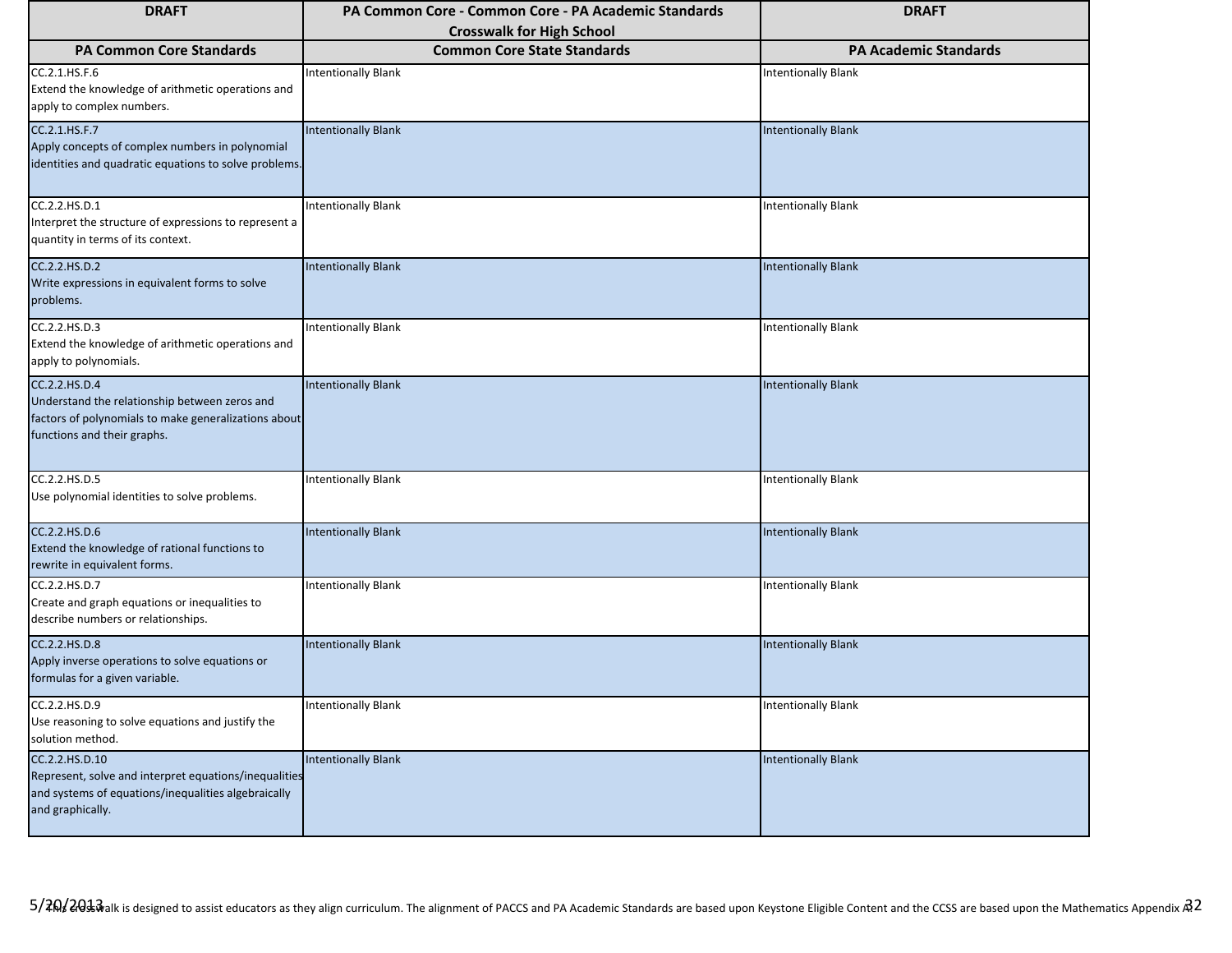| <b>DRAFT</b>                                                                                                                                          | PA Common Core - Common Core - PA Academic Standards | <b>DRAFT</b>                 |
|-------------------------------------------------------------------------------------------------------------------------------------------------------|------------------------------------------------------|------------------------------|
|                                                                                                                                                       | <b>Crosswalk for High School</b>                     |                              |
| <b>PA Common Core Standards</b>                                                                                                                       | <b>Common Core State Standards</b>                   | <b>PA Academic Standards</b> |
| CC.2.1.HS.F.6<br>Extend the knowledge of arithmetic operations and<br>apply to complex numbers.                                                       | <b>Intentionally Blank</b>                           | <b>Intentionally Blank</b>   |
| CC.2.1.HS.F.7<br>Apply concepts of complex numbers in polynomial<br>identities and quadratic equations to solve problems.                             | <b>Intentionally Blank</b>                           | <b>Intentionally Blank</b>   |
| CC.2.2.HS.D.1<br>Interpret the structure of expressions to represent a<br>quantity in terms of its context.                                           | <b>Intentionally Blank</b>                           | <b>Intentionally Blank</b>   |
| CC.2.2.HS.D.2<br>Write expressions in equivalent forms to solve<br>problems.                                                                          | <b>Intentionally Blank</b>                           | <b>Intentionally Blank</b>   |
| CC.2.2.HS.D.3<br>Extend the knowledge of arithmetic operations and<br>apply to polynomials.                                                           | <b>Intentionally Blank</b>                           | <b>Intentionally Blank</b>   |
| CC.2.2.HS.D.4<br>Understand the relationship between zeros and<br>factors of polynomials to make generalizations about<br>functions and their graphs. | <b>Intentionally Blank</b>                           | <b>Intentionally Blank</b>   |
| CC.2.2.HS.D.5<br>Use polynomial identities to solve problems.                                                                                         | <b>Intentionally Blank</b>                           | <b>Intentionally Blank</b>   |
| CC.2.2.HS.D.6<br>Extend the knowledge of rational functions to<br>rewrite in equivalent forms.                                                        | <b>Intentionally Blank</b>                           | <b>Intentionally Blank</b>   |
| CC.2.2.HS.D.7<br>Create and graph equations or inequalities to<br>describe numbers or relationships.                                                  | <b>Intentionally Blank</b>                           | <b>Intentionally Blank</b>   |
| CC.2.2.HS.D.8<br>Apply inverse operations to solve equations or<br>formulas for a given variable.                                                     | <b>Intentionally Blank</b>                           | <b>Intentionally Blank</b>   |
| CC.2.2.HS.D.9<br>Use reasoning to solve equations and justify the<br>solution method.                                                                 | <b>Intentionally Blank</b>                           | <b>Intentionally Blank</b>   |
| CC.2.2.HS.D.10<br>Represent, solve and interpret equations/inequalities<br>and systems of equations/inequalities algebraically<br>and graphically.    | <b>Intentionally Blank</b>                           | <b>Intentionally Blank</b>   |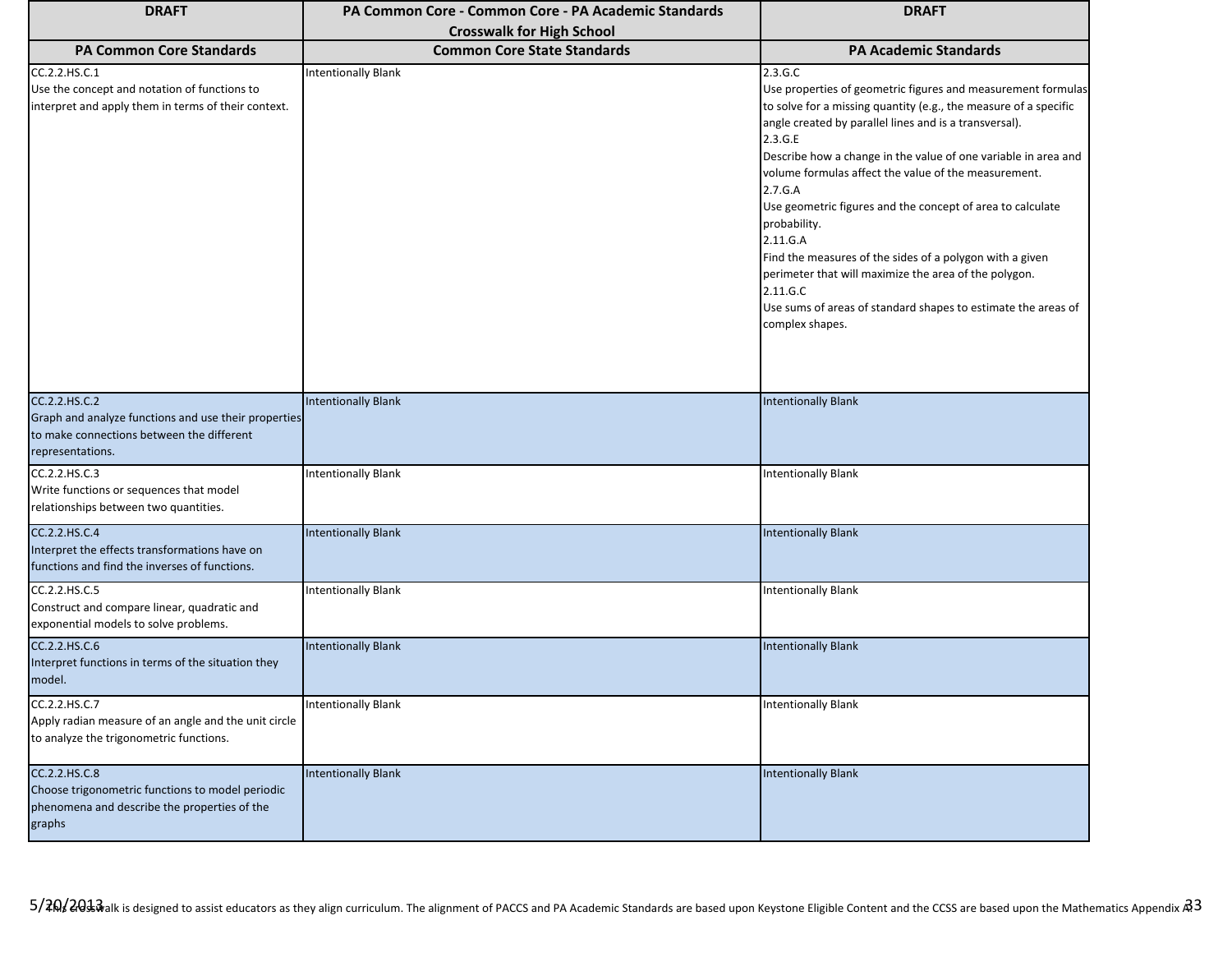| <b>DRAFT</b>                                                                                                                           | PA Common Core - Common Core - PA Academic Standards                   | <b>DRAFT</b>                                                                                                                                                                                                                                                                                                                                                                                                                                                                                                                                                                                                                                                         |
|----------------------------------------------------------------------------------------------------------------------------------------|------------------------------------------------------------------------|----------------------------------------------------------------------------------------------------------------------------------------------------------------------------------------------------------------------------------------------------------------------------------------------------------------------------------------------------------------------------------------------------------------------------------------------------------------------------------------------------------------------------------------------------------------------------------------------------------------------------------------------------------------------|
| <b>PA Common Core Standards</b>                                                                                                        | <b>Crosswalk for High School</b><br><b>Common Core State Standards</b> | <b>PA Academic Standards</b>                                                                                                                                                                                                                                                                                                                                                                                                                                                                                                                                                                                                                                         |
|                                                                                                                                        |                                                                        |                                                                                                                                                                                                                                                                                                                                                                                                                                                                                                                                                                                                                                                                      |
| CC.2.2.HS.C.1<br>Use the concept and notation of functions to<br>interpret and apply them in terms of their context.                   | <b>Intentionally Blank</b>                                             | 2.3.G.C<br>Use properties of geometric figures and measurement formulas<br>to solve for a missing quantity (e.g., the measure of a specific<br>angle created by parallel lines and is a transversal).<br>2.3.G.E<br>Describe how a change in the value of one variable in area and<br>volume formulas affect the value of the measurement.<br>2.7.G.A<br>Use geometric figures and the concept of area to calculate<br>probability.<br>2.11.G.A<br>Find the measures of the sides of a polygon with a given<br>perimeter that will maximize the area of the polygon.<br>2.11.G.C<br>Use sums of areas of standard shapes to estimate the areas of<br>complex shapes. |
| CC.2.2.HS.C.2<br>Graph and analyze functions and use their properties<br>to make connections between the different<br>representations. | <b>Intentionally Blank</b>                                             | <b>Intentionally Blank</b>                                                                                                                                                                                                                                                                                                                                                                                                                                                                                                                                                                                                                                           |
| CC.2.2.HS.C.3<br>Write functions or sequences that model<br>relationships between two quantities.                                      | <b>Intentionally Blank</b>                                             | <b>Intentionally Blank</b>                                                                                                                                                                                                                                                                                                                                                                                                                                                                                                                                                                                                                                           |
| CC.2.2.HS.C.4<br>Interpret the effects transformations have on<br>functions and find the inverses of functions.                        | <b>Intentionally Blank</b>                                             | <b>Intentionally Blank</b>                                                                                                                                                                                                                                                                                                                                                                                                                                                                                                                                                                                                                                           |
| CC.2.2.HS.C.5<br>Construct and compare linear, quadratic and<br>exponential models to solve problems.                                  | <b>Intentionally Blank</b>                                             | <b>Intentionally Blank</b>                                                                                                                                                                                                                                                                                                                                                                                                                                                                                                                                                                                                                                           |
| CC.2.2.HS.C.6<br>Interpret functions in terms of the situation they<br>model.                                                          | <b>Intentionally Blank</b>                                             | <b>Intentionally Blank</b>                                                                                                                                                                                                                                                                                                                                                                                                                                                                                                                                                                                                                                           |
| CC.2.2.HS.C.7<br>Apply radian measure of an angle and the unit circle<br>to analyze the trigonometric functions.                       | <b>Intentionally Blank</b>                                             | <b>Intentionally Blank</b>                                                                                                                                                                                                                                                                                                                                                                                                                                                                                                                                                                                                                                           |
| CC.2.2.HS.C.8<br>Choose trigonometric functions to model periodic<br>phenomena and describe the properties of the<br>graphs            | <b>Intentionally Blank</b>                                             | <b>Intentionally Blank</b>                                                                                                                                                                                                                                                                                                                                                                                                                                                                                                                                                                                                                                           |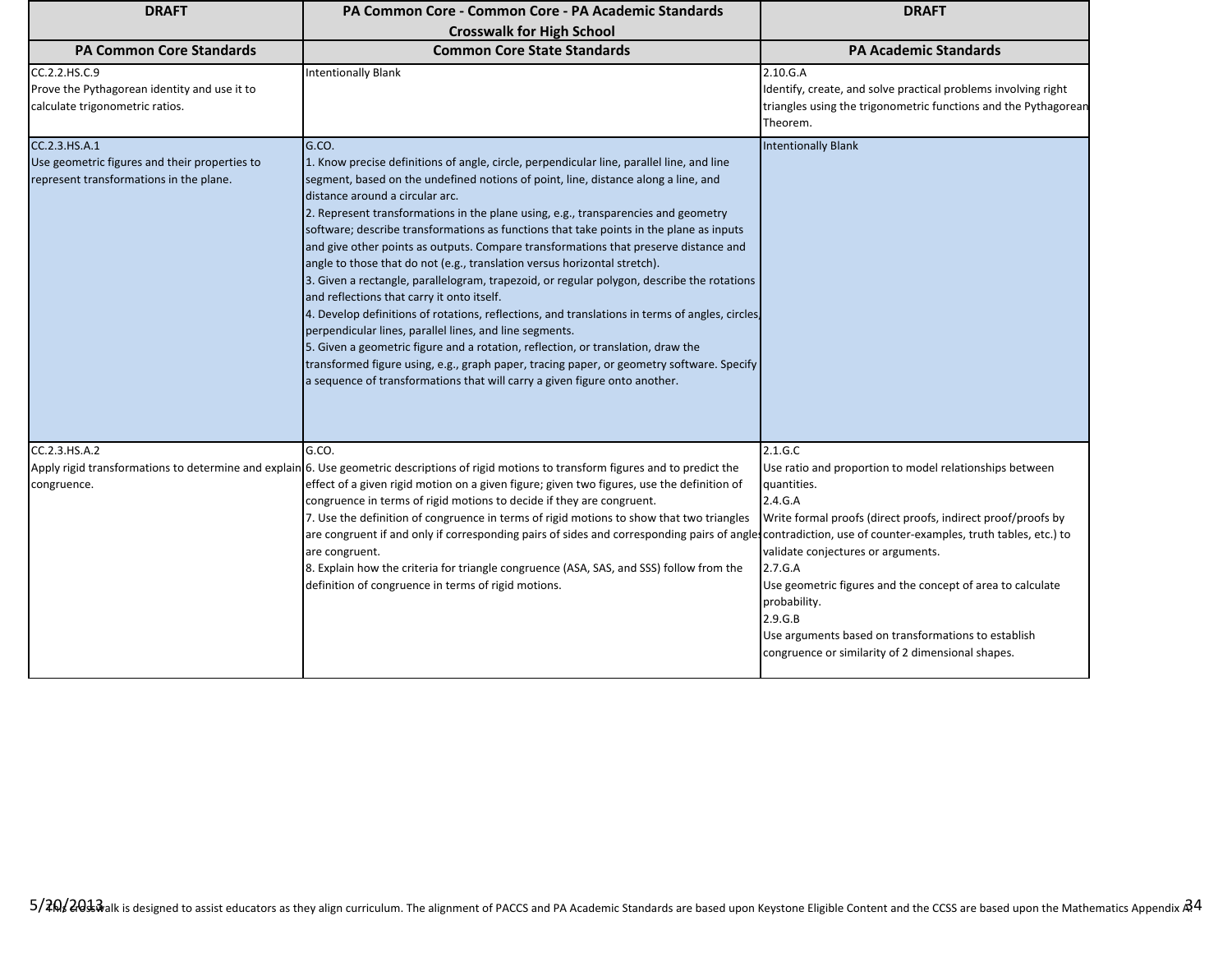| <b>DRAFT</b>                                                                                     | PA Common Core - Common Core - PA Academic Standards                                                                                                                                                                                                                                                                                                                                                                                                                                                                                                                                                                                                                                                                                                                                                                                                                                                                                                                                                                                                                                                                                              | <b>DRAFT</b>                                                                                                                                                                                                                                                                                                                                                                                            |
|--------------------------------------------------------------------------------------------------|---------------------------------------------------------------------------------------------------------------------------------------------------------------------------------------------------------------------------------------------------------------------------------------------------------------------------------------------------------------------------------------------------------------------------------------------------------------------------------------------------------------------------------------------------------------------------------------------------------------------------------------------------------------------------------------------------------------------------------------------------------------------------------------------------------------------------------------------------------------------------------------------------------------------------------------------------------------------------------------------------------------------------------------------------------------------------------------------------------------------------------------------------|---------------------------------------------------------------------------------------------------------------------------------------------------------------------------------------------------------------------------------------------------------------------------------------------------------------------------------------------------------------------------------------------------------|
|                                                                                                  | <b>Crosswalk for High School</b>                                                                                                                                                                                                                                                                                                                                                                                                                                                                                                                                                                                                                                                                                                                                                                                                                                                                                                                                                                                                                                                                                                                  |                                                                                                                                                                                                                                                                                                                                                                                                         |
| <b>PA Common Core Standards</b>                                                                  | <b>Common Core State Standards</b>                                                                                                                                                                                                                                                                                                                                                                                                                                                                                                                                                                                                                                                                                                                                                                                                                                                                                                                                                                                                                                                                                                                | <b>PA Academic Standards</b>                                                                                                                                                                                                                                                                                                                                                                            |
| CC.2.2.HS.C.9<br>Prove the Pythagorean identity and use it to<br>calculate trigonometric ratios. | <b>Intentionally Blank</b>                                                                                                                                                                                                                                                                                                                                                                                                                                                                                                                                                                                                                                                                                                                                                                                                                                                                                                                                                                                                                                                                                                                        | 2.10.G.A<br>Identify, create, and solve practical problems involving right<br>triangles using the trigonometric functions and the Pythagorean<br>Theorem.                                                                                                                                                                                                                                               |
| CC.2.3.HS.A.1                                                                                    | G.CO.                                                                                                                                                                                                                                                                                                                                                                                                                                                                                                                                                                                                                                                                                                                                                                                                                                                                                                                                                                                                                                                                                                                                             | <b>Intentionally Blank</b>                                                                                                                                                                                                                                                                                                                                                                              |
| Use geometric figures and their properties to<br>represent transformations in the plane.         | 1. Know precise definitions of angle, circle, perpendicular line, parallel line, and line<br>segment, based on the undefined notions of point, line, distance along a line, and<br>distance around a circular arc.<br>2. Represent transformations in the plane using, e.g., transparencies and geometry<br>software; describe transformations as functions that take points in the plane as inputs<br>and give other points as outputs. Compare transformations that preserve distance and<br>angle to those that do not (e.g., translation versus horizontal stretch).<br>3. Given a rectangle, parallelogram, trapezoid, or regular polygon, describe the rotations<br>and reflections that carry it onto itself.<br>4. Develop definitions of rotations, reflections, and translations in terms of angles, circles,<br>perpendicular lines, parallel lines, and line segments.<br>5. Given a geometric figure and a rotation, reflection, or translation, draw the<br>transformed figure using, e.g., graph paper, tracing paper, or geometry software. Specify<br>a sequence of transformations that will carry a given figure onto another. |                                                                                                                                                                                                                                                                                                                                                                                                         |
| CC.2.3.HS.A.2                                                                                    | G.CO.                                                                                                                                                                                                                                                                                                                                                                                                                                                                                                                                                                                                                                                                                                                                                                                                                                                                                                                                                                                                                                                                                                                                             | 2.1.G.C                                                                                                                                                                                                                                                                                                                                                                                                 |
| congruence.                                                                                      | Apply rigid transformations to determine and explain 6. Use geometric descriptions of rigid motions to transform figures and to predict the<br>effect of a given rigid motion on a given figure; given two figures, use the definition of<br>congruence in terms of rigid motions to decide if they are congruent.<br>7. Use the definition of congruence in terms of rigid motions to show that two triangles<br>are congruent if and only if corresponding pairs of sides and corresponding pairs of angles contradiction, use of counter-examples, truth tables, etc.) to<br>are congruent.<br>8. Explain how the criteria for triangle congruence (ASA, SAS, and SSS) follow from the<br>definition of congruence in terms of rigid motions.                                                                                                                                                                                                                                                                                                                                                                                                  | Use ratio and proportion to model relationships between<br>quantities.<br>2.4.G.A<br>Write formal proofs (direct proofs, indirect proof/proofs by<br>validate conjectures or arguments.<br>2.7.G.A<br>Use geometric figures and the concept of area to calculate<br>probability.<br>2.9.G.B<br>Use arguments based on transformations to establish<br>congruence or similarity of 2 dimensional shapes. |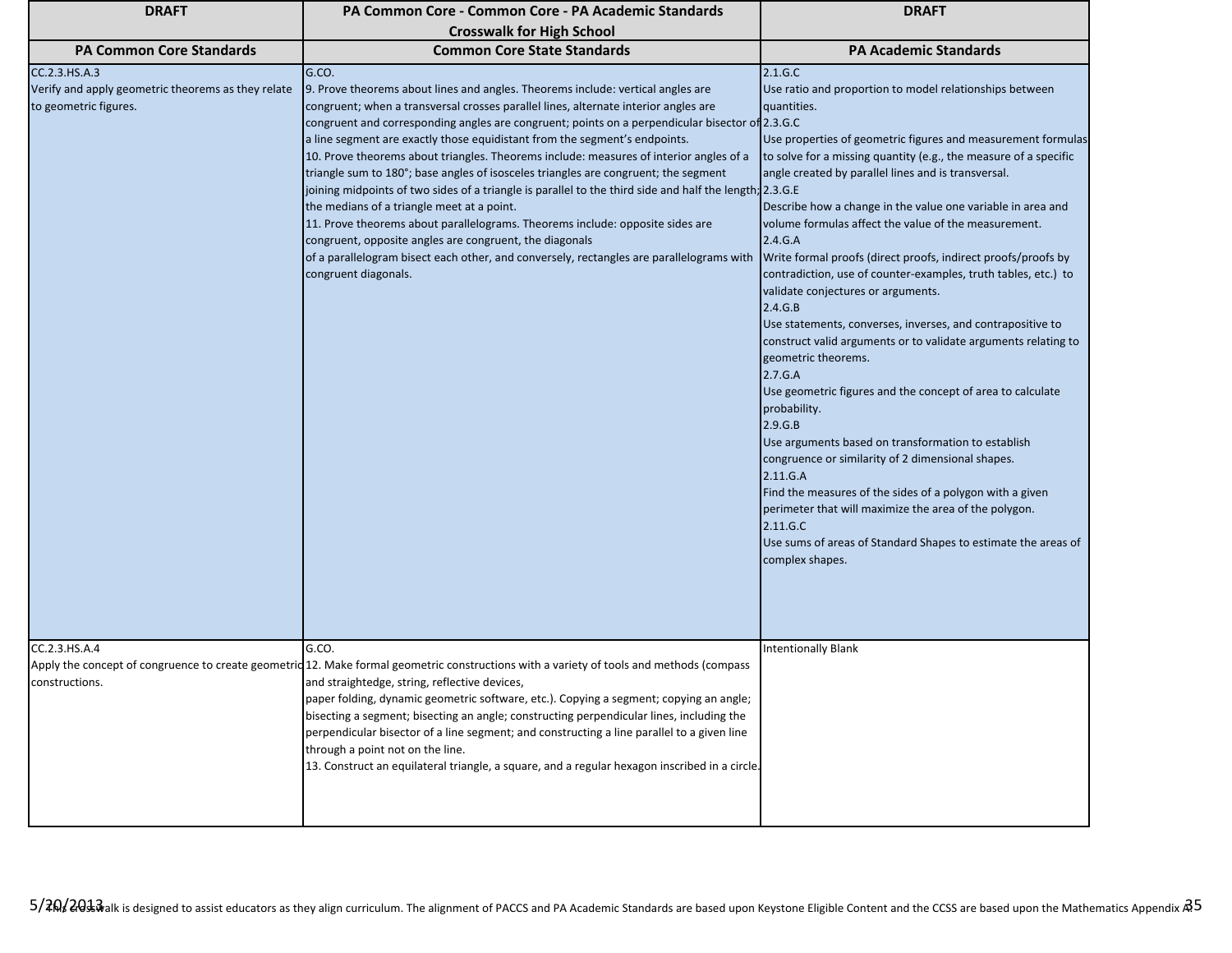| <b>DRAFT</b>                                                                                 | PA Common Core - Common Core - PA Academic Standards                                                                                                                                                                                                                                                                                                                                                                                                                                                                                                                                                                                                                                                                                                                                                                                                                                                                                                                       | <b>DRAFT</b>                                                                                                                                                                                                                                                                                                                                                                                                                                                                                                                                                                                                                                                                                                                                                                                                                                                                                                                                                                                                                                                                                                                                                                                              |
|----------------------------------------------------------------------------------------------|----------------------------------------------------------------------------------------------------------------------------------------------------------------------------------------------------------------------------------------------------------------------------------------------------------------------------------------------------------------------------------------------------------------------------------------------------------------------------------------------------------------------------------------------------------------------------------------------------------------------------------------------------------------------------------------------------------------------------------------------------------------------------------------------------------------------------------------------------------------------------------------------------------------------------------------------------------------------------|-----------------------------------------------------------------------------------------------------------------------------------------------------------------------------------------------------------------------------------------------------------------------------------------------------------------------------------------------------------------------------------------------------------------------------------------------------------------------------------------------------------------------------------------------------------------------------------------------------------------------------------------------------------------------------------------------------------------------------------------------------------------------------------------------------------------------------------------------------------------------------------------------------------------------------------------------------------------------------------------------------------------------------------------------------------------------------------------------------------------------------------------------------------------------------------------------------------|
|                                                                                              | <b>Crosswalk for High School</b>                                                                                                                                                                                                                                                                                                                                                                                                                                                                                                                                                                                                                                                                                                                                                                                                                                                                                                                                           |                                                                                                                                                                                                                                                                                                                                                                                                                                                                                                                                                                                                                                                                                                                                                                                                                                                                                                                                                                                                                                                                                                                                                                                                           |
| <b>PA Common Core Standards</b>                                                              | <b>Common Core State Standards</b>                                                                                                                                                                                                                                                                                                                                                                                                                                                                                                                                                                                                                                                                                                                                                                                                                                                                                                                                         | <b>PA Academic Standards</b>                                                                                                                                                                                                                                                                                                                                                                                                                                                                                                                                                                                                                                                                                                                                                                                                                                                                                                                                                                                                                                                                                                                                                                              |
| CC.2.3.HS.A.3<br>Verify and apply geometric theorems as they relate<br>to geometric figures. | G.CO.<br>9. Prove theorems about lines and angles. Theorems include: vertical angles are<br>congruent; when a transversal crosses parallel lines, alternate interior angles are<br>congruent and corresponding angles are congruent; points on a perpendicular bisector of 2.3.G.C<br>a line segment are exactly those equidistant from the segment's endpoints.<br>10. Prove theorems about triangles. Theorems include: measures of interior angles of a<br>triangle sum to 180°; base angles of isosceles triangles are congruent; the segment<br>joining midpoints of two sides of a triangle is parallel to the third side and half the length; 2.3.G.E<br>the medians of a triangle meet at a point.<br>11. Prove theorems about parallelograms. Theorems include: opposite sides are<br>congruent, opposite angles are congruent, the diagonals<br>of a parallelogram bisect each other, and conversely, rectangles are parallelograms with<br>congruent diagonals. | 2.1.G.C<br>Use ratio and proportion to model relationships between<br>quantities.<br>Use properties of geometric figures and measurement formulas<br>to solve for a missing quantity (e.g., the measure of a specific<br>angle created by parallel lines and is transversal.<br>Describe how a change in the value one variable in area and<br>volume formulas affect the value of the measurement.<br>2.4.G.A<br>Write formal proofs (direct proofs, indirect proofs/proofs by<br>contradiction, use of counter-examples, truth tables, etc.) to<br>validate conjectures or arguments.<br>2.4.G.B<br>Use statements, converses, inverses, and contrapositive to<br>construct valid arguments or to validate arguments relating to<br>geometric theorems.<br>2.7.G.A<br>Use geometric figures and the concept of area to calculate<br>probability.<br>2.9.G.B<br>Use arguments based on transformation to establish<br>congruence or similarity of 2 dimensional shapes.<br>2.11.G.A<br>Find the measures of the sides of a polygon with a given<br>perimeter that will maximize the area of the polygon.<br>2.11.G.C<br>Use sums of areas of Standard Shapes to estimate the areas of<br>complex shapes. |
| CC.2.3.HS.A.4<br>constructions.                                                              | G.CO.<br>Apply the concept of congruence to create geometric 12. Make formal geometric constructions with a variety of tools and methods (compass<br>and straightedge, string, reflective devices,<br>paper folding, dynamic geometric software, etc.). Copying a segment; copying an angle;<br>bisecting a segment; bisecting an angle; constructing perpendicular lines, including the<br>perpendicular bisector of a line segment; and constructing a line parallel to a given line<br>through a point not on the line.<br>13. Construct an equilateral triangle, a square, and a regular hexagon inscribed in a circle.                                                                                                                                                                                                                                                                                                                                                | <b>Intentionally Blank</b>                                                                                                                                                                                                                                                                                                                                                                                                                                                                                                                                                                                                                                                                                                                                                                                                                                                                                                                                                                                                                                                                                                                                                                                |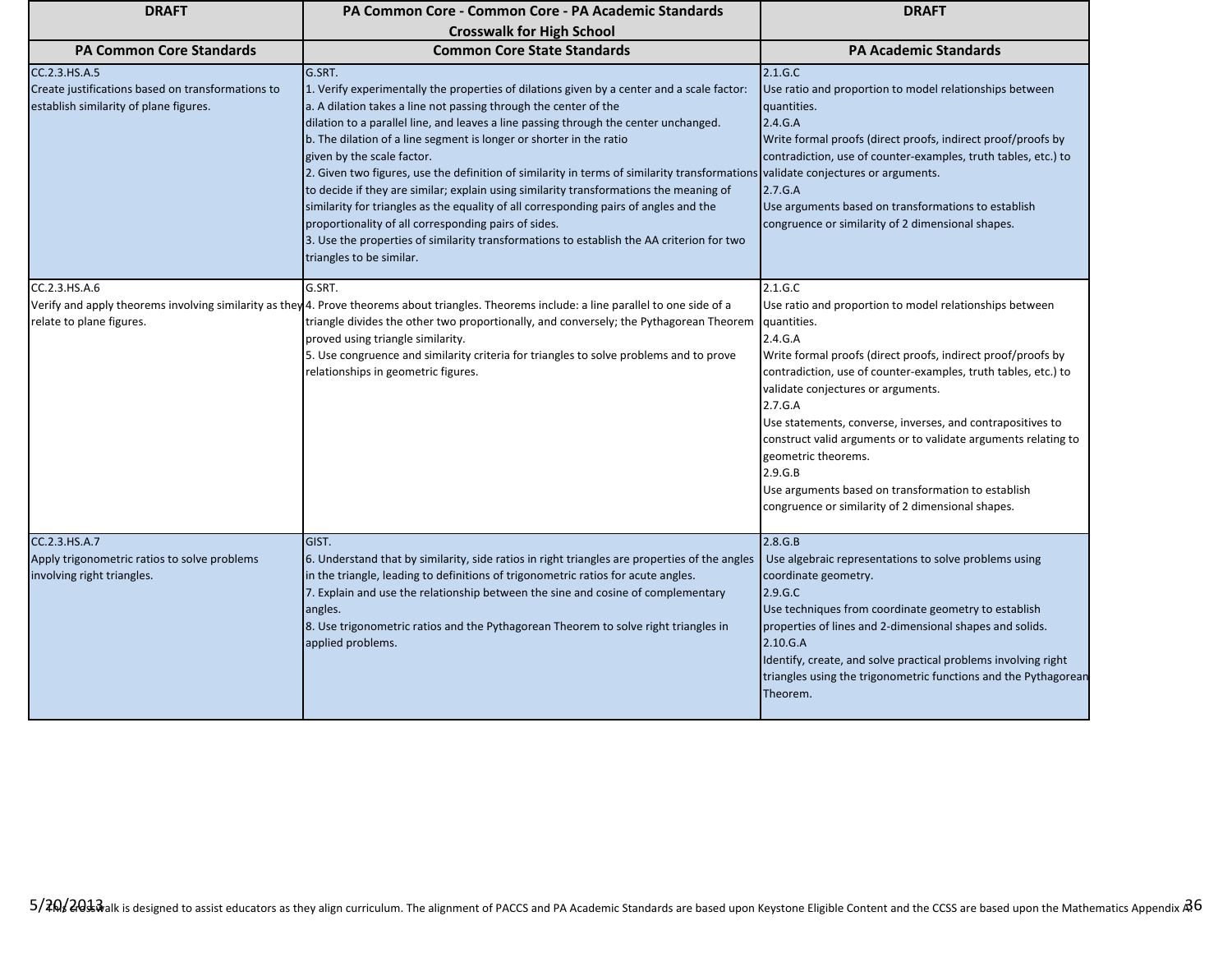| <b>DRAFT</b>                                                                                                 | PA Common Core - Common Core - PA Academic Standards                                                                                                                                                                                                                                                                                                                                                                                                                                                                                                                                                                                                                                                                                                                                                                                                                          | <b>DRAFT</b>                                                                                                                                                                                                                                                                                                                                                                                                                                                                                                                                                 |
|--------------------------------------------------------------------------------------------------------------|-------------------------------------------------------------------------------------------------------------------------------------------------------------------------------------------------------------------------------------------------------------------------------------------------------------------------------------------------------------------------------------------------------------------------------------------------------------------------------------------------------------------------------------------------------------------------------------------------------------------------------------------------------------------------------------------------------------------------------------------------------------------------------------------------------------------------------------------------------------------------------|--------------------------------------------------------------------------------------------------------------------------------------------------------------------------------------------------------------------------------------------------------------------------------------------------------------------------------------------------------------------------------------------------------------------------------------------------------------------------------------------------------------------------------------------------------------|
|                                                                                                              | <b>Crosswalk for High School</b>                                                                                                                                                                                                                                                                                                                                                                                                                                                                                                                                                                                                                                                                                                                                                                                                                                              |                                                                                                                                                                                                                                                                                                                                                                                                                                                                                                                                                              |
| <b>PA Common Core Standards</b>                                                                              | <b>Common Core State Standards</b>                                                                                                                                                                                                                                                                                                                                                                                                                                                                                                                                                                                                                                                                                                                                                                                                                                            | <b>PA Academic Standards</b>                                                                                                                                                                                                                                                                                                                                                                                                                                                                                                                                 |
| CC.2.3.HS.A.5<br>Create justifications based on transformations to<br>establish similarity of plane figures. | G.SRT.<br>1. Verify experimentally the properties of dilations given by a center and a scale factor:<br>a. A dilation takes a line not passing through the center of the<br>dilation to a parallel line, and leaves a line passing through the center unchanged.<br>b. The dilation of a line segment is longer or shorter in the ratio<br>given by the scale factor.<br>2. Given two figures, use the definition of similarity in terms of similarity transformations validate conjectures or arguments.<br>to decide if they are similar; explain using similarity transformations the meaning of<br>similarity for triangles as the equality of all corresponding pairs of angles and the<br>proportionality of all corresponding pairs of sides.<br>3. Use the properties of similarity transformations to establish the AA criterion for two<br>triangles to be similar. | 2.1.G.C<br>Use ratio and proportion to model relationships between<br>quantities.<br>2.4.G.A<br>Write formal proofs (direct proofs, indirect proof/proofs by<br>contradiction, use of counter-examples, truth tables, etc.) to<br>2.7.G.A<br>Use arguments based on transformations to establish<br>congruence or similarity of 2 dimensional shapes.                                                                                                                                                                                                        |
| CC.2.3.HS.A.6<br>relate to plane figures.                                                                    | G.SRT.<br>Verify and apply theorems involving similarity as they 4. Prove theorems about triangles. Theorems include: a line parallel to one side of a<br>triangle divides the other two proportionally, and conversely; the Pythagorean Theorem<br>proved using triangle similarity.<br>5. Use congruence and similarity criteria for triangles to solve problems and to prove<br>relationships in geometric figures.                                                                                                                                                                                                                                                                                                                                                                                                                                                        | 2.1.G.C<br>Use ratio and proportion to model relationships between<br>quantities.<br>2.4.G.A<br>Write formal proofs (direct proofs, indirect proof/proofs by<br>contradiction, use of counter-examples, truth tables, etc.) to<br>validate conjectures or arguments.<br>2.7.G.A<br>Use statements, converse, inverses, and contrapositives to<br>construct valid arguments or to validate arguments relating to<br>geometric theorems.<br>2.9.G.B<br>Use arguments based on transformation to establish<br>congruence or similarity of 2 dimensional shapes. |
| CC.2.3.HS.A.7<br>Apply trigonometric ratios to solve problems<br>involving right triangles.                  | GIST.<br>6. Understand that by similarity, side ratios in right triangles are properties of the angles<br>in the triangle, leading to definitions of trigonometric ratios for acute angles.<br>7. Explain and use the relationship between the sine and cosine of complementary<br>angles.<br>8. Use trigonometric ratios and the Pythagorean Theorem to solve right triangles in<br>applied problems.                                                                                                                                                                                                                                                                                                                                                                                                                                                                        | 2.8.G.B<br>Use algebraic representations to solve problems using<br>coordinate geometry.<br>2.9.G.C<br>Use techniques from coordinate geometry to establish<br>properties of lines and 2-dimensional shapes and solids.<br>2.10.G.A<br>Identify, create, and solve practical problems involving right<br>triangles using the trigonometric functions and the Pythagorean<br>Theorem.                                                                                                                                                                         |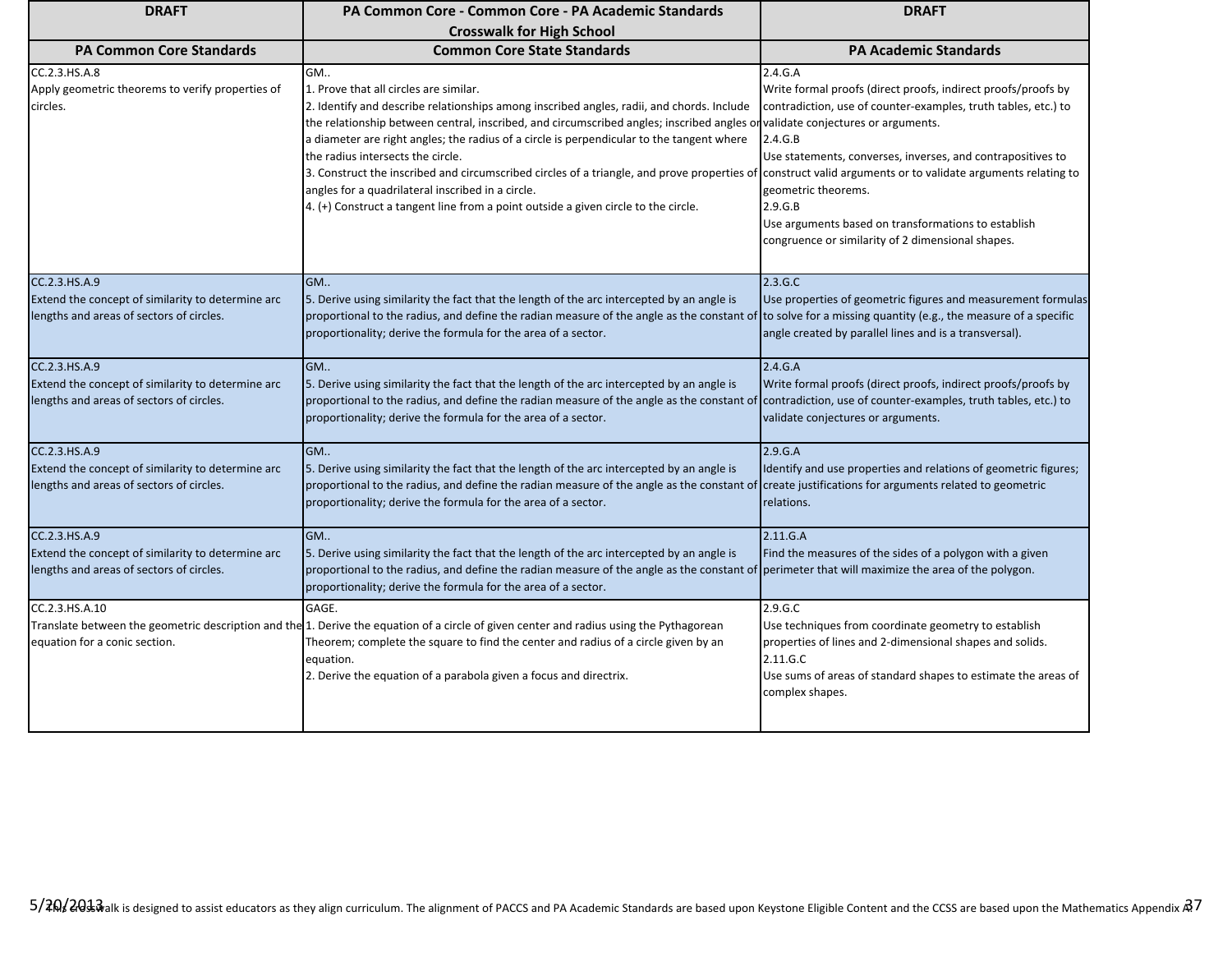| <b>DRAFT</b>                                                                                                   | PA Common Core - Common Core - PA Academic Standards                                                                                                                                                                                                                                                                                                                                                                                                                                                                                                                                                               | <b>DRAFT</b>                                                                                                                                                                                                                                                                                                                                                                                                                                                               |
|----------------------------------------------------------------------------------------------------------------|--------------------------------------------------------------------------------------------------------------------------------------------------------------------------------------------------------------------------------------------------------------------------------------------------------------------------------------------------------------------------------------------------------------------------------------------------------------------------------------------------------------------------------------------------------------------------------------------------------------------|----------------------------------------------------------------------------------------------------------------------------------------------------------------------------------------------------------------------------------------------------------------------------------------------------------------------------------------------------------------------------------------------------------------------------------------------------------------------------|
|                                                                                                                | <b>Crosswalk for High School</b>                                                                                                                                                                                                                                                                                                                                                                                                                                                                                                                                                                                   |                                                                                                                                                                                                                                                                                                                                                                                                                                                                            |
| <b>PA Common Core Standards</b>                                                                                | <b>Common Core State Standards</b>                                                                                                                                                                                                                                                                                                                                                                                                                                                                                                                                                                                 | <b>PA Academic Standards</b>                                                                                                                                                                                                                                                                                                                                                                                                                                               |
| CC.2.3.HS.A.8<br>Apply geometric theorems to verify properties of<br>circles.                                  | GM<br>1. Prove that all circles are similar.<br>2. Identify and describe relationships among inscribed angles, radii, and chords. Include<br>the relationship between central, inscribed, and circumscribed angles; inscribed angles o<br>a diameter are right angles; the radius of a circle is perpendicular to the tangent where<br>the radius intersects the circle.<br>3. Construct the inscribed and circumscribed circles of a triangle, and prove properties of<br>angles for a quadrilateral inscribed in a circle.<br>4. (+) Construct a tangent line from a point outside a given circle to the circle. | 2.4.G.A<br>Write formal proofs (direct proofs, indirect proofs/proofs by<br>contradiction, use of counter-examples, truth tables, etc.) to<br>validate conjectures or arguments.<br>2.4.G.B<br>Use statements, converses, inverses, and contrapositives to<br>construct valid arguments or to validate arguments relating to<br>geometric theorems.<br>2.9.G.B<br>Use arguments based on transformations to establish<br>congruence or similarity of 2 dimensional shapes. |
| CC.2.3.HS.A.9<br>Extend the concept of similarity to determine arc<br>lengths and areas of sectors of circles. | GM<br>5. Derive using similarity the fact that the length of the arc intercepted by an angle is<br>proportional to the radius, and define the radian measure of the angle as the constant of<br>proportionality; derive the formula for the area of a sector.                                                                                                                                                                                                                                                                                                                                                      | 2.3.G.C<br>Use properties of geometric figures and measurement formulas<br>to solve for a missing quantity (e.g., the measure of a specific<br>angle created by parallel lines and is a transversal).                                                                                                                                                                                                                                                                      |
| CC.2.3.HS.A.9<br>Extend the concept of similarity to determine arc<br>lengths and areas of sectors of circles. | GM<br>5. Derive using similarity the fact that the length of the arc intercepted by an angle is<br>proportional to the radius, and define the radian measure of the angle as the constant of<br>proportionality; derive the formula for the area of a sector.                                                                                                                                                                                                                                                                                                                                                      | 2.4.G.A<br>Write formal proofs (direct proofs, indirect proofs/proofs by<br>contradiction, use of counter-examples, truth tables, etc.) to<br>validate conjectures or arguments.                                                                                                                                                                                                                                                                                           |
| CC.2.3.HS.A.9<br>Extend the concept of similarity to determine arc<br>lengths and areas of sectors of circles. | GM<br>5. Derive using similarity the fact that the length of the arc intercepted by an angle is<br>proportional to the radius, and define the radian measure of the angle as the constant of<br>proportionality; derive the formula for the area of a sector.                                                                                                                                                                                                                                                                                                                                                      | 2.9.G.A<br>Identify and use properties and relations of geometric figures;<br>create justifications for arguments related to geometric<br>relations.                                                                                                                                                                                                                                                                                                                       |
| CC.2.3.HS.A.9<br>Extend the concept of similarity to determine arc<br>lengths and areas of sectors of circles. | GM<br>5. Derive using similarity the fact that the length of the arc intercepted by an angle is<br>proportional to the radius, and define the radian measure of the angle as the constant of perimeter that will maximize the area of the polygon.<br>proportionality; derive the formula for the area of a sector.                                                                                                                                                                                                                                                                                                | 2.11.G.A<br>Find the measures of the sides of a polygon with a given                                                                                                                                                                                                                                                                                                                                                                                                       |
| CC.2.3.HS.A.10<br>equation for a conic section.                                                                | GAGE.<br>Translate between the geometric description and the 1. Derive the equation of a circle of given center and radius using the Pythagorean<br>Theorem; complete the square to find the center and radius of a circle given by an<br>equation.<br>2. Derive the equation of a parabola given a focus and directrix.                                                                                                                                                                                                                                                                                           | 2.9.G.C<br>Use techniques from coordinate geometry to establish<br>properties of lines and 2-dimensional shapes and solids.<br>2.11.G.C<br>Use sums of areas of standard shapes to estimate the areas of<br>complex shapes.                                                                                                                                                                                                                                                |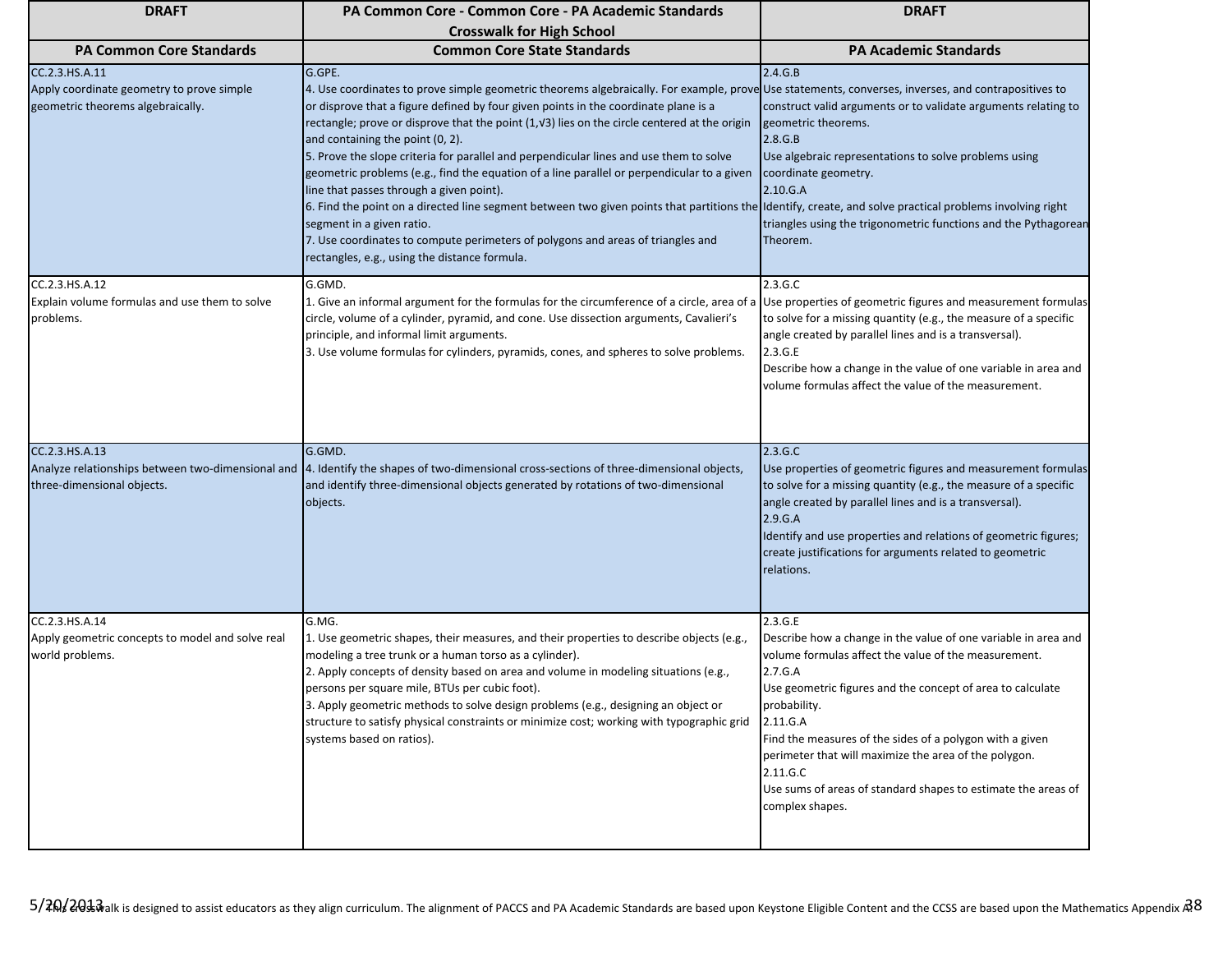| <b>DRAFT</b>                                                                                     | PA Common Core - Common Core - PA Academic Standards                                                                                                                                                                                                                                                                                                                                                                                                                                                                                                                                                                                                                                                                                                                                                                                                                                                                                                       | <b>DRAFT</b>                                                                                                                                                                                                                                                                                                                                                                                                                                                |
|--------------------------------------------------------------------------------------------------|------------------------------------------------------------------------------------------------------------------------------------------------------------------------------------------------------------------------------------------------------------------------------------------------------------------------------------------------------------------------------------------------------------------------------------------------------------------------------------------------------------------------------------------------------------------------------------------------------------------------------------------------------------------------------------------------------------------------------------------------------------------------------------------------------------------------------------------------------------------------------------------------------------------------------------------------------------|-------------------------------------------------------------------------------------------------------------------------------------------------------------------------------------------------------------------------------------------------------------------------------------------------------------------------------------------------------------------------------------------------------------------------------------------------------------|
|                                                                                                  | <b>Crosswalk for High School</b>                                                                                                                                                                                                                                                                                                                                                                                                                                                                                                                                                                                                                                                                                                                                                                                                                                                                                                                           |                                                                                                                                                                                                                                                                                                                                                                                                                                                             |
| <b>PA Common Core Standards</b>                                                                  | <b>Common Core State Standards</b>                                                                                                                                                                                                                                                                                                                                                                                                                                                                                                                                                                                                                                                                                                                                                                                                                                                                                                                         | <b>PA Academic Standards</b>                                                                                                                                                                                                                                                                                                                                                                                                                                |
| CC.2.3.HS.A.11<br>Apply coordinate geometry to prove simple<br>geometric theorems algebraically. | G.GPE.<br>4. Use coordinates to prove simple geometric theorems algebraically. For example, prove Use statements, converses, inverses, and contrapositives to<br>or disprove that a figure defined by four given points in the coordinate plane is a<br>rectangle; prove or disprove that the point (1, V3) lies on the circle centered at the origin<br>and containing the point (0, 2).<br>5. Prove the slope criteria for parallel and perpendicular lines and use them to solve<br>geometric problems (e.g., find the equation of a line parallel or perpendicular to a given<br>line that passes through a given point).<br>6. Find the point on a directed line segment between two given points that partitions the Identify, create, and solve practical problems involving right<br>segment in a given ratio.<br>7. Use coordinates to compute perimeters of polygons and areas of triangles and<br>rectangles, e.g., using the distance formula. | 2.4.G.B<br>construct valid arguments or to validate arguments relating to<br>geometric theorems.<br>2.8.G.B<br>Use algebraic representations to solve problems using<br>coordinate geometry.<br>2.10.G.A<br>triangles using the trigonometric functions and the Pythagorean<br>Theorem.                                                                                                                                                                     |
| CC.2.3.HS.A.12<br>Explain volume formulas and use them to solve<br>problems.                     | G.GMD.<br>1. Give an informal argument for the formulas for the circumference of a circle, area of a<br>circle, volume of a cylinder, pyramid, and cone. Use dissection arguments, Cavalieri's<br>principle, and informal limit arguments.<br>3. Use volume formulas for cylinders, pyramids, cones, and spheres to solve problems.                                                                                                                                                                                                                                                                                                                                                                                                                                                                                                                                                                                                                        | 2.3.G.C<br>Use properties of geometric figures and measurement formulas<br>to solve for a missing quantity (e.g., the measure of a specific<br>angle created by parallel lines and is a transversal).<br>2.3.G.E<br>Describe how a change in the value of one variable in area and<br>volume formulas affect the value of the measurement.                                                                                                                  |
| CC.2.3.HS.A.13<br>three-dimensional objects.                                                     | G.GMD.<br>Analyze relationships between two-dimensional and  4. Identify the shapes of two-dimensional cross-sections of three-dimensional objects,<br>and identify three-dimensional objects generated by rotations of two-dimensional<br>objects.                                                                                                                                                                                                                                                                                                                                                                                                                                                                                                                                                                                                                                                                                                        | 2.3.G.C<br>Use properties of geometric figures and measurement formulas<br>to solve for a missing quantity (e.g., the measure of a specific<br>angle created by parallel lines and is a transversal).<br>2.9.G.A<br>Identify and use properties and relations of geometric figures;<br>create justifications for arguments related to geometric<br>relations.                                                                                               |
| CC.2.3.HS.A.14<br>Apply geometric concepts to model and solve real<br>world problems.            | G.MG.<br>1. Use geometric shapes, their measures, and their properties to describe objects (e.g.,<br>modeling a tree trunk or a human torso as a cylinder).<br>2. Apply concepts of density based on area and volume in modeling situations (e.g.,<br>persons per square mile, BTUs per cubic foot).<br>3. Apply geometric methods to solve design problems (e.g., designing an object or<br>structure to satisfy physical constraints or minimize cost; working with typographic grid<br>systems based on ratios).                                                                                                                                                                                                                                                                                                                                                                                                                                        | 2.3.G.E<br>Describe how a change in the value of one variable in area and<br>volume formulas affect the value of the measurement.<br>2.7.G.A<br>Use geometric figures and the concept of area to calculate<br>probability.<br>2.11.G.A<br>Find the measures of the sides of a polygon with a given<br>perimeter that will maximize the area of the polygon.<br>2.11.G.C<br>Use sums of areas of standard shapes to estimate the areas of<br>complex shapes. |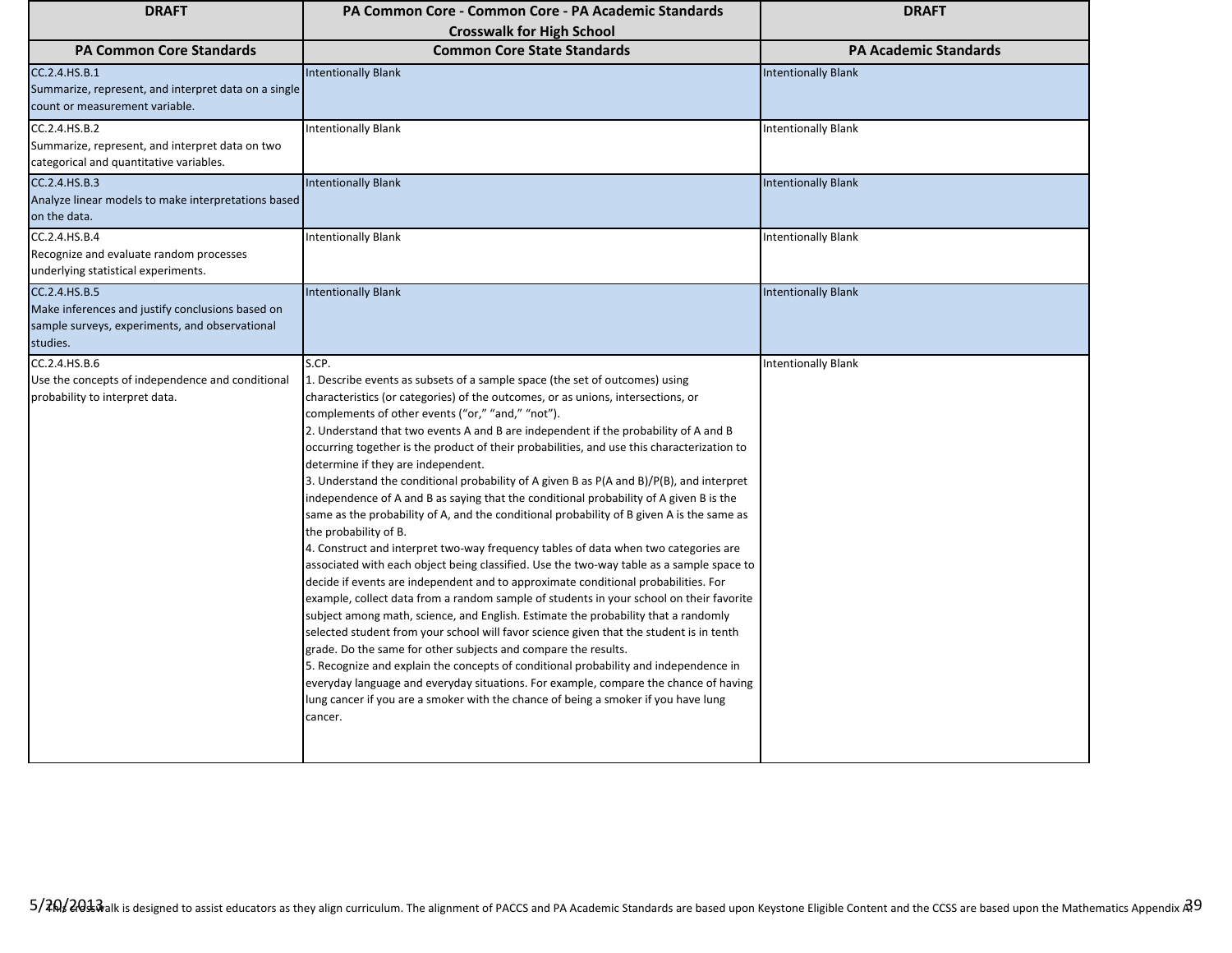| <b>DRAFT</b>                                                                                                                    | <b>PA Common Core - Common Core - PA Academic Standards</b>                                                                                                                                                                                                                                                                                                                                                                                                                                                                                                                                                                                                                                                                                                                                                                                                                                                                                                                                                                                                                                                                                                                                                                                                                                                                                                                                                                                                                                                                                                                                                                                                                  | <b>DRAFT</b>                 |
|---------------------------------------------------------------------------------------------------------------------------------|------------------------------------------------------------------------------------------------------------------------------------------------------------------------------------------------------------------------------------------------------------------------------------------------------------------------------------------------------------------------------------------------------------------------------------------------------------------------------------------------------------------------------------------------------------------------------------------------------------------------------------------------------------------------------------------------------------------------------------------------------------------------------------------------------------------------------------------------------------------------------------------------------------------------------------------------------------------------------------------------------------------------------------------------------------------------------------------------------------------------------------------------------------------------------------------------------------------------------------------------------------------------------------------------------------------------------------------------------------------------------------------------------------------------------------------------------------------------------------------------------------------------------------------------------------------------------------------------------------------------------------------------------------------------------|------------------------------|
| <b>PA Common Core Standards</b>                                                                                                 | <b>Crosswalk for High School</b><br><b>Common Core State Standards</b>                                                                                                                                                                                                                                                                                                                                                                                                                                                                                                                                                                                                                                                                                                                                                                                                                                                                                                                                                                                                                                                                                                                                                                                                                                                                                                                                                                                                                                                                                                                                                                                                       | <b>PA Academic Standards</b> |
| CC.2.4.HS.B.1<br>Summarize, represent, and interpret data on a single<br>count or measurement variable.                         | <b>Intentionally Blank</b>                                                                                                                                                                                                                                                                                                                                                                                                                                                                                                                                                                                                                                                                                                                                                                                                                                                                                                                                                                                                                                                                                                                                                                                                                                                                                                                                                                                                                                                                                                                                                                                                                                                   | <b>Intentionally Blank</b>   |
| CC.2.4.HS.B.2<br>Summarize, represent, and interpret data on two<br>categorical and quantitative variables.                     | <b>Intentionally Blank</b>                                                                                                                                                                                                                                                                                                                                                                                                                                                                                                                                                                                                                                                                                                                                                                                                                                                                                                                                                                                                                                                                                                                                                                                                                                                                                                                                                                                                                                                                                                                                                                                                                                                   | <b>Intentionally Blank</b>   |
| CC.2.4.HS.B.3<br>Analyze linear models to make interpretations based<br>on the data.                                            | <b>Intentionally Blank</b>                                                                                                                                                                                                                                                                                                                                                                                                                                                                                                                                                                                                                                                                                                                                                                                                                                                                                                                                                                                                                                                                                                                                                                                                                                                                                                                                                                                                                                                                                                                                                                                                                                                   | <b>Intentionally Blank</b>   |
| CC.2.4.HS.B.4<br>Recognize and evaluate random processes<br>underlying statistical experiments.                                 | <b>Intentionally Blank</b>                                                                                                                                                                                                                                                                                                                                                                                                                                                                                                                                                                                                                                                                                                                                                                                                                                                                                                                                                                                                                                                                                                                                                                                                                                                                                                                                                                                                                                                                                                                                                                                                                                                   | <b>Intentionally Blank</b>   |
| CC.2.4.HS.B.5<br>Make inferences and justify conclusions based on<br>sample surveys, experiments, and observational<br>studies. | <b>Intentionally Blank</b>                                                                                                                                                                                                                                                                                                                                                                                                                                                                                                                                                                                                                                                                                                                                                                                                                                                                                                                                                                                                                                                                                                                                                                                                                                                                                                                                                                                                                                                                                                                                                                                                                                                   | <b>Intentionally Blank</b>   |
| CC.2.4.HS.B.6<br>Use the concepts of independence and conditional<br>probability to interpret data.                             | S.CP.<br>1. Describe events as subsets of a sample space (the set of outcomes) using<br>characteristics (or categories) of the outcomes, or as unions, intersections, or<br>complements of other events ("or," "and," "not").<br>2. Understand that two events A and B are independent if the probability of A and B<br>occurring together is the product of their probabilities, and use this characterization to<br>determine if they are independent.<br>3. Understand the conditional probability of A given B as P(A and B)/P(B), and interpret<br>independence of A and B as saying that the conditional probability of A given B is the<br>same as the probability of A, and the conditional probability of B given A is the same as<br>the probability of B.<br>4. Construct and interpret two-way frequency tables of data when two categories are<br>associated with each object being classified. Use the two-way table as a sample space to<br>decide if events are independent and to approximate conditional probabilities. For<br>example, collect data from a random sample of students in your school on their favorite<br>subject among math, science, and English. Estimate the probability that a randomly<br>selected student from your school will favor science given that the student is in tenth<br>grade. Do the same for other subjects and compare the results.<br>5. Recognize and explain the concepts of conditional probability and independence in<br>everyday language and everyday situations. For example, compare the chance of having<br>lung cancer if you are a smoker with the chance of being a smoker if you have lung<br>cancer. | <b>Intentionally Blank</b>   |